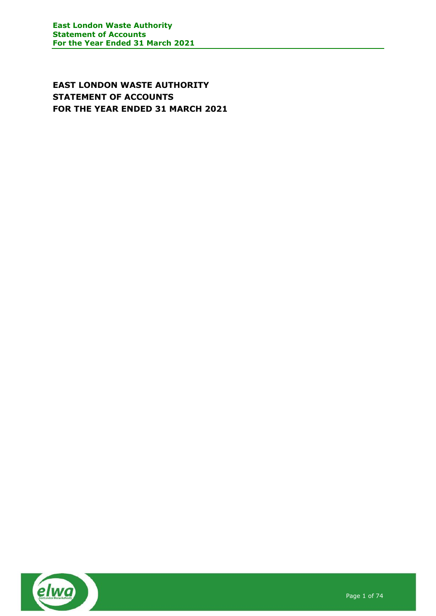**EAST LONDON WASTE AUTHORITY STATEMENT OF ACCOUNTS FOR THE YEAR ENDED 31 MARCH 2021**

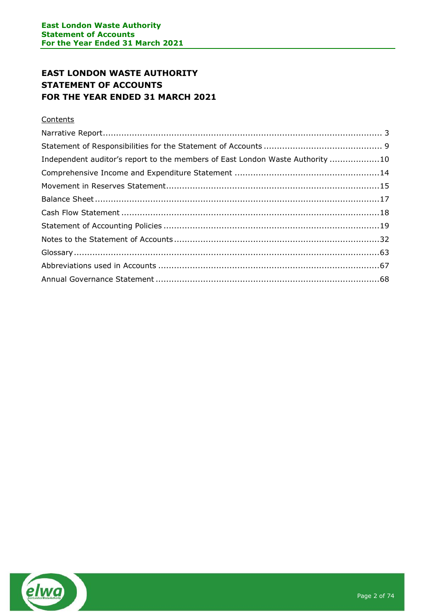# **EAST LONDON WASTE AUTHORITY STATEMENT OF ACCOUNTS FOR THE YEAR ENDED 31 MARCH 2021**

### **Contents**

| Independent auditor's report to the members of East London Waste Authority 10 |  |
|-------------------------------------------------------------------------------|--|
|                                                                               |  |
|                                                                               |  |
|                                                                               |  |
|                                                                               |  |
|                                                                               |  |
|                                                                               |  |
|                                                                               |  |
|                                                                               |  |
|                                                                               |  |

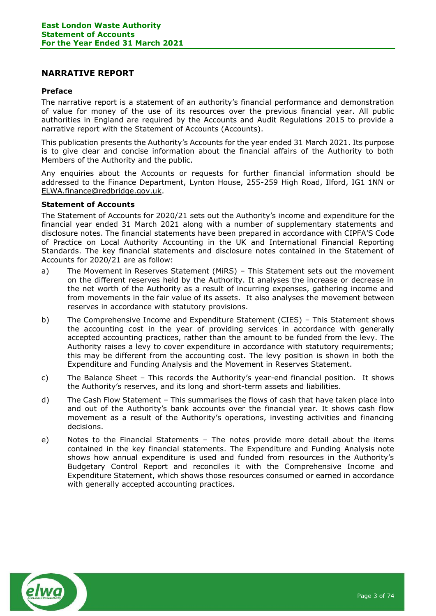### <span id="page-2-0"></span>**NARRATIVE REPORT**

#### **Preface**

The narrative report is a statement of an authority's financial performance and demonstration of value for money of the use of its resources over the previous financial year. All public authorities in England are required by the Accounts and Audit Regulations 2015 to provide a narrative report with the Statement of Accounts (Accounts).

This publication presents the Authority's Accounts for the year ended 31 March 2021. Its purpose is to give clear and concise information about the financial affairs of the Authority to both Members of the Authority and the public.

Any enquiries about the Accounts or requests for further financial information should be addressed to the Finance Department, Lynton House, 255-259 High Road, Ilford, IG1 1NN or [ELWA.finance@redbridge.gov.uk.](mailto:ELWA.finance@redbridge.gov.uk)

### **Statement of Accounts**

The Statement of Accounts for 2020/21 sets out the Authority's income and expenditure for the financial year ended 31 March 2021 along with a number of supplementary statements and disclosure notes. The financial statements have been prepared in accordance with CIPFA'S Code of Practice on Local Authority Accounting in the UK and International Financial Reporting Standards. The key financial statements and disclosure notes contained in the Statement of Accounts for 2020/21 are as follow:

- a) The Movement in Reserves Statement (MiRS) This Statement sets out the movement on the different reserves held by the Authority. It analyses the increase or decrease in the net worth of the Authority as a result of incurring expenses, gathering income and from movements in the fair value of its assets. It also analyses the movement between reserves in accordance with statutory provisions.
- b) The Comprehensive Income and Expenditure Statement (CIES) This Statement shows the accounting cost in the year of providing services in accordance with generally accepted accounting practices, rather than the amount to be funded from the levy. The Authority raises a levy to cover expenditure in accordance with statutory requirements; this may be different from the accounting cost. The levy position is shown in both the Expenditure and Funding Analysis and the Movement in Reserves Statement.
- c) The Balance Sheet This records the Authority's year-end financial position. It shows the Authority's reserves, and its long and short-term assets and liabilities.
- d) The Cash Flow Statement This summarises the flows of cash that have taken place into and out of the Authority's bank accounts over the financial year. It shows cash flow movement as a result of the Authority's operations, investing activities and financing decisions.
- e) Notes to the Financial Statements The notes provide more detail about the items contained in the key financial statements. The Expenditure and Funding Analysis note shows how annual expenditure is used and funded from resources in the Authority's Budgetary Control Report and reconciles it with the Comprehensive Income and Expenditure Statement, which shows those resources consumed or earned in accordance with generally accepted accounting practices.

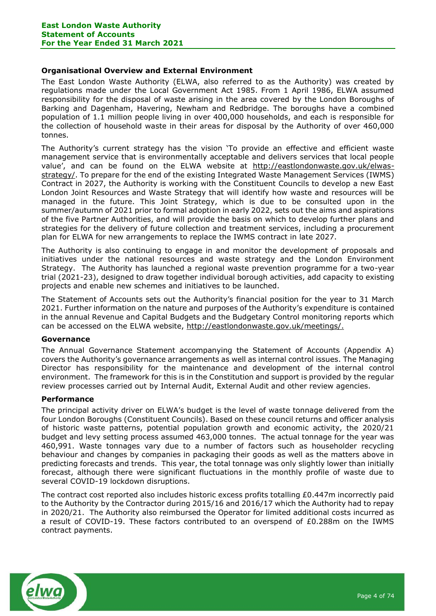### **Organisational Overview and External Environment**

The East London Waste Authority (ELWA, also referred to as the Authority) was created by regulations made under the Local Government Act 1985. From 1 April 1986, ELWA assumed responsibility for the disposal of waste arising in the area covered by the London Boroughs of Barking and Dagenham, Havering, Newham and Redbridge. The boroughs have a combined population of 1.1 million people living in over 400,000 households, and each is responsible for the collection of household waste in their areas for disposal by the Authority of over 460,000 tonnes.

The Authority's current strategy has the vision 'To provide an effective and efficient waste management service that is environmentally acceptable and delivers services that local people value', and can be found on the ELWA website at [http://eastlondonwaste.gov.uk/elwas](https://protect-eu.mimecast.com/s/QRccCv8XVh7jOYECQXalc?domain=eastlondonwaste.gov.uk/)[strategy/.](https://protect-eu.mimecast.com/s/QRccCv8XVh7jOYECQXalc?domain=eastlondonwaste.gov.uk/) To prepare for the end of the existing Integrated Waste Management Services (IWMS) Contract in 2027, the Authority is working with the Constituent Councils to develop a new East London Joint Resources and Waste Strategy that will identify how waste and resources will be managed in the future. This Joint Strategy, which is due to be consulted upon in the summer/autumn of 2021 prior to formal adoption in early 2022, sets out the aims and aspirations of the five Partner Authorities, and will provide the basis on which to develop further plans and strategies for the delivery of future collection and treatment services, including a procurement plan for ELWA for new arrangements to replace the IWMS contract in late 2027.

The Authority is also continuing to engage in and monitor the development of proposals and initiatives under the national resources and waste strategy and the London Environment Strategy. The Authority has launched a regional waste prevention programme for a two-year trial (2021-23), designed to draw together individual borough activities, add capacity to existing projects and enable new schemes and initiatives to be launched.

The Statement of Accounts sets out the Authority's financial position for the year to 31 March 2021. Further information on the nature and purposes of the Authority's expenditure is contained in the annual Revenue and Capital Budgets and the Budgetary Control monitoring reports which can be accessed on the ELWA website, [http://eastlondonwaste.gov.uk/meetings/.](http://eastlondonwaste.gov.uk/meetings/)

### **Governance**

The Annual Governance Statement accompanying the Statement of Accounts (Appendix A) covers the Authority's governance arrangements as well as internal control issues. The Managing Director has responsibility for the maintenance and development of the internal control environment. The framework for this is in the Constitution and support is provided by the regular review processes carried out by Internal Audit, External Audit and other review agencies.

#### **Performance**

The principal activity driver on ELWA's budget is the level of waste tonnage delivered from the four London Boroughs (Constituent Councils). Based on these council returns and officer analysis of historic waste patterns, potential population growth and economic activity, the 2020/21 budget and levy setting process assumed 463,000 tonnes. The actual tonnage for the year was 460,991. Waste tonnages vary due to a number of factors such as householder recycling behaviour and changes by companies in packaging their goods as well as the matters above in predicting forecasts and trends. This year, the total tonnage was only slightly lower than initially forecast, although there were significant fluctuations in the monthly profile of waste due to several COVID-19 lockdown disruptions.

The contract cost reported also includes historic excess profits totalling £0.447m incorrectly paid to the Authority by the Contractor during 2015/16 and 2016/17 which the Authority had to repay in 2020/21. The Authority also reimbursed the Operator for limited additional costs incurred as a result of COVID-19. These factors contributed to an overspend of £0.288m on the IWMS contract payments.

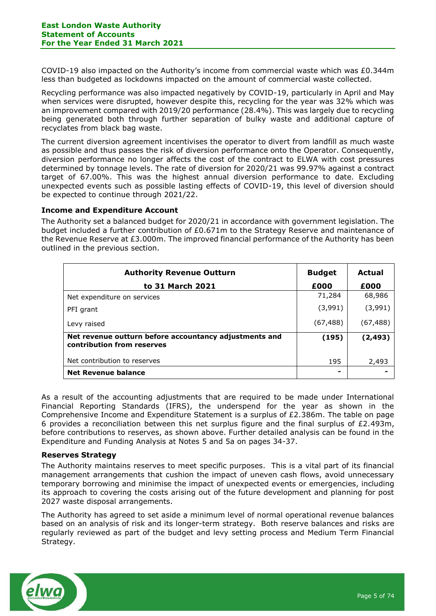COVID-19 also impacted on the Authority's income from commercial waste which was £0.344m less than budgeted as lockdowns impacted on the amount of commercial waste collected.

Recycling performance was also impacted negatively by COVID-19, particularly in April and May when services were disrupted, however despite this, recycling for the year was 32% which was an improvement compared with 2019/20 performance (28.4%). This was largely due to recycling being generated both through further separation of bulky waste and additional capture of recyclates from black bag waste.

The current diversion agreement incentivises the operator to divert from landfill as much waste as possible and thus passes the risk of diversion performance onto the Operator. Consequently, diversion performance no longer affects the cost of the contract to ELWA with cost pressures determined by tonnage levels. The rate of diversion for 2020/21 was 99.97% against a contract target of 67.00%. This was the highest annual diversion performance to date. Excluding unexpected events such as possible lasting effects of COVID-19, this level of diversion should be expected to continue through 2021/22.

### **Income and Expenditure Account**

The Authority set a balanced budget for 2020/21 in accordance with government legislation. The budget included a further contribution of £0.671m to the Strategy Reserve and maintenance of the Revenue Reserve at £3.000m. The improved financial performance of the Authority has been outlined in the previous section.

| <b>Authority Revenue Outturn</b>                                                     | <b>Budget</b> | Actual    |
|--------------------------------------------------------------------------------------|---------------|-----------|
| to 31 March 2021                                                                     | £000          | £000      |
| Net expenditure on services                                                          | 71,284        | 68,986    |
| PFI grant                                                                            | (3,991)       | (3,991)   |
| Levy raised                                                                          | (67, 488)     | (67, 488) |
| Net revenue outturn before accountancy adjustments and<br>contribution from reserves | (195)         | (2, 493)  |
| Net contribution to reserves                                                         | 195           | 2,493     |
| Net Revenue balance                                                                  | ۰             |           |

As a result of the accounting adjustments that are required to be made under International Financial Reporting Standards (IFRS), the underspend for the year as shown in the Comprehensive Income and Expenditure Statement is a surplus of £2.386m. The table on page 6 provides a reconciliation between this net surplus figure and the final surplus of  $E2.493m$ , before contributions to reserves, as shown above. Further detailed analysis can be found in the Expenditure and Funding Analysis at Notes 5 and 5a on pages 34-37.

### **Reserves Strategy**

The Authority maintains reserves to meet specific purposes. This is a vital part of its financial management arrangements that cushion the impact of uneven cash flows, avoid unnecessary temporary borrowing and minimise the impact of unexpected events or emergencies, including its approach to covering the costs arising out of the future development and planning for post 2027 waste disposal arrangements.

The Authority has agreed to set aside a minimum level of normal operational revenue balances based on an analysis of risk and its longer-term strategy. Both reserve balances and risks are regularly reviewed as part of the budget and levy setting process and Medium Term Financial Strategy.

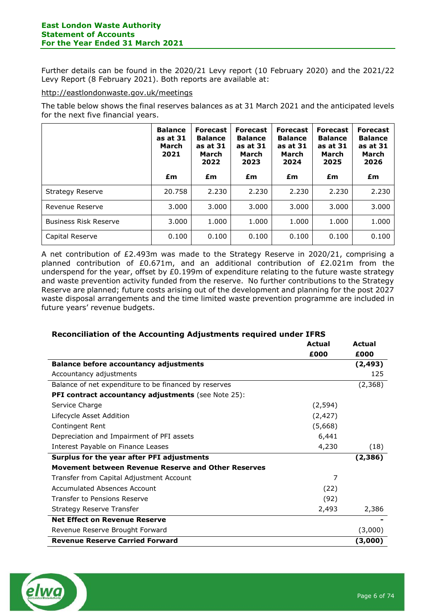Further details can be found in the 2020/21 Levy report (10 February 2020) and the 2021/22 Levy Report (8 February 2021). Both reports are available at:

### <http://eastlondonwaste.gov.uk/meetings>

The table below shows the final reserves balances as at 31 March 2021 and the anticipated levels for the next five financial years.

|                              | <b>Balance</b><br>as at 31<br>March<br>2021 | <b>Forecast</b><br><b>Balance</b><br>as at 31<br>March<br>2022 | <b>Forecast</b><br><b>Balance</b><br>as at 31<br>March<br>2023 | <b>Forecast</b><br><b>Balance</b><br>as at 31<br>March<br>2024 | <b>Forecast</b><br><b>Balance</b><br>as at 31<br>March<br>2025 | <b>Forecast</b><br><b>Balance</b><br>as at 31<br>March<br>2026 |
|------------------------------|---------------------------------------------|----------------------------------------------------------------|----------------------------------------------------------------|----------------------------------------------------------------|----------------------------------------------------------------|----------------------------------------------------------------|
|                              | £m                                          | £m                                                             | £m                                                             | £m                                                             | £m                                                             | £m                                                             |
| Strategy Reserve             | 20.758                                      | 2.230                                                          | 2.230                                                          | 2.230                                                          | 2.230                                                          | 2.230                                                          |
| Revenue Reserve              | 3.000                                       | 3.000                                                          | 3.000                                                          | 3.000                                                          | 3.000                                                          | 3.000                                                          |
| <b>Business Risk Reserve</b> | 3.000                                       | 1.000                                                          | 1.000                                                          | 1.000                                                          | 1.000                                                          | 1.000                                                          |
| Capital Reserve              | 0.100                                       | 0.100                                                          | 0.100                                                          | 0.100                                                          | 0.100                                                          | 0.100                                                          |

A net contribution of £2.493m was made to the Strategy Reserve in 2020/21, comprising a planned contribution of £0.671m, and an additional contribution of £2.021m from the underspend for the year, offset by £0.199m of expenditure relating to the future waste strategy and waste prevention activity funded from the reserve. No further contributions to the Strategy Reserve are planned; future costs arising out of the development and planning for the post 2027 waste disposal arrangements and the time limited waste prevention programme are included in future years' revenue budgets.

| Reconciliation of the Accounting Adjustments required under IFRS |               |               |
|------------------------------------------------------------------|---------------|---------------|
|                                                                  | <b>Actual</b> | <b>Actual</b> |
|                                                                  | £000          | £000          |
| <b>Balance before accountancy adjustments</b>                    |               | (2, 493)      |
| Accountancy adjustments                                          |               | 125           |
| Balance of net expenditure to be financed by reserves            |               | (2,368)       |
| PFI contract accountancy adjustments (see Note 25):              |               |               |
| Service Charge                                                   | (2, 594)      |               |
| Lifecycle Asset Addition                                         | (2, 427)      |               |
| Contingent Rent                                                  | (5,668)       |               |
| Depreciation and Impairment of PFI assets                        | 6,441         |               |
| Interest Payable on Finance Leases                               | 4,230         | (18)          |
| Surplus for the year after PFI adjustments                       |               | (2,386)       |
| Movement between Revenue Reserve and Other Reserves              |               |               |
| Transfer from Capital Adjustment Account                         | 7             |               |
| Accumulated Absences Account                                     | (22)          |               |
| Transfer to Pensions Reserve                                     | (92)          |               |
| Strategy Reserve Transfer                                        | 2,493         | 2,386         |
| <b>Net Effect on Revenue Reserve</b>                             |               |               |
| Revenue Reserve Brought Forward                                  |               | (3,000)       |
| <b>Revenue Reserve Carried Forward</b>                           |               | (3,000)       |



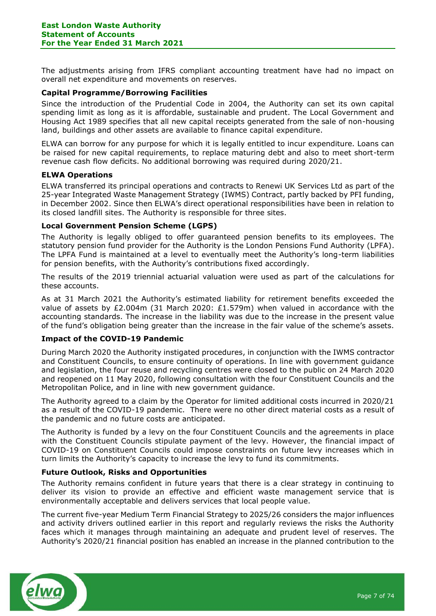The adjustments arising from IFRS compliant accounting treatment have had no impact on overall net expenditure and movements on reserves.

### **Capital Programme/Borrowing Facilities**

Since the introduction of the Prudential Code in 2004, the Authority can set its own capital spending limit as long as it is affordable, sustainable and prudent. The Local Government and Housing Act 1989 specifies that all new capital receipts generated from the sale of non-housing land, buildings and other assets are available to finance capital expenditure.

ELWA can borrow for any purpose for which it is legally entitled to incur expenditure. Loans can be raised for new capital requirements, to replace maturing debt and also to meet short-term revenue cash flow deficits. No additional borrowing was required during 2020/21.

#### **ELWA Operations**

ELWA transferred its principal operations and contracts to Renewi UK Services Ltd as part of the 25-year Integrated Waste Management Strategy (IWMS) Contract, partly backed by PFI funding, in December 2002. Since then ELWA's direct operational responsibilities have been in relation to its closed landfill sites. The Authority is responsible for three sites.

### **Local Government Pension Scheme (LGPS)**

The Authority is legally obliged to offer guaranteed pension benefits to its employees. The statutory pension fund provider for the Authority is the London Pensions Fund Authority (LPFA). The LPFA Fund is maintained at a level to eventually meet the Authority's long-term liabilities for pension benefits, with the Authority's contributions fixed accordingly.

The results of the 2019 triennial actuarial valuation were used as part of the calculations for these accounts.

As at 31 March 2021 the Authority's estimated liability for retirement benefits exceeded the value of assets by £2.004m (31 March 2020: £1.579m) when valued in accordance with the accounting standards. The increase in the liability was due to the increase in the present value of the fund's obligation being greater than the increase in the fair value of the scheme's assets.

### **Impact of the COVID-19 Pandemic**

During March 2020 the Authority instigated procedures, in conjunction with the IWMS contractor and Constituent Councils, to ensure continuity of operations. In line with government guidance and legislation, the four reuse and recycling centres were closed to the public on 24 March 2020 and reopened on 11 May 2020, following consultation with the four Constituent Councils and the Metropolitan Police, and in line with new government guidance.

The Authority agreed to a claim by the Operator for limited additional costs incurred in 2020/21 as a result of the COVID-19 pandemic. There were no other direct material costs as a result of the pandemic and no future costs are anticipated.

The Authority is funded by a levy on the four Constituent Councils and the agreements in place with the Constituent Councils stipulate payment of the levy. However, the financial impact of COVID-19 on Constituent Councils could impose constraints on future levy increases which in turn limits the Authority's capacity to increase the levy to fund its commitments.

### **Future Outlook, Risks and Opportunities**

The Authority remains confident in future years that there is a clear strategy in continuing to deliver its vision to provide an effective and efficient waste management service that is environmentally acceptable and delivers services that local people value.

The current five-year Medium Term Financial Strategy to 2025/26 considers the major influences and activity drivers outlined earlier in this report and regularly reviews the risks the Authority faces which it manages through maintaining an adequate and prudent level of reserves. The Authority's 2020/21 financial position has enabled an increase in the planned contribution to the

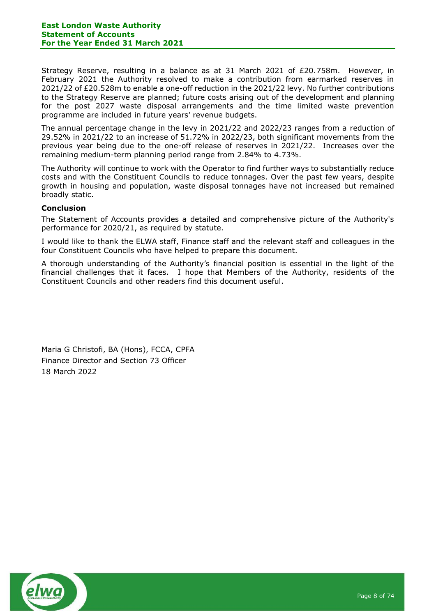Strategy Reserve, resulting in a balance as at 31 March 2021 of £20.758m. However, in February 2021 the Authority resolved to make a contribution from earmarked reserves in 2021/22 of £20.528m to enable a one-off reduction in the 2021/22 levy. No further contributions to the Strategy Reserve are planned; future costs arising out of the development and planning for the post 2027 waste disposal arrangements and the time limited waste prevention programme are included in future years' revenue budgets.

The annual percentage change in the levy in 2021/22 and 2022/23 ranges from a reduction of 29.52% in 2021/22 to an increase of 51.72% in 2022/23, both significant movements from the previous year being due to the one-off release of reserves in 2021/22. Increases over the remaining medium-term planning period range from 2.84% to 4.73%.

The Authority will continue to work with the Operator to find further ways to substantially reduce costs and with the Constituent Councils to reduce tonnages. Over the past few years, despite growth in housing and population, waste disposal tonnages have not increased but remained broadly static.

### **Conclusion**

The Statement of Accounts provides a detailed and comprehensive picture of the Authority's performance for 2020/21, as required by statute.

I would like to thank the ELWA staff, Finance staff and the relevant staff and colleagues in the four Constituent Councils who have helped to prepare this document.

A thorough understanding of the Authority's financial position is essential in the light of the financial challenges that it faces. I hope that Members of the Authority, residents of the Constituent Councils and other readers find this document useful.

Maria G Christofi, BA (Hons), FCCA, CPFA Finance Director and Section 73 Officer 18 March 2022

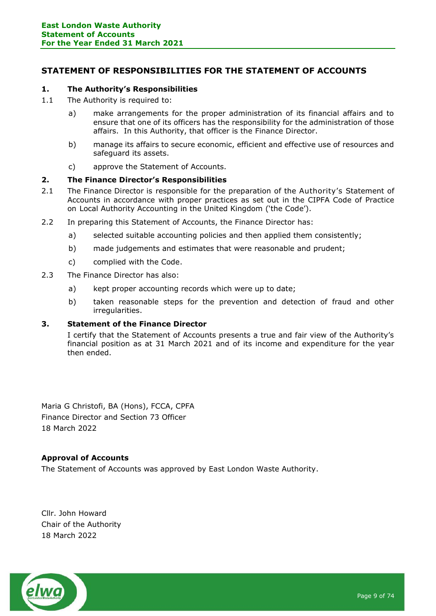## <span id="page-8-0"></span>**STATEMENT OF RESPONSIBILITIES FOR THE STATEMENT OF ACCOUNTS**

### **1. The Authority's Responsibilities**

- 1.1 The Authority is required to:
	- a) make arrangements for the proper administration of its financial affairs and to ensure that one of its officers has the responsibility for the administration of those affairs. In this Authority, that officer is the Finance Director.
	- b) manage its affairs to secure economic, efficient and effective use of resources and safeguard its assets.
	- c) approve the Statement of Accounts.

### **2. The Finance Director's Responsibilities**

- 2.1 The Finance Director is responsible for the preparation of the Authority's Statement of Accounts in accordance with proper practices as set out in the CIPFA Code of Practice on Local Authority Accounting in the United Kingdom ('the Code').
- 2.2 In preparing this Statement of Accounts, the Finance Director has:
	- a) selected suitable accounting policies and then applied them consistently;
	- b) made judgements and estimates that were reasonable and prudent;
	- c) complied with the Code.
- 2.3 The Finance Director has also:
	- a) kept proper accounting records which were up to date;
	- b) taken reasonable steps for the prevention and detection of fraud and other irregularities.

## **3. Statement of the Finance Director**

I certify that the Statement of Accounts presents a true and fair view of the Authority's financial position as at 31 March 2021 and of its income and expenditure for the year then ended.

Maria G Christofi, BA (Hons), FCCA, CPFA Finance Director and Section 73 Officer 18 March 2022

### **Approval of Accounts**

The Statement of Accounts was approved by East London Waste Authority.

Cllr. John Howard Chair of the Authority 18 March 2022

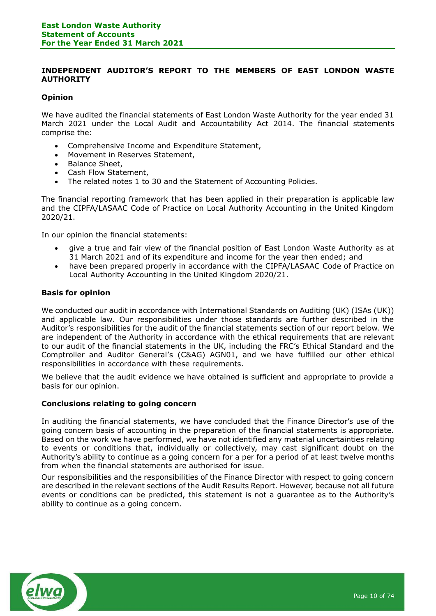### **INDEPENDENT AUDITOR'S REPORT TO THE MEMBERS OF EAST LONDON WASTE AUTHORITY**

### **Opinion**

We have audited the financial statements of East London Waste Authority for the year ended 31 March 2021 under the Local Audit and Accountability Act 2014. The financial statements comprise the:

- Comprehensive Income and Expenditure Statement,
- Movement in Reserves Statement,
- Balance Sheet,
- Cash Flow Statement,
- The related notes 1 to 30 and the Statement of Accounting Policies.

The financial reporting framework that has been applied in their preparation is applicable law and the CIPFA/LASAAC Code of Practice on Local Authority Accounting in the United Kingdom 2020/21.

In our opinion the financial statements:

- give a true and fair view of the financial position of East London Waste Authority as at 31 March 2021 and of its expenditure and income for the year then ended; and
- have been prepared properly in accordance with the CIPFA/LASAAC Code of Practice on Local Authority Accounting in the United Kingdom 2020/21.

#### **Basis for opinion**

We conducted our audit in accordance with International Standards on Auditing (UK) (ISAs (UK)) and applicable law. Our responsibilities under those standards are further described in the Auditor's responsibilities for the audit of the financial statements section of our report below. We are independent of the Authority in accordance with the ethical requirements that are relevant to our audit of the financial statements in the UK, including the FRC's Ethical Standard and the Comptroller and Auditor General's (C&AG) AGN01, and we have fulfilled our other ethical responsibilities in accordance with these requirements.

We believe that the audit evidence we have obtained is sufficient and appropriate to provide a basis for our opinion.

### **Conclusions relating to going concern**

In auditing the financial statements, we have concluded that the Finance Director's use of the going concern basis of accounting in the preparation of the financial statements is appropriate. Based on the work we have performed, we have not identified any material uncertainties relating to events or conditions that, individually or collectively, may cast significant doubt on the Authority's ability to continue as a going concern for a per for a period of at least twelve months from when the financial statements are authorised for issue.

Our responsibilities and the responsibilities of the Finance Director with respect to going concern are described in the relevant sections of the Audit Results Report. However, because not all future events or conditions can be predicted, this statement is not a guarantee as to the Authority's ability to continue as a going concern.

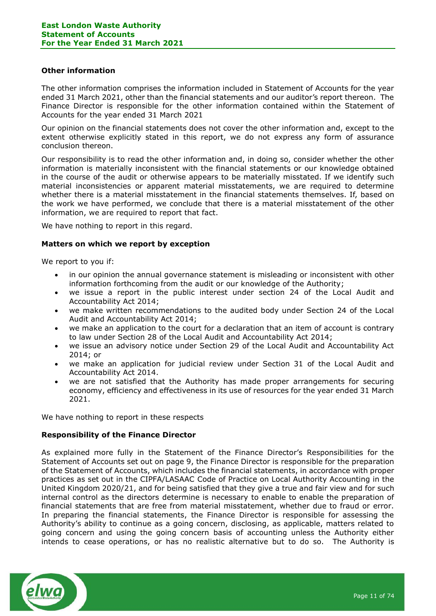#### **Other information**

The other information comprises the information included in Statement of Accounts for the year ended 31 March 2021, other than the financial statements and our auditor's report thereon. The Finance Director is responsible for the other information contained within the Statement of Accounts for the year ended 31 March 2021

Our opinion on the financial statements does not cover the other information and, except to the extent otherwise explicitly stated in this report, we do not express any form of assurance conclusion thereon.

Our responsibility is to read the other information and, in doing so, consider whether the other information is materially inconsistent with the financial statements or our knowledge obtained in the course of the audit or otherwise appears to be materially misstated. If we identify such material inconsistencies or apparent material misstatements, we are required to determine whether there is a material misstatement in the financial statements themselves. If, based on the work we have performed, we conclude that there is a material misstatement of the other information, we are required to report that fact.

We have nothing to report in this regard.

### **Matters on which we report by exception**

We report to you if:

- in our opinion the annual governance statement is misleading or inconsistent with other information forthcoming from the audit or our knowledge of the Authority;
- we issue a report in the public interest under section 24 of the Local Audit and Accountability Act 2014;
- we make written recommendations to the audited body under Section 24 of the Local Audit and Accountability Act 2014;
- we make an application to the court for a declaration that an item of account is contrary to law under Section 28 of the Local Audit and Accountability Act 2014;
- we issue an advisory notice under Section 29 of the Local Audit and Accountability Act 2014; or
- we make an application for judicial review under Section 31 of the Local Audit and Accountability Act 2014.
- we are not satisfied that the Authority has made proper arrangements for securing economy, efficiency and effectiveness in its use of resources for the year ended 31 March 2021.

We have nothing to report in these respects

### **Responsibility of the Finance Director**

As explained more fully in the Statement of the Finance Director's Responsibilities for the Statement of Accounts set out on page 9, the Finance Director is responsible for the preparation of the Statement of Accounts, which includes the financial statements, in accordance with proper practices as set out in the CIPFA/LASAAC Code of Practice on Local Authority Accounting in the United Kingdom 2020/21, and for being satisfied that they give a true and fair view and for such internal control as the directors determine is necessary to enable to enable the preparation of financial statements that are free from material misstatement, whether due to fraud or error. In preparing the financial statements, the Finance Director is responsible for assessing the Authority's ability to continue as a going concern, disclosing, as applicable, matters related to going concern and using the going concern basis of accounting unless the Authority either intends to cease operations, or has no realistic alternative but to do so. The Authority is

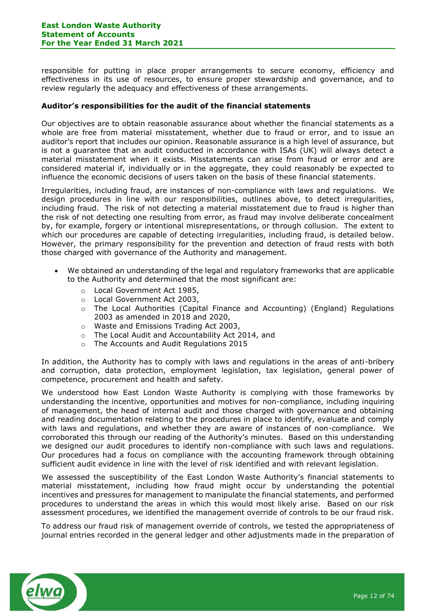responsible for putting in place proper arrangements to secure economy, efficiency and effectiveness in its use of resources, to ensure proper stewardship and governance, and to review regularly the adequacy and effectiveness of these arrangements.

### **Auditor's responsibilities for the audit of the financial statements**

Our objectives are to obtain reasonable assurance about whether the financial statements as a whole are free from material misstatement, whether due to fraud or error, and to issue an auditor's report that includes our opinion. Reasonable assurance is a high level of assurance, but is not a guarantee that an audit conducted in accordance with ISAs (UK) will always detect a material misstatement when it exists. Misstatements can arise from fraud or error and are considered material if, individually or in the aggregate, they could reasonably be expected to influence the economic decisions of users taken on the basis of these financial statements.

Irregularities, including fraud, are instances of non-compliance with laws and regulations. We design procedures in line with our responsibilities, outlines above, to detect irregularities, including fraud. The risk of not detecting a material misstatement due to fraud is higher than the risk of not detecting one resulting from error, as fraud may involve deliberate concealment by, for example, forgery or intentional misrepresentations, or through collusion. The extent to which our procedures are capable of detecting irregularities, including fraud, is detailed below. However, the primary responsibility for the prevention and detection of fraud rests with both those charged with governance of the Authority and management.

- We obtained an understanding of the legal and regulatory frameworks that are applicable to the Authority and determined that the most significant are:
	- o Local Government Act 1985,
	- o Local Government Act 2003,
	- o The Local Authorities (Capital Finance and Accounting) (England) Regulations 2003 as amended in 2018 and 2020,
	- o Waste and Emissions Trading Act 2003,
	- o The Local Audit and Accountability Act 2014, and
	- o The Accounts and Audit Regulations 2015

In addition, the Authority has to comply with laws and regulations in the areas of anti-bribery and corruption, data protection, employment legislation, tax legislation, general power of competence, procurement and health and safety.

We understood how East London Waste Authority is complying with those frameworks by understanding the incentive, opportunities and motives for non-compliance, including inquiring of management, the head of internal audit and those charged with governance and obtaining and reading documentation relating to the procedures in place to identify, evaluate and comply with laws and regulations, and whether they are aware of instances of non-compliance. We corroborated this through our reading of the Authority's minutes. Based on this understanding we designed our audit procedures to identify non-compliance with such laws and regulations. Our procedures had a focus on compliance with the accounting framework through obtaining sufficient audit evidence in line with the level of risk identified and with relevant legislation.

We assessed the susceptibility of the East London Waste Authority's financial statements to material misstatement, including how fraud might occur by understanding the potential incentives and pressures for management to manipulate the financial statements, and performed procedures to understand the areas in which this would most likely arise. Based on our risk assessment procedures, we identified the management override of controls to be our fraud risk.

To address our fraud risk of management override of controls, we tested the appropriateness of journal entries recorded in the general ledger and other adjustments made in the preparation of

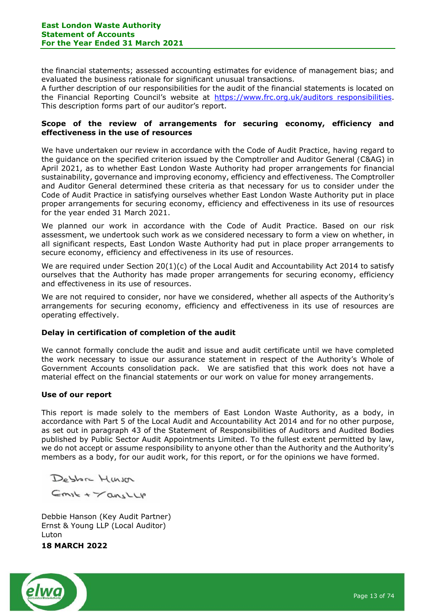the financial statements; assessed accounting estimates for evidence of management bias; and evaluated the business rationale for significant unusual transactions.

A further description of our responsibilities for the audit of the financial statements is located on the Financial Reporting Council's website at [https://www.frc.org.uk/auditors responsibilities.](https://www.frc.org.uk/auditors%20responsibilities) This description forms part of our auditor's report.

### **Scope of the review of arrangements for securing economy, efficiency and effectiveness in the use of resources**

We have undertaken our review in accordance with the Code of Audit Practice, having regard to the guidance on the specified criterion issued by the Comptroller and Auditor General (C&AG) in April 2021, as to whether East London Waste Authority had proper arrangements for financial sustainability, governance and improving economy, efficiency and effectiveness. The Comptroller and Auditor General determined these criteria as that necessary for us to consider under the Code of Audit Practice in satisfying ourselves whether East London Waste Authority put in place proper arrangements for securing economy, efficiency and effectiveness in its use of resources for the year ended 31 March 2021.

We planned our work in accordance with the Code of Audit Practice. Based on our risk assessment, we undertook such work as we considered necessary to form a view on whether, in all significant respects, East London Waste Authority had put in place proper arrangements to secure economy, efficiency and effectiveness in its use of resources.

We are required under Section  $20(1)(c)$  of the Local Audit and Accountability Act 2014 to satisfy ourselves that the Authority has made proper arrangements for securing economy, efficiency and effectiveness in its use of resources.

We are not required to consider, nor have we considered, whether all aspects of the Authority's arrangements for securing economy, efficiency and effectiveness in its use of resources are operating effectively.

### **Delay in certification of completion of the audit**

We cannot formally conclude the audit and issue and audit certificate until we have completed the work necessary to issue our assurance statement in respect of the Authority's Whole of Government Accounts consolidation pack. We are satisfied that this work does not have a material effect on the financial statements or our work on value for money arrangements.

### **Use of our report**

This report is made solely to the members of East London Waste Authority, as a body, in accordance with Part 5 of the Local Audit and Accountability Act 2014 and for no other purpose, as set out in paragraph 43 of the Statement of Responsibilities of Auditors and Audited Bodies published by Public Sector Audit Appointments Limited. To the fullest extent permitted by law, we do not accept or assume responsibility to anyone other than the Authority and the Authority's members as a body, for our audit work, for this report, or for the opinions we have formed.

Debbre Hum

 $Cmsk + \gamma ansllp$ 

Debbie Hanson (Key Audit Partner) Ernst & Young LLP (Local Auditor) Luton

### <span id="page-12-0"></span>**18 MARCH 2022**

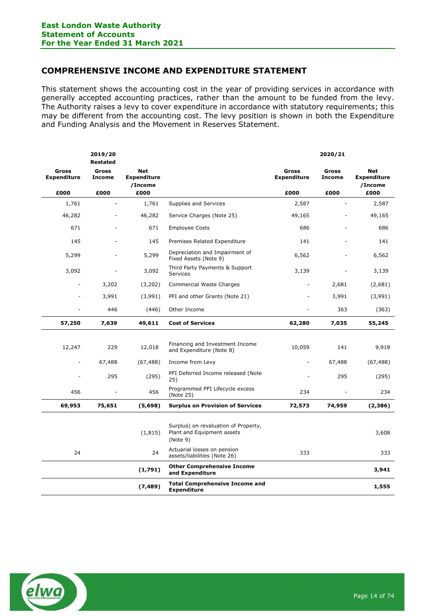# **COMPREHENSIVE INCOME AND EXPENDITURE STATEMENT**

This statement shows the accounting cost in the year of providing services in accordance with generally accepted accounting practices, rather than the amount to be funded from the levy. The Authority raises a levy to cover expenditure in accordance with statutory requirements; this may be different from the accounting cost. The levy position is shown in both the Expenditure and Funding Analysis and the Movement in Reserves Statement.

|                             | 2019/20<br><b>Restated</b>    |                                             |                                                                                |                                    | 2020/21                       |                                             |
|-----------------------------|-------------------------------|---------------------------------------------|--------------------------------------------------------------------------------|------------------------------------|-------------------------------|---------------------------------------------|
| Gross<br><b>Expenditure</b> | <b>Gross</b><br><b>Income</b> | <b>Net</b><br><b>Expenditure</b><br>/Income |                                                                                | <b>Gross</b><br><b>Expenditure</b> | <b>Gross</b><br><b>Income</b> | <b>Net</b><br><b>Expenditure</b><br>/Income |
| £000                        | £000                          | £000                                        |                                                                                | £000                               | £000                          | £000                                        |
| 1,761                       | $\overline{\phantom{0}}$      | 1,761                                       | Supplies and Services                                                          | 2,587                              |                               | 2,587                                       |
| 46,282                      |                               | 46,282                                      | Service Charges (Note 25)                                                      | 49,165                             |                               | 49,165                                      |
| 671                         |                               | 671                                         | <b>Employee Costs</b>                                                          | 686                                |                               | 686                                         |
| 145                         |                               | 145                                         | Premises Related Expenditure                                                   | 141                                |                               | 141                                         |
| 5,299                       |                               | 5,299                                       | Depreciation and Impairment of<br>Fixed Assets (Note 9)                        | 6,562                              |                               | 6,562                                       |
| 3,092                       |                               | 3,092                                       | Third Party Payments & Support<br><b>Services</b>                              | 3,139                              |                               | 3,139                                       |
|                             | 3,202                         | (3,202)                                     | Commercial Waste Charges                                                       |                                    | 2,681                         | (2,681)                                     |
|                             | 3,991                         | (3,991)                                     | PFI and other Grants (Note 21)                                                 |                                    | 3,991                         | (3,991)                                     |
|                             | 446                           | (446)                                       | Other Income                                                                   |                                    | 363                           | (363)                                       |
| 57,250                      | 7,639                         | 49,611                                      | <b>Cost of Services</b>                                                        | 62,280                             | 7,035                         | 55,245                                      |
|                             |                               |                                             |                                                                                |                                    |                               |                                             |
| 12,247                      | 229                           | 12,018                                      | Financing and Investment Income<br>and Expenditure (Note 8)                    | 10,059                             | 141                           | 9,918                                       |
| $\overline{a}$              | 67,488                        | (67, 488)                                   | Income from Levy                                                               |                                    | 67,488                        | (67, 488)                                   |
|                             | 295                           | (295)                                       | PFI Deferred Income released (Note<br>25)                                      |                                    | 295                           | (295)                                       |
| 456                         |                               | 456                                         | Programmed PFI Lifecycle excess<br>(Note 25)                                   | 234                                |                               | 234                                         |
| 69,953                      | 75,651                        | (5,698)                                     | <b>Surplus on Provision of Services</b>                                        | 72,573                             | 74,959                        | (2,386)                                     |
|                             |                               | (1, 815)                                    | Surplus) on revaluation of Property,<br>Plant and Equipment assets<br>(Note 9) |                                    |                               | 3,608                                       |
| 24                          |                               | 24                                          | Actuarial losses on pension<br>assets/liabilities (Note 26)                    | 333                                |                               | 333                                         |
|                             |                               | (1,791)                                     | <b>Other Comprehensive Income</b><br>and Expenditure                           |                                    |                               | 3,941                                       |
|                             |                               | (7, 489)                                    | <b>Total Comprehensive Income and</b><br><b>Expenditure</b>                    |                                    |                               | 1,555                                       |

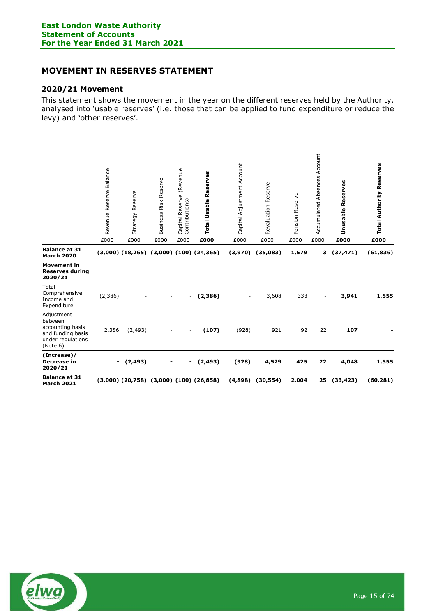# <span id="page-14-0"></span>**MOVEMENT IN RESERVES STATEMENT**

### **2020/21 Movement**

This statement shows the movement in the year on the different reserves held by the Authority, analysed into 'usable reserves' (i.e. those that can be applied to fund expenditure or reduce the levy) and 'other reserves'.

|                                                                                                 | Revenue Reserve Balance | Strategy Reserve                                  | Business Risk Reserve | Capital Reserve (Revenue<br>Contributions) | Total Usable Reserves | Capital Adjustment Account | Revaluation Reserve | Pension Reserve | Accumulated Absences Account | <b>Unusable Reserves</b> | <b>Total Authority Reserves</b> |
|-------------------------------------------------------------------------------------------------|-------------------------|---------------------------------------------------|-----------------------|--------------------------------------------|-----------------------|----------------------------|---------------------|-----------------|------------------------------|--------------------------|---------------------------------|
|                                                                                                 | £000                    | £000                                              | £000                  | £000                                       | £000                  | £000                       | £000                | £000            | £000                         | £000                     | £000                            |
| <b>Balance at 31</b><br><b>March 2020</b>                                                       |                         | $(3,000)$ $(18,265)$ $(3,000)$ $(100)$ $(24,365)$ |                       |                                            |                       | (3,970)                    | (35,083)            | 1,579           | з                            | (37, 471)                | (61, 836)                       |
| <b>Movement in</b><br><b>Reserves during</b><br>2020/21                                         |                         |                                                   |                       |                                            |                       |                            |                     |                 |                              |                          |                                 |
| Total<br>Comprehensive<br>Income and<br>Expenditure                                             | (2,386)                 |                                                   | -                     | $\overline{\phantom{a}}$                   | (2,386)               | ٠                          | 3,608               | 333             | $\overline{\phantom{a}}$     | 3,941                    | 1,555                           |
| Adjustment<br>between<br>accounting basis<br>and funding basis<br>under regulations<br>(Note 6) | 2,386                   | (2, 493)                                          |                       |                                            | (107)                 | (928)                      | 921                 | 92              | 22                           | 107                      |                                 |
| (Increase)/<br>Decrease in<br>2020/21                                                           |                         | $-$ (2,493)                                       | $\blacksquare$        | $\qquad \qquad \blacksquare$               | (2, 493)              | (928)                      | 4,529               | 425             | 22                           | 4,048                    | 1,555                           |
| <b>Balance at 31</b><br><b>March 2021</b>                                                       |                         | $(3,000)$ $(20,758)$ $(3,000)$ $(100)$ $(26,858)$ |                       |                                            |                       | (4,898)                    | (30, 554)           | 2,004           | 25                           | (33, 423)                | (60, 281)                       |

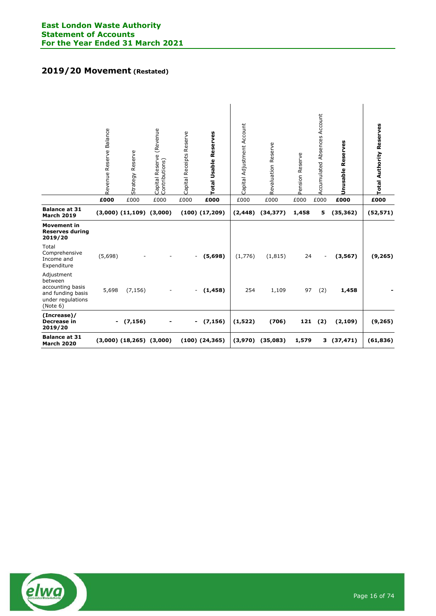# **2019/20 Movement (Restated)**

|                                                                                                 | Revenue Reserve Balance | Strategy Reserve               | Capital Reserve (Revenue<br>Contributions) | Capital Receipts Reserve | Total Usable Reserves | Capital Adjustment Account | Revaluation Reserve  | Pension Reserve | Absences Account<br>Accumulated | Reserves<br><b>Unusable</b> | <b>Total Authority Reserves</b> |
|-------------------------------------------------------------------------------------------------|-------------------------|--------------------------------|--------------------------------------------|--------------------------|-----------------------|----------------------------|----------------------|-----------------|---------------------------------|-----------------------------|---------------------------------|
|                                                                                                 | £000                    | £000                           | £000                                       | £000                     | £000                  | £000                       | £000                 | £000            | £000                            | £000                        | £000                            |
| <b>Balance at 31</b><br><b>March 2019</b>                                                       |                         | $(3,000)$ $(11,109)$ $(3,000)$ |                                            |                          | $(100)$ $(17,209)$    | (2, 448)                   | (34, 377)            | 1,458           | 5                               | (35, 362)                   | (52, 571)                       |
| <b>Movement in</b><br><b>Reserves during</b><br>2019/20                                         |                         |                                |                                            |                          |                       |                            |                      |                 |                                 |                             |                                 |
| Total<br>Comprehensive<br>Income and<br>Expenditure                                             | (5,698)                 |                                |                                            | $\overline{\phantom{a}}$ | (5,698)               | (1,776)                    | (1, 815)             | 24              |                                 | (3, 567)                    | (9, 265)                        |
| Adjustment<br>between<br>accounting basis<br>and funding basis<br>under regulations<br>(Note 6) | 5,698                   | (7, 156)                       |                                            | $\sim$                   | (1, 458)              | 254                        | 1,109                | 97              | (2)                             | 1,458                       |                                 |
| (Increase)/<br>Decrease in<br>2019/20                                                           |                         | (7, 156)                       |                                            | $\blacksquare$           | (7, 156)              | (1, 522)                   | (706)                | 121             | (2)                             | (2, 109)                    | (9, 265)                        |
| <b>Balance at 31</b><br><b>March 2020</b>                                                       |                         | $(3,000)$ $(18,265)$ $(3,000)$ |                                            |                          | $(100)$ $(24,365)$    |                            | $(3,970)$ $(35,083)$ | 1,579           | 3                               | (37, 471)                   | (61, 836)                       |

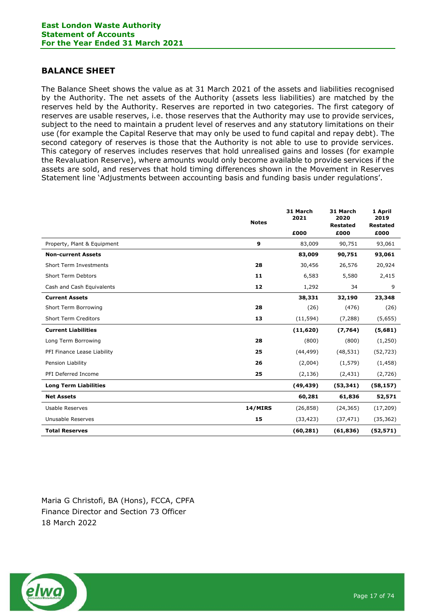## <span id="page-16-0"></span>**BALANCE SHEET**

The Balance Sheet shows the value as at 31 March 2021 of the assets and liabilities recognised by the Authority. The net assets of the Authority (assets less liabilities) are matched by the reserves held by the Authority. Reserves are reported in two categories. The first category of reserves are usable reserves, i.e. those reserves that the Authority may use to provide services, subject to the need to maintain a prudent level of reserves and any statutory limitations on their use (for example the Capital Reserve that may only be used to fund capital and repay debt). The second category of reserves is those that the Authority is not able to use to provide services. This category of reserves includes reserves that hold unrealised gains and losses (for example the Revaluation Reserve), where amounts would only become available to provide services if the assets are sold, and reserves that hold timing differences shown in the Movement in Reserves Statement line 'Adjustments between accounting basis and funding basis under regulations'.

|                               | <b>Notes</b> | 31 March<br>2021 | 31 March<br>2020<br><b>Restated</b> | 1 April<br>2019<br><b>Restated</b> |
|-------------------------------|--------------|------------------|-------------------------------------|------------------------------------|
|                               |              | £000             | £000                                | £000                               |
| Property, Plant & Equipment   | 9            | 83,009           | 90,751                              | 93,061                             |
| <b>Non-current Assets</b>     |              | 83,009           | 90,751                              | 93,061                             |
| <b>Short Term Investments</b> | 28           | 30,456           | 26,576                              | 20,924                             |
| Short Term Debtors            | 11           | 6,583            | 5,580                               | 2,415                              |
| Cash and Cash Equivalents     | 12           | 1,292            | 34                                  | 9                                  |
| <b>Current Assets</b>         |              | 38,331           | 32,190                              | 23,348                             |
| Short Term Borrowing          | 28           | (26)             | (476)                               | (26)                               |
| <b>Short Term Creditors</b>   | 13           | (11, 594)        | (7, 288)                            | (5,655)                            |
| <b>Current Liabilities</b>    |              | (11,620)         | (7,764)                             | (5,681)                            |
| Long Term Borrowing           | 28           | (800)            | (800)                               | (1,250)                            |
| PFI Finance Lease Liability   | 25           | (44, 499)        | (48, 531)                           | (52, 723)                          |
| Pension Liability             | 26           | (2,004)          | (1, 579)                            | (1, 458)                           |
| PFI Deferred Income           | 25           | (2, 136)         | (2, 431)                            | (2,726)                            |
| <b>Long Term Liabilities</b>  |              | (49, 439)        | (53, 341)                           | (58, 157)                          |
| <b>Net Assets</b>             |              | 60,281           | 61,836                              | 52,571                             |
| Usable Reserves               | 14/MIRS      | (26, 858)        | (24, 365)                           | (17, 209)                          |
| Unusable Reserves             | 15           | (33, 423)        | (37, 471)                           | (35, 362)                          |
| <b>Total Reserves</b>         |              | (60, 281)        | (61, 836)                           | (52, 571)                          |

Maria G Christofi, BA (Hons), FCCA, CPFA Finance Director and Section 73 Officer 18 March 2022

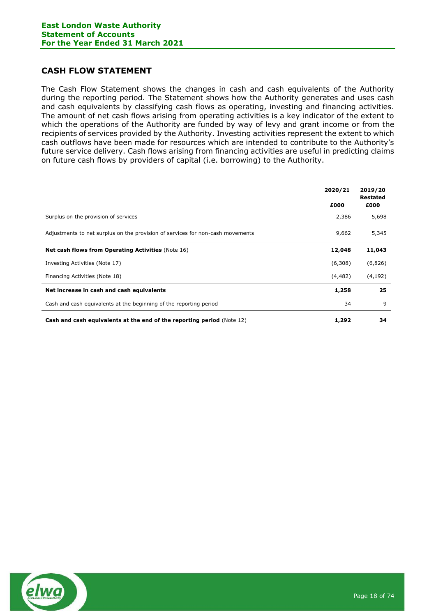# <span id="page-17-0"></span>**CASH FLOW STATEMENT**

The Cash Flow Statement shows the changes in cash and cash equivalents of the Authority during the reporting period. The Statement shows how the Authority generates and uses cash and cash equivalents by classifying cash flows as operating, investing and financing activities. The amount of net cash flows arising from operating activities is a key indicator of the extent to which the operations of the Authority are funded by way of levy and grant income or from the recipients of services provided by the Authority. Investing activities represent the extent to which cash outflows have been made for resources which are intended to contribute to the Authority's future service delivery. Cash flows arising from financing activities are useful in predicting claims on future cash flows by providers of capital (i.e. borrowing) to the Authority.

|                                                                                | 2020/21  | 2019/20<br><b>Restated</b> |
|--------------------------------------------------------------------------------|----------|----------------------------|
|                                                                                | £000     | £000                       |
| Surplus on the provision of services                                           | 2,386    | 5,698                      |
| Adjustments to net surplus on the provision of services for non-cash movements | 9,662    | 5,345                      |
| <b>Net cash flows from Operating Activities (Note 16)</b>                      | 12,048   | 11,043                     |
| Investing Activities (Note 17)                                                 | (6,308)  | (6,826)                    |
| Financing Activities (Note 18)                                                 | (4, 482) | (4, 192)                   |
| Net increase in cash and cash equivalents                                      | 1,258    | 25                         |
| Cash and cash equivalents at the beginning of the reporting period             | 34       | 9                          |
| <b>Cash and cash equivalents at the end of the reporting period (Note 12)</b>  | 1,292    | 34                         |

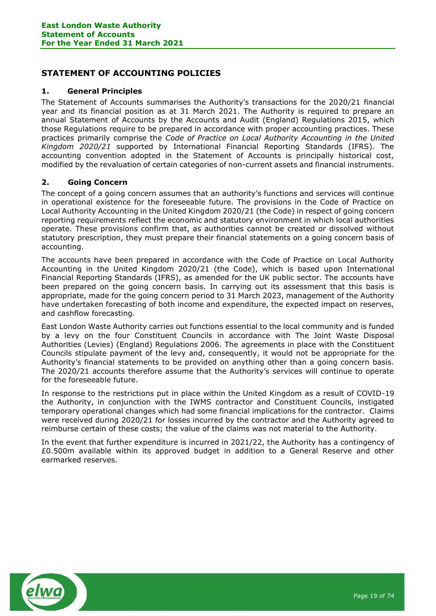# <span id="page-18-0"></span>**STATEMENT OF ACCOUNTING POLICIES**

### **1. General Principles**

The Statement of Accounts summarises the Authority's transactions for the 2020/21 financial year and its financial position as at 31 March 2021. The Authority is required to prepare an annual Statement of Accounts by the Accounts and Audit (England) Regulations 2015, which those Regulations require to be prepared in accordance with proper accounting practices. These practices primarily comprise the *Code of Practice on Local Authority Accounting in the United Kingdom 2020/21* supported by International Financial Reporting Standards (IFRS). The accounting convention adopted in the Statement of Accounts is principally historical cost, modified by the revaluation of certain categories of non-current assets and financial instruments.

### **2. Going Concern**

The concept of a going concern assumes that an authority's functions and services will continue in operational existence for the foreseeable future. The provisions in the Code of Practice on Local Authority Accounting in the United Kingdom 2020/21 (the Code) in respect of going concern reporting requirements reflect the economic and statutory environment in which local authorities operate. These provisions confirm that, as authorities cannot be created or dissolved without statutory prescription, they must prepare their financial statements on a going concern basis of accounting.

The accounts have been prepared in accordance with the Code of Practice on Local Authority Accounting in the United Kingdom 2020/21 (the Code), which is based upon International Financial Reporting Standards (IFRS), as amended for the UK public sector. The accounts have been prepared on the going concern basis. In carrying out its assessment that this basis is appropriate, made for the going concern period to 31 March 2023, management of the Authority have undertaken forecasting of both income and expenditure, the expected impact on reserves, and cashflow forecasting.

East London Waste Authority carries out functions essential to the local community and is funded by a levy on the four Constituent Councils in accordance with The Joint Waste Disposal Authorities (Levies) (England) Regulations 2006. The agreements in place with the Constituent Councils stipulate payment of the levy and, consequently, it would not be appropriate for the Authority's financial statements to be provided on anything other than a going concern basis. The 2020/21 accounts therefore assume that the Authority's services will continue to operate for the foreseeable future.

In response to the restrictions put in place within the United Kingdom as a result of COVID-19 the Authority, in conjunction with the IWMS contractor and Constituent Councils, instigated temporary operational changes which had some financial implications for the contractor. Claims were received during 2020/21 for losses incurred by the contractor and the Authority agreed to reimburse certain of these costs; the value of the claims was not material to the Authority.

In the event that further expenditure is incurred in 2021/22, the Authority has a contingency of £0.500m available within its approved budget in addition to a General Reserve and other earmarked reserves.

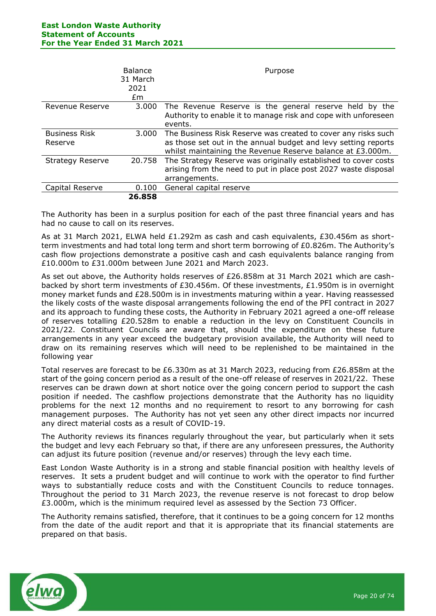|                                 | <b>Balance</b><br>31 March<br>2021<br>Em | Purpose                                                                                                                                                                                       |
|---------------------------------|------------------------------------------|-----------------------------------------------------------------------------------------------------------------------------------------------------------------------------------------------|
| Revenue Reserve                 | 3.000                                    | The Revenue Reserve is the general reserve held by the<br>Authority to enable it to manage risk and cope with unforeseen<br>events.                                                           |
| <b>Business Risk</b><br>Reserve | 3.000                                    | The Business Risk Reserve was created to cover any risks such<br>as those set out in the annual budget and levy setting reports<br>whilst maintaining the Revenue Reserve balance at £3.000m. |
| <b>Strategy Reserve</b>         | 20.758                                   | The Strategy Reserve was originally established to cover costs<br>arising from the need to put in place post 2027 waste disposal<br>arrangements.                                             |
| Capital Reserve                 | 0.100                                    | General capital reserve                                                                                                                                                                       |
|                                 | 26.858                                   |                                                                                                                                                                                               |

The Authority has been in a surplus position for each of the past three financial years and has had no cause to call on its reserves.

As at 31 March 2021, ELWA held £1.292m as cash and cash equivalents, £30.456m as shortterm investments and had total long term and short term borrowing of £0.826m. The Authority's cash flow projections demonstrate a positive cash and cash equivalents balance ranging from £10.000m to £31.000m between June 2021 and March 2023.

As set out above, the Authority holds reserves of £26.858m at 31 March 2021 which are cashbacked by short term investments of £30.456m. Of these investments, £1.950m is in overnight money market funds and £28.500m is in investments maturing within a year. Having reassessed the likely costs of the waste disposal arrangements following the end of the PFI contract in 2027 and its approach to funding these costs, the Authority in February 2021 agreed a one-off release of reserves totalling £20.528m to enable a reduction in the levy on Constituent Councils in 2021/22. Constituent Councils are aware that, should the expenditure on these future arrangements in any year exceed the budgetary provision available, the Authority will need to draw on its remaining reserves which will need to be replenished to be maintained in the following year

Total reserves are forecast to be £6.330m as at 31 March 2023, reducing from £26.858m at the start of the going concern period as a result of the one-off release of reserves in 2021/22. These reserves can be drawn down at short notice over the going concern period to support the cash position if needed. The cashflow projections demonstrate that the Authority has no liquidity problems for the next 12 months and no requirement to resort to any borrowing for cash management purposes. The Authority has not yet seen any other direct impacts nor incurred any direct material costs as a result of COVID-19.

The Authority reviews its finances regularly throughout the year, but particularly when it sets the budget and levy each February so that, if there are any unforeseen pressures, the Authority can adjust its future position (revenue and/or reserves) through the levy each time.

East London Waste Authority is in a strong and stable financial position with healthy levels of reserves. It sets a prudent budget and will continue to work with the operator to find further ways to substantially reduce costs and with the Constituent Councils to reduce tonnages. Throughout the period to 31 March 2023, the revenue reserve is not forecast to drop below £3.000m, which is the minimum required level as assessed by the Section 73 Officer.

The Authority remains satisfied, therefore, that it continues to be a going concern for 12 months from the date of the audit report and that it is appropriate that its financial statements are prepared on that basis.

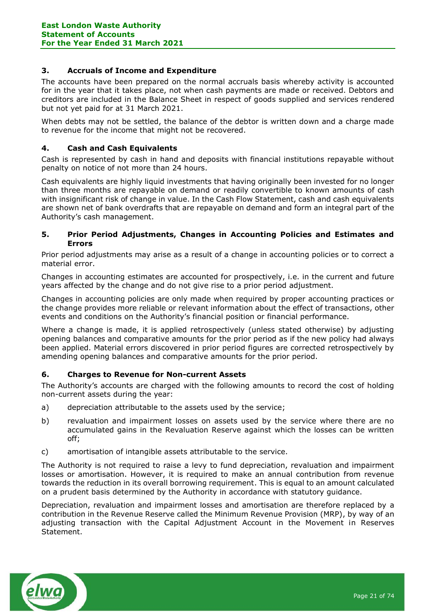### **3. Accruals of Income and Expenditure**

The accounts have been prepared on the normal accruals basis whereby activity is accounted for in the year that it takes place, not when cash payments are made or received. Debtors and creditors are included in the Balance Sheet in respect of goods supplied and services rendered but not yet paid for at 31 March 2021.

When debts may not be settled, the balance of the debtor is written down and a charge made to revenue for the income that might not be recovered.

### **4. Cash and Cash Equivalents**

Cash is represented by cash in hand and deposits with financial institutions repayable without penalty on notice of not more than 24 hours.

Cash equivalents are highly liquid investments that having originally been invested for no longer than three months are repayable on demand or readily convertible to known amounts of cash with insignificant risk of change in value. In the Cash Flow Statement, cash and cash equivalents are shown net of bank overdrafts that are repayable on demand and form an integral part of the Authority's cash management.

### **5. Prior Period Adjustments, Changes in Accounting Policies and Estimates and Errors**

Prior period adjustments may arise as a result of a change in accounting policies or to correct a material error.

Changes in accounting estimates are accounted for prospectively, i.e. in the current and future years affected by the change and do not give rise to a prior period adjustment.

Changes in accounting policies are only made when required by proper accounting practices or the change provides more reliable or relevant information about the effect of transactions, other events and conditions on the Authority's financial position or financial performance.

Where a change is made, it is applied retrospectively (unless stated otherwise) by adjusting opening balances and comparative amounts for the prior period as if the new policy had always been applied. Material errors discovered in prior period figures are corrected retrospectively by amending opening balances and comparative amounts for the prior period.

### **6. Charges to Revenue for Non-current Assets**

The Authority's accounts are charged with the following amounts to record the cost of holding non-current assets during the year:

- a) depreciation attributable to the assets used by the service;
- b) revaluation and impairment losses on assets used by the service where there are no accumulated gains in the Revaluation Reserve against which the losses can be written off;
- c) amortisation of intangible assets attributable to the service.

The Authority is not required to raise a levy to fund depreciation, revaluation and impairment losses or amortisation. However, it is required to make an annual contribution from revenue towards the reduction in its overall borrowing requirement. This is equal to an amount calculated on a prudent basis determined by the Authority in accordance with statutory guidance.

Depreciation, revaluation and impairment losses and amortisation are therefore replaced by a contribution in the Revenue Reserve called the Minimum Revenue Provision (MRP), by way of an adjusting transaction with the Capital Adjustment Account in the Movement in Reserves Statement.

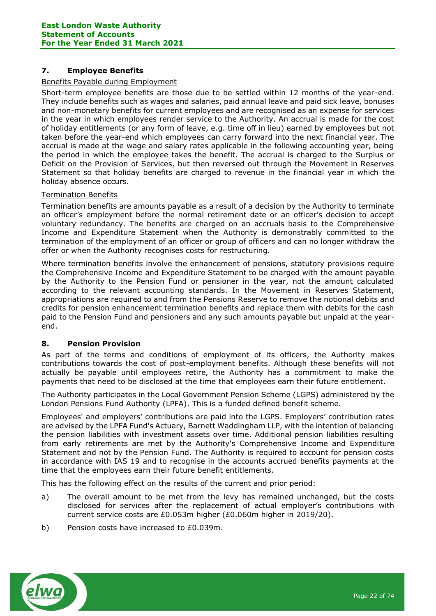### **7. Employee Benefits**

### Benefits Payable during Employment

Short-term employee benefits are those due to be settled within 12 months of the year-end. They include benefits such as wages and salaries, paid annual leave and paid sick leave, bonuses and non-monetary benefits for current employees and are recognised as an expense for services in the year in which employees render service to the Authority. An accrual is made for the cost of holiday entitlements (or any form of leave, e.g. time off in lieu) earned by employees but not taken before the year-end which employees can carry forward into the next financial year. The accrual is made at the wage and salary rates applicable in the following accounting year, being the period in which the employee takes the benefit. The accrual is charged to the Surplus or Deficit on the Provision of Services, but then reversed out through the Movement in Reserves Statement so that holiday benefits are charged to revenue in the financial year in which the holiday absence occurs.

### Termination Benefits

Termination benefits are amounts payable as a result of a decision by the Authority to terminate an officer's employment before the normal retirement date or an officer's decision to accept voluntary redundancy. The benefits are charged on an accruals basis to the Comprehensive Income and Expenditure Statement when the Authority is demonstrably committed to the termination of the employment of an officer or group of officers and can no longer withdraw the offer or when the Authority recognises costs for restructuring.

Where termination benefits involve the enhancement of pensions, statutory provisions require the Comprehensive Income and Expenditure Statement to be charged with the amount payable by the Authority to the Pension Fund or pensioner in the year, not the amount calculated according to the relevant accounting standards. In the Movement in Reserves Statement, appropriations are required to and from the Pensions Reserve to remove the notional debits and credits for pension enhancement termination benefits and replace them with debits for the cash paid to the Pension Fund and pensioners and any such amounts payable but unpaid at the yearend.

### **8. Pension Provision**

As part of the terms and conditions of employment of its officers, the Authority makes contributions towards the cost of post-employment benefits. Although these benefits will not actually be payable until employees retire, the Authority has a commitment to make the payments that need to be disclosed at the time that employees earn their future entitlement.

The Authority participates in the Local Government Pension Scheme (LGPS) administered by the London Pensions Fund Authority (LPFA). This is a funded defined benefit scheme.

Employees' and employers' contributions are paid into the LGPS. Employers' contribution rates are advised by the LPFA Fund's Actuary, Barnett Waddingham LLP, with the intention of balancing the pension liabilities with investment assets over time. Additional pension liabilities resulting from early retirements are met by the Authority's Comprehensive Income and Expenditure Statement and not by the Pension Fund. The Authority is required to account for pension costs in accordance with IAS 19 and to recognise in the accounts accrued benefits payments at the time that the employees earn their future benefit entitlements.

This has the following effect on the results of the current and prior period:

- a) The overall amount to be met from the levy has remained unchanged, but the costs disclosed for services after the replacement of actual employer's contributions with current service costs are £0.053m higher (£0.060m higher in 2019/20).
- b) Pension costs have increased to £0.039m.

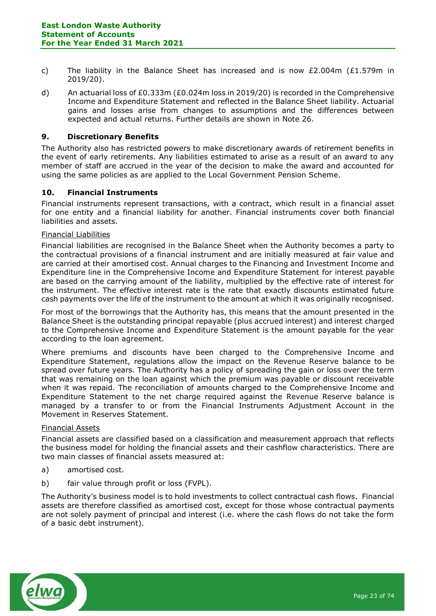- c) The liability in the Balance Sheet has increased and is now £2,004m (£1,579m in 2019/20).
- d) An actuarial loss of £0.333m (£0.024m loss in 2019/20) is recorded in the Comprehensive Income and Expenditure Statement and reflected in the Balance Sheet liability. Actuarial gains and losses arise from changes to assumptions and the differences between expected and actual returns. Further details are shown in Note 26.

### **9. Discretionary Benefits**

The Authority also has restricted powers to make discretionary awards of retirement benefits in the event of early retirements. Any liabilities estimated to arise as a result of an award to any member of staff are accrued in the year of the decision to make the award and accounted for using the same policies as are applied to the Local Government Pension Scheme.

### **10. Financial Instruments**

Financial instruments represent transactions, with a contract, which result in a financial asset for one entity and a financial liability for another. Financial instruments cover both financial liabilities and assets.

#### Financial Liabilities

Financial liabilities are recognised in the Balance Sheet when the Authority becomes a party to the contractual provisions of a financial instrument and are initially measured at fair value and are carried at their amortised cost. Annual charges to the Financing and Investment Income and Expenditure line in the Comprehensive Income and Expenditure Statement for interest payable are based on the carrying amount of the liability, multiplied by the effective rate of interest for the instrument. The effective interest rate is the rate that exactly discounts estimated future cash payments over the life of the instrument to the amount at which it was originally recognised.

For most of the borrowings that the Authority has, this means that the amount presented in the Balance Sheet is the outstanding principal repayable (plus accrued interest) and interest charged to the Comprehensive Income and Expenditure Statement is the amount payable for the year according to the loan agreement.

Where premiums and discounts have been charged to the Comprehensive Income and Expenditure Statement, regulations allow the impact on the Revenue Reserve balance to be spread over future years. The Authority has a policy of spreading the gain or loss over the term that was remaining on the loan against which the premium was payable or discount receivable when it was repaid. The reconciliation of amounts charged to the Comprehensive Income and Expenditure Statement to the net charge required against the Revenue Reserve balance is managed by a transfer to or from the Financial Instruments Adjustment Account in the Movement in Reserves Statement.

#### Financial Assets

Financial assets are classified based on a classification and measurement approach that reflects the business model for holding the financial assets and their cashflow characteristics. There are two main classes of financial assets measured at:

- a) amortised cost.
- b) fair value through profit or loss (FVPL).

The Authority's business model is to hold investments to collect contractual cash flows. Financial assets are therefore classified as amortised cost, except for those whose contractual payments are not solely payment of principal and interest (i.e. where the cash flows do not take the form of a basic debt instrument).

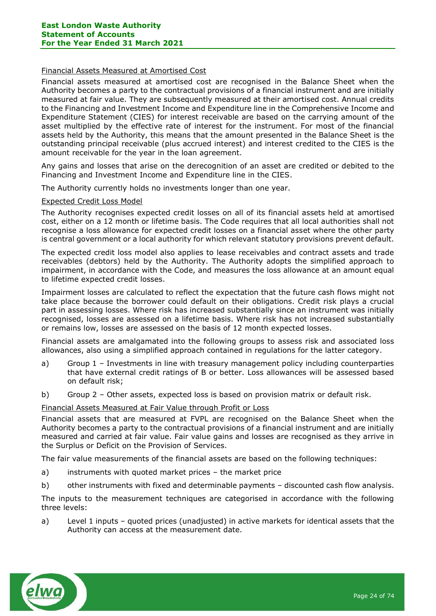### Financial Assets Measured at Amortised Cost

Financial assets measured at amortised cost are recognised in the Balance Sheet when the Authority becomes a party to the contractual provisions of a financial instrument and are initially measured at fair value. They are subsequently measured at their amortised cost. Annual credits to the Financing and Investment Income and Expenditure line in the Comprehensive Income and Expenditure Statement (CIES) for interest receivable are based on the carrying amount of the asset multiplied by the effective rate of interest for the instrument. For most of the financial assets held by the Authority, this means that the amount presented in the Balance Sheet is the outstanding principal receivable (plus accrued interest) and interest credited to the CIES is the amount receivable for the year in the loan agreement.

Any gains and losses that arise on the derecognition of an asset are credited or debited to the Financing and Investment Income and Expenditure line in the CIES.

The Authority currently holds no investments longer than one year.

### Expected Credit Loss Model

The Authority recognises expected credit losses on all of its financial assets held at amortised cost, either on a 12 month or lifetime basis. The Code requires that all local authorities shall not recognise a loss allowance for expected credit losses on a financial asset where the other party is central government or a local authority for which relevant statutory provisions prevent default.

The expected credit loss model also applies to lease receivables and contract assets and trade receivables (debtors) held by the Authority. The Authority adopts the simplified approach to impairment, in accordance with the Code, and measures the loss allowance at an amount equal to lifetime expected credit losses.

Impairment losses are calculated to reflect the expectation that the future cash flows might not take place because the borrower could default on their obligations. Credit risk plays a crucial part in assessing losses. Where risk has increased substantially since an instrument was initially recognised, losses are assessed on a lifetime basis. Where risk has not increased substantially or remains low, losses are assessed on the basis of 12 month expected losses.

Financial assets are amalgamated into the following groups to assess risk and associated loss allowances, also using a simplified approach contained in regulations for the latter category.

- a) Group 1 Investments in line with treasury management policy including counterparties that have external credit ratings of B or better. Loss allowances will be assessed based on default risk;
- b) Group 2 Other assets, expected loss is based on provision matrix or default risk.

### Financial Assets Measured at Fair Value through Profit or Loss

Financial assets that are measured at FVPL are recognised on the Balance Sheet when the Authority becomes a party to the contractual provisions of a financial instrument and are initially measured and carried at fair value. Fair value gains and losses are recognised as they arrive in the Surplus or Deficit on the Provision of Services.

The fair value measurements of the financial assets are based on the following techniques:

- a) instruments with quoted market prices the market price
- b) other instruments with fixed and determinable payments discounted cash flow analysis.

The inputs to the measurement techniques are categorised in accordance with the following three levels:

a) Level 1 inputs – quoted prices (unadjusted) in active markets for identical assets that the Authority can access at the measurement date.

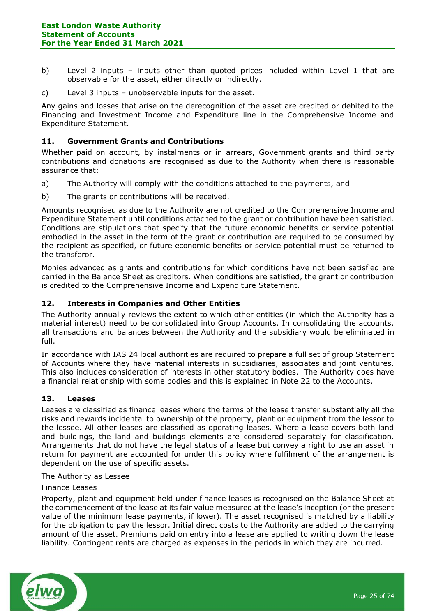- b) Level 2 inputs inputs other than quoted prices included within Level 1 that are observable for the asset, either directly or indirectly.
- c) Level 3 inputs unobservable inputs for the asset.

Any gains and losses that arise on the derecognition of the asset are credited or debited to the Financing and Investment Income and Expenditure line in the Comprehensive Income and Expenditure Statement.

### **11. Government Grants and Contributions**

Whether paid on account, by instalments or in arrears, Government grants and third party contributions and donations are recognised as due to the Authority when there is reasonable assurance that:

- a) The Authority will comply with the conditions attached to the payments, and
- b) The grants or contributions will be received.

Amounts recognised as due to the Authority are not credited to the Comprehensive Income and Expenditure Statement until conditions attached to the grant or contribution have been satisfied. Conditions are stipulations that specify that the future economic benefits or service potential embodied in the asset in the form of the grant or contribution are required to be consumed by the recipient as specified, or future economic benefits or service potential must be returned to the transferor.

Monies advanced as grants and contributions for which conditions have not been satisfied are carried in the Balance Sheet as creditors. When conditions are satisfied, the grant or contribution is credited to the Comprehensive Income and Expenditure Statement.

### **12. Interests in Companies and Other Entities**

The Authority annually reviews the extent to which other entities (in which the Authority has a material interest) need to be consolidated into Group Accounts. In consolidating the accounts, all transactions and balances between the Authority and the subsidiary would be eliminated in full.

In accordance with IAS 24 local authorities are required to prepare a full set of group Statement of Accounts where they have material interests in subsidiaries, associates and joint ventures. This also includes consideration of interests in other statutory bodies. The Authority does have a financial relationship with some bodies and this is explained in Note 22 to the Accounts.

### **13. Leases**

Leases are classified as finance leases where the terms of the lease transfer substantially all the risks and rewards incidental to ownership of the property, plant or equipment from the lessor to the lessee. All other leases are classified as operating leases. Where a lease covers both land and buildings, the land and buildings elements are considered separately for classification. Arrangements that do not have the legal status of a lease but convey a right to use an asset in return for payment are accounted for under this policy where fulfilment of the arrangement is dependent on the use of specific assets.

### The Authority as Lessee

### Finance Leases

Property, plant and equipment held under finance leases is recognised on the Balance Sheet at the commencement of the lease at its fair value measured at the lease's inception (or the present value of the minimum lease payments, if lower). The asset recognised is matched by a liability for the obligation to pay the lessor. Initial direct costs to the Authority are added to the carrying amount of the asset. Premiums paid on entry into a lease are applied to writing down the lease liability. Contingent rents are charged as expenses in the periods in which they are incurred.

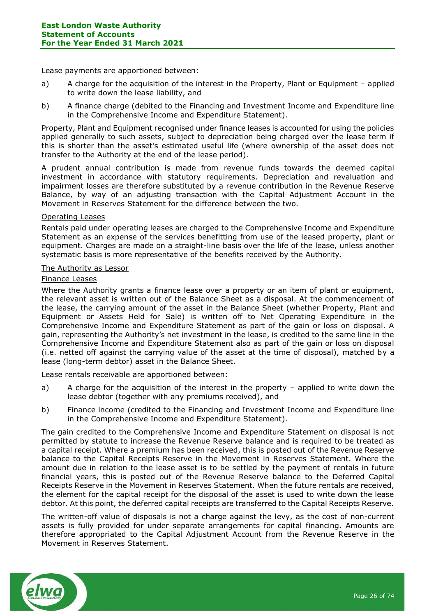Lease payments are apportioned between:

- a) A charge for the acquisition of the interest in the Property, Plant or Equipment applied to write down the lease liability, and
- b) A finance charge (debited to the Financing and Investment Income and Expenditure line in the Comprehensive Income and Expenditure Statement).

Property, Plant and Equipment recognised under finance leases is accounted for using the policies applied generally to such assets, subject to depreciation being charged over the lease term if this is shorter than the asset's estimated useful life (where ownership of the asset does not transfer to the Authority at the end of the lease period).

A prudent annual contribution is made from revenue funds towards the deemed capital investment in accordance with statutory requirements. Depreciation and revaluation and impairment losses are therefore substituted by a revenue contribution in the Revenue Reserve Balance, by way of an adjusting transaction with the Capital Adjustment Account in the Movement in Reserves Statement for the difference between the two.

### Operating Leases

Rentals paid under operating leases are charged to the Comprehensive Income and Expenditure Statement as an expense of the services benefitting from use of the leased property, plant or equipment. Charges are made on a straight-line basis over the life of the lease, unless another systematic basis is more representative of the benefits received by the Authority.

### The Authority as Lessor

### Finance Leases

Where the Authority grants a finance lease over a property or an item of plant or equipment, the relevant asset is written out of the Balance Sheet as a disposal. At the commencement of the lease, the carrying amount of the asset in the Balance Sheet (whether Property, Plant and Equipment or Assets Held for Sale) is written off to Net Operating Expenditure in the Comprehensive Income and Expenditure Statement as part of the gain or loss on disposal. A gain, representing the Authority's net investment in the lease, is credited to the same line in the Comprehensive Income and Expenditure Statement also as part of the gain or loss on disposal (i.e. netted off against the carrying value of the asset at the time of disposal), matched by a lease (long-term debtor) asset in the Balance Sheet.

Lease rentals receivable are apportioned between:

- a) A charge for the acquisition of the interest in the property applied to write down the lease debtor (together with any premiums received), and
- b) Finance income (credited to the Financing and Investment Income and Expenditure line in the Comprehensive Income and Expenditure Statement).

The gain credited to the Comprehensive Income and Expenditure Statement on disposal is not permitted by statute to increase the Revenue Reserve balance and is required to be treated as a capital receipt. Where a premium has been received, this is posted out of the Revenue Reserve balance to the Capital Receipts Reserve in the Movement in Reserves Statement. Where the amount due in relation to the lease asset is to be settled by the payment of rentals in future financial years, this is posted out of the Revenue Reserve balance to the Deferred Capital Receipts Reserve in the Movement in Reserves Statement. When the future rentals are received, the element for the capital receipt for the disposal of the asset is used to write down the lease debtor. At this point, the deferred capital receipts are transferred to the Capital Receipts Reserve.

The written-off value of disposals is not a charge against the levy, as the cost of non-current assets is fully provided for under separate arrangements for capital financing. Amounts are therefore appropriated to the Capital Adjustment Account from the Revenue Reserve in the Movement in Reserves Statement.

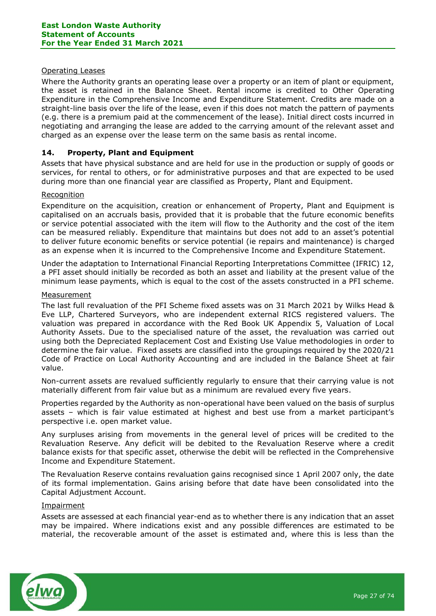### Operating Leases

Where the Authority grants an operating lease over a property or an item of plant or equipment, the asset is retained in the Balance Sheet. Rental income is credited to Other Operating Expenditure in the Comprehensive Income and Expenditure Statement. Credits are made on a straight-line basis over the life of the lease, even if this does not match the pattern of payments (e.g. there is a premium paid at the commencement of the lease). Initial direct costs incurred in negotiating and arranging the lease are added to the carrying amount of the relevant asset and charged as an expense over the lease term on the same basis as rental income.

### **14. Property, Plant and Equipment**

Assets that have physical substance and are held for use in the production or supply of goods or services, for rental to others, or for administrative purposes and that are expected to be used during more than one financial year are classified as Property, Plant and Equipment.

### Recognition

Expenditure on the acquisition, creation or enhancement of Property, Plant and Equipment is capitalised on an accruals basis, provided that it is probable that the future economic benefits or service potential associated with the item will flow to the Authority and the cost of the item can be measured reliably. Expenditure that maintains but does not add to an asset's potential to deliver future economic benefits or service potential (ie repairs and maintenance) is charged as an expense when it is incurred to the Comprehensive Income and Expenditure Statement.

Under the adaptation to International Financial Reporting Interpretations Committee (IFRIC) 12, a PFI asset should initially be recorded as both an asset and liability at the present value of the minimum lease payments, which is equal to the cost of the assets constructed in a PFI scheme.

### Measurement

The last full revaluation of the PFI Scheme fixed assets was on 31 March 2021 by Wilks Head & Eve LLP, Chartered Surveyors, who are independent external RICS registered valuers. The valuation was prepared in accordance with the Red Book UK Appendix 5, Valuation of Local Authority Assets. Due to the specialised nature of the asset, the revaluation was carried out using both the Depreciated Replacement Cost and Existing Use Value methodologies in order to determine the fair value. Fixed assets are classified into the groupings required by the 2020/21 Code of Practice on Local Authority Accounting and are included in the Balance Sheet at fair value.

Non-current assets are revalued sufficiently regularly to ensure that their carrying value is not materially different from fair value but as a minimum are revalued every five years.

Properties regarded by the Authority as non-operational have been valued on the basis of surplus assets – which is fair value estimated at highest and best use from a market participant's perspective i.e. open market value.

Any surpluses arising from movements in the general level of prices will be credited to the Revaluation Reserve. Any deficit will be debited to the Revaluation Reserve where a credit balance exists for that specific asset, otherwise the debit will be reflected in the Comprehensive Income and Expenditure Statement.

The Revaluation Reserve contains revaluation gains recognised since 1 April 2007 only, the date of its formal implementation. Gains arising before that date have been consolidated into the Capital Adjustment Account.

### Impairment

Assets are assessed at each financial year-end as to whether there is any indication that an asset may be impaired. Where indications exist and any possible differences are estimated to be material, the recoverable amount of the asset is estimated and, where this is less than the

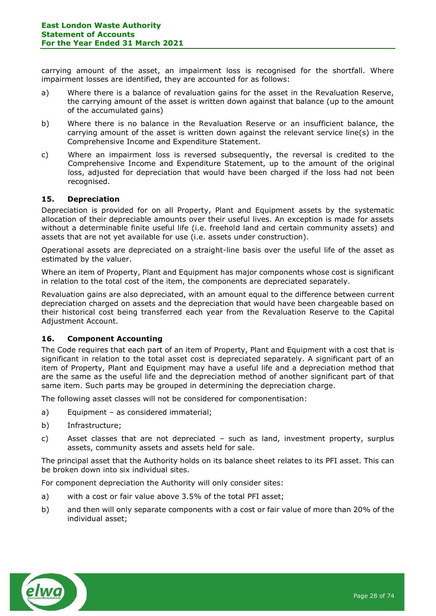carrying amount of the asset, an impairment loss is recognised for the shortfall. Where impairment losses are identified, they are accounted for as follows:

- a) Where there is a balance of revaluation gains for the asset in the Revaluation Reserve, the carrying amount of the asset is written down against that balance (up to the amount of the accumulated gains)
- b) Where there is no balance in the Revaluation Reserve or an insufficient balance, the carrying amount of the asset is written down against the relevant service line(s) in the Comprehensive Income and Expenditure Statement.
- c) Where an impairment loss is reversed subsequently, the reversal is credited to the Comprehensive Income and Expenditure Statement, up to the amount of the original loss, adjusted for depreciation that would have been charged if the loss had not been recognised.

### **15. Depreciation**

Depreciation is provided for on all Property, Plant and Equipment assets by the systematic allocation of their depreciable amounts over their useful lives. An exception is made for assets without a determinable finite useful life (i.e. freehold land and certain community assets) and assets that are not yet available for use (i.e. assets under construction).

Operational assets are depreciated on a straight-line basis over the useful life of the asset as estimated by the valuer.

Where an item of Property, Plant and Equipment has major components whose cost is significant in relation to the total cost of the item, the components are depreciated separately.

Revaluation gains are also depreciated, with an amount equal to the difference between current depreciation charged on assets and the depreciation that would have been chargeable based on their historical cost being transferred each year from the Revaluation Reserve to the Capital Adjustment Account.

### **16. Component Accounting**

The Code requires that each part of an item of Property, Plant and Equipment with a cost that is significant in relation to the total asset cost is depreciated separately. A significant part of an item of Property, Plant and Equipment may have a useful life and a depreciation method that are the same as the useful life and the depreciation method of another significant part of that same item. Such parts may be grouped in determining the depreciation charge.

The following asset classes will not be considered for componentisation:

- a) Equipment as considered immaterial;
- b) Infrastructure;
- c) Asset classes that are not depreciated such as land, investment property, surplus assets, community assets and assets held for sale.

The principal asset that the Authority holds on its balance sheet relates to its PFI asset. This can be broken down into six individual sites.

For component depreciation the Authority will only consider sites:

- a) with a cost or fair value above 3.5% of the total PFI asset;
- b) and then will only separate components with a cost or fair value of more than 20% of the individual asset;

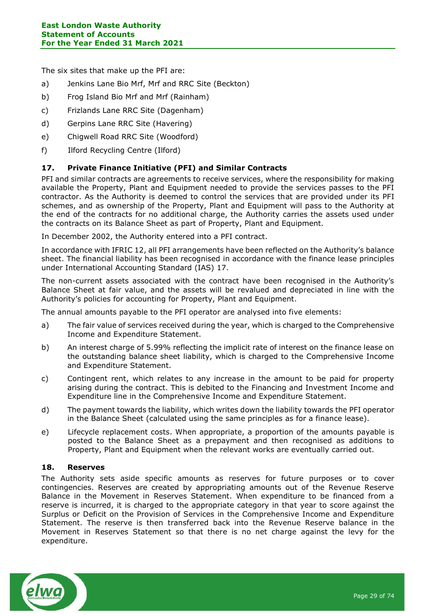The six sites that make up the PFI are:

- a) Jenkins Lane Bio Mrf, Mrf and RRC Site (Beckton)
- b) Frog Island Bio Mrf and Mrf (Rainham)
- c) Frizlands Lane RRC Site (Dagenham)
- d) Gerpins Lane RRC Site (Havering)
- e) Chigwell Road RRC Site (Woodford)
- f) Ilford Recycling Centre (Ilford)

### **17. Private Finance Initiative (PFI) and Similar Contracts**

PFI and similar contracts are agreements to receive services, where the responsibility for making available the Property, Plant and Equipment needed to provide the services passes to the PFI contractor. As the Authority is deemed to control the services that are provided under its PFI schemes, and as ownership of the Property, Plant and Equipment will pass to the Authority at the end of the contracts for no additional charge, the Authority carries the assets used under the contracts on its Balance Sheet as part of Property, Plant and Equipment.

In December 2002, the Authority entered into a PFI contract.

In accordance with IFRIC 12, all PFI arrangements have been reflected on the Authority's balance sheet. The financial liability has been recognised in accordance with the finance lease principles under International Accounting Standard (IAS) 17.

The non-current assets associated with the contract have been recognised in the Authority's Balance Sheet at fair value, and the assets will be revalued and depreciated in line with the Authority's policies for accounting for Property, Plant and Equipment.

The annual amounts payable to the PFI operator are analysed into five elements:

- a) The fair value of services received during the year, which is charged to the Comprehensive Income and Expenditure Statement.
- b) An interest charge of 5.99% reflecting the implicit rate of interest on the finance lease on the outstanding balance sheet liability, which is charged to the Comprehensive Income and Expenditure Statement.
- c) Contingent rent, which relates to any increase in the amount to be paid for property arising during the contract. This is debited to the Financing and Investment Income and Expenditure line in the Comprehensive Income and Expenditure Statement.
- d) The payment towards the liability, which writes down the liability towards the PFI operator in the Balance Sheet (calculated using the same principles as for a finance lease).
- e) Lifecycle replacement costs. When appropriate, a proportion of the amounts payable is posted to the Balance Sheet as a prepayment and then recognised as additions to Property, Plant and Equipment when the relevant works are eventually carried out.

### **18. Reserves**

The Authority sets aside specific amounts as reserves for future purposes or to cover contingencies. Reserves are created by appropriating amounts out of the Revenue Reserve Balance in the Movement in Reserves Statement. When expenditure to be financed from a reserve is incurred, it is charged to the appropriate category in that year to score against the Surplus or Deficit on the Provision of Services in the Comprehensive Income and Expenditure Statement. The reserve is then transferred back into the Revenue Reserve balance in the Movement in Reserves Statement so that there is no net charge against the levy for the expenditure.

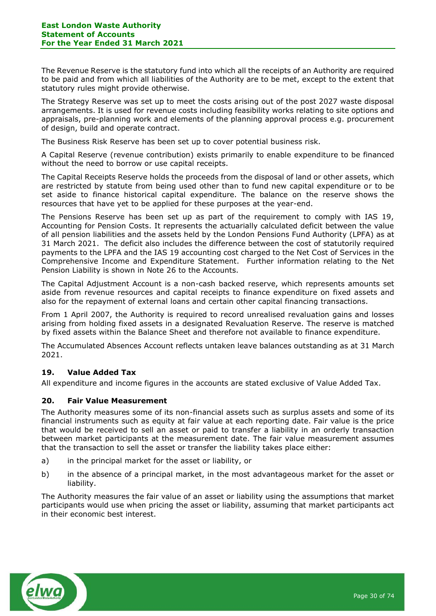The Revenue Reserve is the statutory fund into which all the receipts of an Authority are required to be paid and from which all liabilities of the Authority are to be met, except to the extent that statutory rules might provide otherwise.

The Strategy Reserve was set up to meet the costs arising out of the post 2027 waste disposal arrangements. It is used for revenue costs including feasibility works relating to site options and appraisals, pre-planning work and elements of the planning approval process e.g. procurement of design, build and operate contract.

The Business Risk Reserve has been set up to cover potential business risk.

A Capital Reserve (revenue contribution) exists primarily to enable expenditure to be financed without the need to borrow or use capital receipts.

The Capital Receipts Reserve holds the proceeds from the disposal of land or other assets, which are restricted by statute from being used other than to fund new capital expenditure or to be set aside to finance historical capital expenditure. The balance on the reserve shows the resources that have yet to be applied for these purposes at the year-end.

The Pensions Reserve has been set up as part of the requirement to comply with IAS 19, Accounting for Pension Costs. It represents the actuarially calculated deficit between the value of all pension liabilities and the assets held by the London Pensions Fund Authority (LPFA) as at 31 March 2021. The deficit also includes the difference between the cost of statutorily required payments to the LPFA and the IAS 19 accounting cost charged to the Net Cost of Services in the Comprehensive Income and Expenditure Statement. Further information relating to the Net Pension Liability is shown in Note 26 to the Accounts.

The Capital Adjustment Account is a non-cash backed reserve, which represents amounts set aside from revenue resources and capital receipts to finance expenditure on fixed assets and also for the repayment of external loans and certain other capital financing transactions.

From 1 April 2007, the Authority is required to record unrealised revaluation gains and losses arising from holding fixed assets in a designated Revaluation Reserve. The reserve is matched by fixed assets within the Balance Sheet and therefore not available to finance expenditure.

The Accumulated Absences Account reflects untaken leave balances outstanding as at 31 March 2021.

### **19. Value Added Tax**

All expenditure and income figures in the accounts are stated exclusive of Value Added Tax.

### **20. Fair Value Measurement**

The Authority measures some of its non-financial assets such as surplus assets and some of its financial instruments such as equity at fair value at each reporting date. Fair value is the price that would be received to sell an asset or paid to transfer a liability in an orderly transaction between market participants at the measurement date. The fair value measurement assumes that the transaction to sell the asset or transfer the liability takes place either:

- a) in the principal market for the asset or liability, or
- b) in the absence of a principal market, in the most advantageous market for the asset or liability.

The Authority measures the fair value of an asset or liability using the assumptions that market participants would use when pricing the asset or liability, assuming that market participants act in their economic best interest.

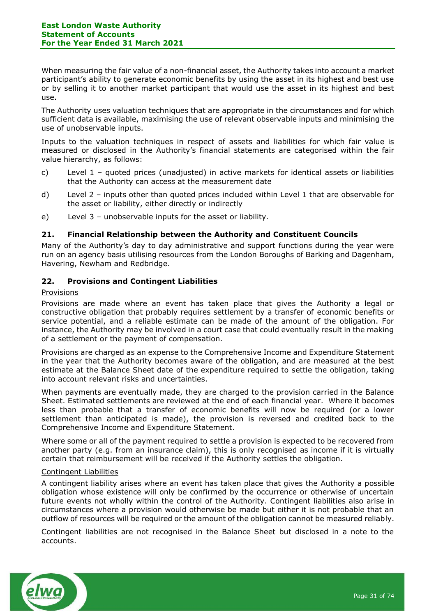When measuring the fair value of a non-financial asset, the Authority takes into account a market participant's ability to generate economic benefits by using the asset in its highest and best use or by selling it to another market participant that would use the asset in its highest and best use.

The Authority uses valuation techniques that are appropriate in the circumstances and for which sufficient data is available, maximising the use of relevant observable inputs and minimising the use of unobservable inputs.

Inputs to the valuation techniques in respect of assets and liabilities for which fair value is measured or disclosed in the Authority's financial statements are categorised within the fair value hierarchy, as follows:

- c) Level 1 quoted prices (unadjusted) in active markets for identical assets or liabilities that the Authority can access at the measurement date
- d) Level 2 inputs other than quoted prices included within Level 1 that are observable for the asset or liability, either directly or indirectly
- e) Level 3 unobservable inputs for the asset or liability.

### **21. Financial Relationship between the Authority and Constituent Councils**

Many of the Authority's day to day administrative and support functions during the year were run on an agency basis utilising resources from the London Boroughs of Barking and Dagenham, Havering, Newham and Redbridge.

### **22. Provisions and Contingent Liabilities**

### Provisions

Provisions are made where an event has taken place that gives the Authority a legal or constructive obligation that probably requires settlement by a transfer of economic benefits or service potential, and a reliable estimate can be made of the amount of the obligation. For instance, the Authority may be involved in a court case that could eventually result in the making of a settlement or the payment of compensation.

Provisions are charged as an expense to the Comprehensive Income and Expenditure Statement in the year that the Authority becomes aware of the obligation, and are measured at the best estimate at the Balance Sheet date of the expenditure required to settle the obligation, taking into account relevant risks and uncertainties.

When payments are eventually made, they are charged to the provision carried in the Balance Sheet. Estimated settlements are reviewed at the end of each financial year. Where it becomes less than probable that a transfer of economic benefits will now be required (or a lower settlement than anticipated is made), the provision is reversed and credited back to the Comprehensive Income and Expenditure Statement.

Where some or all of the payment required to settle a provision is expected to be recovered from another party (e.g. from an insurance claim), this is only recognised as income if it is virtually certain that reimbursement will be received if the Authority settles the obligation.

### Contingent Liabilities

A contingent liability arises where an event has taken place that gives the Authority a possible obligation whose existence will only be confirmed by the occurrence or otherwise of uncertain future events not wholly within the control of the Authority. Contingent liabilities also arise in circumstances where a provision would otherwise be made but either it is not probable that an outflow of resources will be required or the amount of the obligation cannot be measured reliably.

Contingent liabilities are not recognised in the Balance Sheet but disclosed in a note to the accounts.

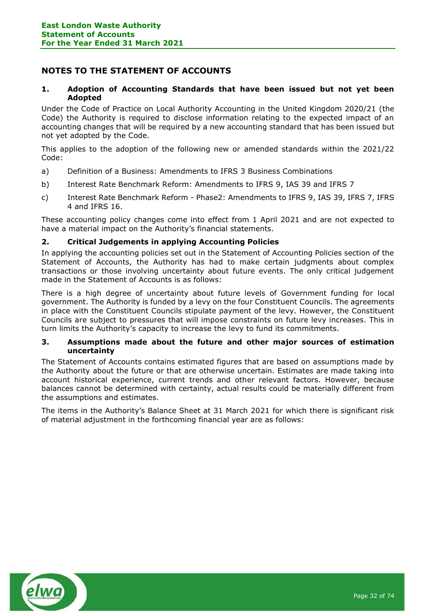# <span id="page-31-0"></span>**NOTES TO THE STATEMENT OF ACCOUNTS**

### **1. Adoption of Accounting Standards that have been issued but not yet been Adopted**

Under the Code of Practice on Local Authority Accounting in the United Kingdom 2020/21 (the Code) the Authority is required to disclose information relating to the expected impact of an accounting changes that will be required by a new accounting standard that has been issued but not yet adopted by the Code.

This applies to the adoption of the following new or amended standards within the 2021/22 Code:

- a) Definition of a Business: Amendments to IFRS 3 Business Combinations
- b) Interest Rate Benchmark Reform: Amendments to IFRS 9, IAS 39 and IFRS 7
- c) Interest Rate Benchmark Reform Phase2: Amendments to IFRS 9, IAS 39, IFRS 7, IFRS 4 and IFRS 16.

These accounting policy changes come into effect from 1 April 2021 and are not expected to have a material impact on the Authority's financial statements.

### **2. Critical Judgements in applying Accounting Policies**

In applying the accounting policies set out in the Statement of Accounting Policies section of the Statement of Accounts, the Authority has had to make certain judgments about complex transactions or those involving uncertainty about future events. The only critical judgement made in the Statement of Accounts is as follows:

There is a high degree of uncertainty about future levels of Government funding for local government. The Authority is funded by a levy on the four Constituent Councils. The agreements in place with the Constituent Councils stipulate payment of the levy. However, the Constituent Councils are subject to pressures that will impose constraints on future levy increases. This in turn limits the Authority's capacity to increase the levy to fund its commitments.

### **3. Assumptions made about the future and other major sources of estimation uncertainty**

The Statement of Accounts contains estimated figures that are based on assumptions made by the Authority about the future or that are otherwise uncertain. Estimates are made taking into account historical experience, current trends and other relevant factors. However, because balances cannot be determined with certainty, actual results could be materially different from the assumptions and estimates.

The items in the Authority's Balance Sheet at 31 March 2021 for which there is significant risk of material adjustment in the forthcoming financial year are as follows:

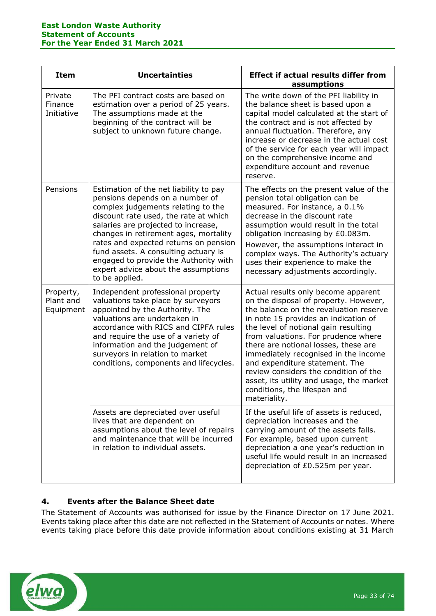| <b>Item</b>                         | <b>Uncertainties</b>                                                                                                                                                                                                                                                                                                                                                                                                        | <b>Effect if actual results differ from</b><br>assumptions                                                                                                                                                                                                                                                                                                                                                                                                                                           |  |  |  |
|-------------------------------------|-----------------------------------------------------------------------------------------------------------------------------------------------------------------------------------------------------------------------------------------------------------------------------------------------------------------------------------------------------------------------------------------------------------------------------|------------------------------------------------------------------------------------------------------------------------------------------------------------------------------------------------------------------------------------------------------------------------------------------------------------------------------------------------------------------------------------------------------------------------------------------------------------------------------------------------------|--|--|--|
| Private<br>Finance<br>Initiative    | The PFI contract costs are based on<br>estimation over a period of 25 years.<br>The assumptions made at the<br>beginning of the contract will be<br>subject to unknown future change.                                                                                                                                                                                                                                       | The write down of the PFI liability in<br>the balance sheet is based upon a<br>capital model calculated at the start of<br>the contract and is not affected by<br>annual fluctuation. Therefore, any<br>increase or decrease in the actual cost<br>of the service for each year will impact<br>on the comprehensive income and<br>expenditure account and revenue<br>reserve.                                                                                                                        |  |  |  |
| Pensions                            | Estimation of the net liability to pay<br>pensions depends on a number of<br>complex judgements relating to the<br>discount rate used, the rate at which<br>salaries are projected to increase,<br>changes in retirement ages, mortality<br>rates and expected returns on pension<br>fund assets. A consulting actuary is<br>engaged to provide the Authority with<br>expert advice about the assumptions<br>to be applied. | The effects on the present value of the<br>pension total obligation can be<br>measured. For instance, a 0.1%<br>decrease in the discount rate<br>assumption would result in the total<br>obligation increasing by £0.083m.<br>However, the assumptions interact in<br>complex ways. The Authority's actuary<br>uses their experience to make the<br>necessary adjustments accordingly.                                                                                                               |  |  |  |
| Property,<br>Plant and<br>Equipment | Independent professional property<br>valuations take place by surveyors<br>appointed by the Authority. The<br>valuations are undertaken in<br>accordance with RICS and CIPFA rules<br>and require the use of a variety of<br>information and the judgement of<br>surveyors in relation to market<br>conditions, components and lifecycles.                                                                                  | Actual results only become apparent<br>on the disposal of property. However,<br>the balance on the revaluation reserve<br>in note 15 provides an indication of<br>the level of notional gain resulting<br>from valuations. For prudence where<br>there are notional losses, these are<br>immediately recognised in the income<br>and expenditure statement. The<br>review considers the condition of the<br>asset, its utility and usage, the market<br>conditions, the lifespan and<br>materiality. |  |  |  |
|                                     | Assets are depreciated over useful<br>lives that are dependent on<br>assumptions about the level of repairs<br>and maintenance that will be incurred<br>in relation to individual assets.                                                                                                                                                                                                                                   | If the useful life of assets is reduced,<br>depreciation increases and the<br>carrying amount of the assets falls.<br>For example, based upon current<br>depreciation a one year's reduction in<br>useful life would result in an increased<br>depreciation of £0.525m per year.                                                                                                                                                                                                                     |  |  |  |

# **4. Events after the Balance Sheet date**

The Statement of Accounts was authorised for issue by the Finance Director on 17 June 2021. Events taking place after this date are not reflected in the Statement of Accounts or notes. Where events taking place before this date provide information about conditions existing at 31 March

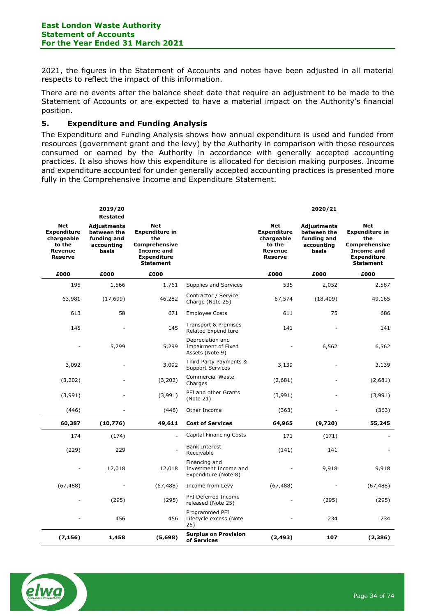2021, the figures in the Statement of Accounts and notes have been adjusted in all material respects to reflect the impact of this information.

There are no events after the balance sheet date that require an adjustment to be made to the Statement of Accounts or are expected to have a material impact on the Authority's financial position.

### **5. Expenditure and Funding Analysis**

The Expenditure and Funding Analysis shows how annual expenditure is used and funded from resources (government grant and the levy) by the Authority in comparison with those resources consumed or earned by the Authority in accordance with generally accepted accounting practices. It also shows how this expenditure is allocated for decision making purposes. Income and expenditure accounted for under generally accepted accounting practices is presented more fully in the Comprehensive Income and Expenditure Statement.

|                                                                                | 2019/20<br><b>Restated</b>                                       |                                                                                                                            |                                                                |                                                                         | 2020/21                                                          |                                                                                                                            |
|--------------------------------------------------------------------------------|------------------------------------------------------------------|----------------------------------------------------------------------------------------------------------------------------|----------------------------------------------------------------|-------------------------------------------------------------------------|------------------------------------------------------------------|----------------------------------------------------------------------------------------------------------------------------|
| Net<br><b>Expenditure</b><br>chargeable<br>to the<br>Revenue<br><b>Reserve</b> | Adjustments<br>between the<br>funding and<br>accounting<br>basis | Net<br><b>Expenditure in</b><br>the<br><b>Comprehensive</b><br><b>Income and</b><br><b>Expenditure</b><br><b>Statement</b> |                                                                | Net<br><b>Expenditure</b><br>chargeable<br>to the<br>Revenue<br>Reserve | Adjustments<br>between the<br>funding and<br>accounting<br>basis | Net<br><b>Expenditure in</b><br>the<br><b>Comprehensive</b><br><b>Income and</b><br><b>Expenditure</b><br><b>Statement</b> |
| £000                                                                           | £000                                                             | £000                                                                                                                       |                                                                | £000                                                                    | £000                                                             | £000                                                                                                                       |
| 195                                                                            | 1,566                                                            | 1,761                                                                                                                      | Supplies and Services                                          | 535                                                                     | 2,052                                                            | 2,587                                                                                                                      |
| 63,981                                                                         | (17, 699)                                                        | 46,282                                                                                                                     | Contractor / Service<br>Charge (Note 25)                       | 67,574                                                                  | (18, 409)                                                        | 49,165                                                                                                                     |
| 613                                                                            | 58                                                               | 671                                                                                                                        | <b>Employee Costs</b>                                          | 611                                                                     | 75                                                               | 686                                                                                                                        |
| 145                                                                            |                                                                  | 145                                                                                                                        | Transport & Premises<br><b>Related Expenditure</b>             | 141                                                                     |                                                                  | 141                                                                                                                        |
|                                                                                | 5,299                                                            | 5,299                                                                                                                      | Depreciation and<br>Impairment of Fixed<br>Assets (Note 9)     |                                                                         | 6,562                                                            | 6,562                                                                                                                      |
| 3,092                                                                          |                                                                  | 3,092                                                                                                                      | Third Party Payments &<br><b>Support Services</b>              | 3,139                                                                   |                                                                  | 3,139                                                                                                                      |
| (3,202)                                                                        |                                                                  | (3,202)                                                                                                                    | <b>Commercial Waste</b><br>Charges                             | (2,681)                                                                 |                                                                  | (2,681)                                                                                                                    |
| (3,991)                                                                        |                                                                  | (3,991)                                                                                                                    | PFI and other Grants<br>(Note 21)                              | (3,991)                                                                 |                                                                  | (3,991)                                                                                                                    |
| (446)                                                                          |                                                                  | (446)                                                                                                                      | Other Income                                                   | (363)                                                                   |                                                                  | (363)                                                                                                                      |
| 60,387                                                                         | (10, 776)                                                        | 49,611                                                                                                                     | <b>Cost of Services</b>                                        | 64,965                                                                  | (9,720)                                                          | 55,245                                                                                                                     |
| 174                                                                            | (174)                                                            |                                                                                                                            | <b>Capital Financing Costs</b>                                 | 171                                                                     | (171)                                                            |                                                                                                                            |
| (229)                                                                          | 229                                                              |                                                                                                                            | <b>Bank Interest</b><br>Receivable                             | (141)                                                                   | 141                                                              |                                                                                                                            |
|                                                                                | 12,018                                                           | 12,018                                                                                                                     | Financing and<br>Investment Income and<br>Expenditure (Note 8) |                                                                         | 9,918                                                            | 9,918                                                                                                                      |
| (67, 488)                                                                      |                                                                  | (67, 488)                                                                                                                  | Income from Levy                                               | (67, 488)                                                               |                                                                  | (67, 488)                                                                                                                  |
|                                                                                | (295)                                                            | (295)                                                                                                                      | PFI Deferred Income<br>released (Note 25)                      |                                                                         | (295)                                                            | (295)                                                                                                                      |
|                                                                                | 456                                                              | 456                                                                                                                        | Programmed PFI<br>Lifecycle excess (Note<br>25)                |                                                                         | 234                                                              | 234                                                                                                                        |
| (7, 156)                                                                       | 1,458                                                            | (5, 698)                                                                                                                   | <b>Surplus on Provision</b><br>of Services                     | (2, 493)                                                                | 107                                                              | (2, 386)                                                                                                                   |

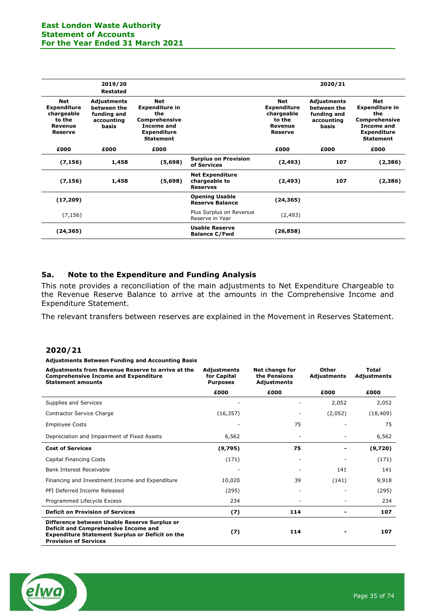|                                                                                       | 2019/20<br><b>Restated</b>                                              |                                                                                                              |                                                            |                                                                                       | 2020/21                                                          |                                                                                                                            |
|---------------------------------------------------------------------------------------|-------------------------------------------------------------------------|--------------------------------------------------------------------------------------------------------------|------------------------------------------------------------|---------------------------------------------------------------------------------------|------------------------------------------------------------------|----------------------------------------------------------------------------------------------------------------------------|
| <b>Net</b><br><b>Expenditure</b><br>chargeable<br>to the<br>Revenue<br><b>Reserve</b> | <b>Adjustments</b><br>between the<br>funding and<br>accounting<br>basis | Net<br><b>Expenditure in</b><br>the<br>Comprehensive<br>Income and<br><b>Expenditure</b><br><b>Statement</b> |                                                            | <b>Net</b><br><b>Expenditure</b><br>chargeable<br>to the<br>Revenue<br><b>Reserve</b> | Adjustments<br>between the<br>funding and<br>accounting<br>basis | <b>Net</b><br><b>Expenditure in</b><br>the<br>Comprehensive<br><b>Income and</b><br><b>Expenditure</b><br><b>Statement</b> |
| £000                                                                                  | £000                                                                    | £000                                                                                                         |                                                            | £000                                                                                  | £000                                                             | £000                                                                                                                       |
| (7, 156)                                                                              | 1,458                                                                   | (5,698)                                                                                                      | <b>Surplus on Provision</b><br>of Services                 | (2, 493)                                                                              | 107                                                              | (2,386)                                                                                                                    |
| (7, 156)                                                                              | 1,458                                                                   | (5,698)                                                                                                      | <b>Net Expenditure</b><br>chargeable to<br><b>Reserves</b> | (2, 493)                                                                              | 107                                                              | (2,386)                                                                                                                    |
| (17, 209)                                                                             |                                                                         |                                                                                                              | <b>Opening Usable</b><br><b>Reserve Balance</b>            | (24, 365)                                                                             |                                                                  |                                                                                                                            |
| (7, 156)                                                                              |                                                                         |                                                                                                              | Plus Surplus on Revenue<br>Reserve in Year                 | (2, 493)                                                                              |                                                                  |                                                                                                                            |
| (24, 365)                                                                             |                                                                         |                                                                                                              | <b>Usable Reserve</b><br><b>Balance C/Fwd</b>              | (26, 858)                                                                             |                                                                  |                                                                                                                            |

### **5a. Note to the Expenditure and Funding Analysis**

This note provides a reconciliation of the main adjustments to Net Expenditure Chargeable to the Revenue Reserve Balance to arrive at the amounts in the Comprehensive Income and Expenditure Statement.

The relevant transfers between reserves are explained in the Movement in Reserves Statement.

### **2020/21**

**Adjustments Between Funding and Accounting Basis**

| Adjustments from Revenue Reserve to arrive at the<br><b>Comprehensive Income and Expenditure</b><br><b>Statement amounts</b>                                                          | <b>Adjustments</b><br>for Capital<br><b>Purposes</b> | Net change for<br>the Pensions<br>Adjustments | Other<br><b>Adjustments</b> | <b>Total</b><br>Adjustments |
|---------------------------------------------------------------------------------------------------------------------------------------------------------------------------------------|------------------------------------------------------|-----------------------------------------------|-----------------------------|-----------------------------|
|                                                                                                                                                                                       | £000                                                 | £000                                          | £000                        | £000                        |
| Supplies and Services                                                                                                                                                                 |                                                      |                                               | 2,052                       | 2,052                       |
| Contractor Service Charge                                                                                                                                                             | (16, 357)                                            |                                               | (2,052)                     | (18, 409)                   |
| <b>Employee Costs</b>                                                                                                                                                                 |                                                      | 75                                            |                             | 75                          |
| Depreciation and Impairment of Fixed Assets                                                                                                                                           | 6,562                                                |                                               |                             | 6,562                       |
| <b>Cost of Services</b>                                                                                                                                                               | (9,795)                                              | 75                                            |                             | (9,720)                     |
| <b>Capital Financing Costs</b>                                                                                                                                                        | (171)                                                |                                               |                             | (171)                       |
| Bank Interest Receivable                                                                                                                                                              |                                                      |                                               | 141                         | 141                         |
| Financing and Investment Income and Expenditure                                                                                                                                       | 10,020                                               | 39                                            | (141)                       | 9,918                       |
| PFI Deferred Income Released                                                                                                                                                          | (295)                                                | ۰                                             |                             | (295)                       |
| Programmed Lifecycle Excess                                                                                                                                                           | 234                                                  |                                               |                             | 234                         |
| <b>Deficit on Provision of Services</b>                                                                                                                                               | (7)                                                  | 114                                           |                             | 107                         |
| Difference between Usable Reserve Surplus or<br><b>Deficit and Comprehensive Income and</b><br><b>Expenditure Statement Surplus or Deficit on the</b><br><b>Provision of Services</b> | (7)                                                  | 114                                           |                             | 107                         |

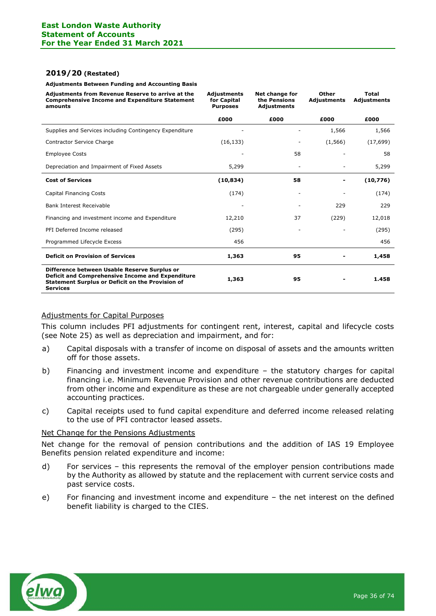#### **2019/20 (Restated)**

**Adjustments Between Funding and Accounting Basis**

| Adjustments from Revenue Reserve to arrive at the<br><b>Comprehensive Income and Expenditure Statement</b><br>amounts                                                          | <b>Adjustments</b><br>for Capital<br><b>Purposes</b> | Net change for<br>the Pensions<br><b>Adjustments</b> | Other<br><b>Adjustments</b> | <b>Total</b><br><b>Adjustments</b> |
|--------------------------------------------------------------------------------------------------------------------------------------------------------------------------------|------------------------------------------------------|------------------------------------------------------|-----------------------------|------------------------------------|
|                                                                                                                                                                                | £000                                                 | £000                                                 | £000                        | £000                               |
| Supplies and Services including Contingency Expenditure                                                                                                                        |                                                      |                                                      | 1,566                       | 1,566                              |
| Contractor Service Charge                                                                                                                                                      | (16, 133)                                            |                                                      | (1, 566)                    | (17, 699)                          |
| <b>Employee Costs</b>                                                                                                                                                          |                                                      | 58                                                   |                             | 58                                 |
| Depreciation and Impairment of Fixed Assets                                                                                                                                    | 5,299                                                |                                                      |                             | 5,299                              |
| <b>Cost of Services</b>                                                                                                                                                        | (10, 834)                                            | 58                                                   |                             | (10,776)                           |
| <b>Capital Financing Costs</b>                                                                                                                                                 | (174)                                                | ۰                                                    |                             | (174)                              |
| Bank Interest Receivable                                                                                                                                                       |                                                      |                                                      | 229                         | 229                                |
| Financing and investment income and Expenditure                                                                                                                                | 12,210                                               | 37                                                   | (229)                       | 12,018                             |
| PFI Deferred Income released                                                                                                                                                   | (295)                                                |                                                      |                             | (295)                              |
| Programmed Lifecycle Excess                                                                                                                                                    | 456                                                  |                                                      |                             | 456                                |
| <b>Deficit on Provision of Services</b>                                                                                                                                        | 1,363                                                | 95                                                   |                             | 1,458                              |
| Difference between Usable Reserve Surplus or<br>Deficit and Comprehensive Income and Expenditure<br><b>Statement Surplus or Deficit on the Provision of</b><br><b>Services</b> | 1,363                                                | 95                                                   |                             | 1.458                              |

#### Adjustments for Capital Purposes

This column includes PFI adjustments for contingent rent, interest, capital and lifecycle costs (see Note 25) as well as depreciation and impairment, and for:

- a) Capital disposals with a transfer of income on disposal of assets and the amounts written off for those assets.
- b) Financing and investment income and expenditure the statutory charges for capital financing i.e. Minimum Revenue Provision and other revenue contributions are deducted from other income and expenditure as these are not chargeable under generally accepted accounting practices.
- c) Capital receipts used to fund capital expenditure and deferred income released relating to the use of PFI contractor leased assets.

### Net Change for the Pensions Adjustments

Net change for the removal of pension contributions and the addition of IAS 19 Employee Benefits pension related expenditure and income:

- d) For services this represents the removal of the employer pension contributions made by the Authority as allowed by statute and the replacement with current service costs and past service costs.
- e) For financing and investment income and expenditure the net interest on the defined benefit liability is charged to the CIES.

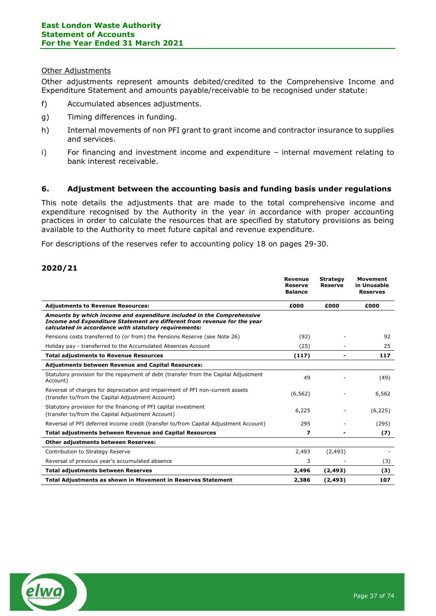# Other Adjustments

Other adjustments represent amounts debited/credited to the Comprehensive Income and Expenditure Statement and amounts payable/receivable to be recognised under statute:

- f) Accumulated absences adjustments.
- g) Timing differences in funding.
- h) Internal movements of non PFI grant to grant income and contractor insurance to supplies and services.
- i) For financing and investment income and expenditure internal movement relating to bank interest receivable.

# **6. Adjustment between the accounting basis and funding basis under regulations**

This note details the adjustments that are made to the total comprehensive income and expenditure recognised by the Authority in the year in accordance with proper accounting practices in order to calculate the resources that are specified by statutory provisions as being available to the Authority to meet future capital and revenue expenditure.

For descriptions of the reserves refer to accounting policy 18 on pages 29-30.

# **2020/21**

|                                                                                                                                                                                                            | <b>Revenue</b><br><b>Reserve</b><br><b>Balance</b> | <b>Strategy</b><br><b>Reserve</b> | <b>Movement</b><br>in Unusable<br><b>Reserves</b> |
|------------------------------------------------------------------------------------------------------------------------------------------------------------------------------------------------------------|----------------------------------------------------|-----------------------------------|---------------------------------------------------|
| <b>Adjustments to Revenue Resources:</b>                                                                                                                                                                   | £000                                               | £000                              | £000                                              |
| Amounts by which income and expenditure included in the Comprehensive<br>Income and Expenditure Statement are different from revenue for the year<br>calculated in accordance with statutory requirements: |                                                    |                                   |                                                   |
| Pensions costs transferred to (or from) the Pensions Reserve (see Note 26)                                                                                                                                 | (92)                                               |                                   | 92                                                |
| Holiday pay - transferred to the Accumulated Absences Account                                                                                                                                              | (25)                                               |                                   | 25                                                |
| <b>Total adjustments to Revenue Resources</b>                                                                                                                                                              | (117)                                              |                                   | 117                                               |
| <b>Adjustments between Revenue and Capital Resources:</b>                                                                                                                                                  |                                                    |                                   |                                                   |
| Statutory provision for the repayment of debt (transfer from the Capital Adjustment<br>Account)                                                                                                            | 49                                                 |                                   | (49)                                              |
| Reversal of charges for depreciation and impairment of PFI non-current assets<br>(transfer to/from the Capital Adjustment Account)                                                                         | (6, 562)                                           |                                   | 6,562                                             |
| Statutory provision for the financing of PFI capital investment<br>(transfer to/from the Capital Adjustment Account)                                                                                       | 6,225                                              |                                   | (6, 225)                                          |
| Reversal of PFI deferred income credit (transfer to/from Capital Adjustment Account)                                                                                                                       | 295                                                |                                   | (295)                                             |
| <b>Total adjustments between Revenue and Capital Resources</b>                                                                                                                                             | 7                                                  |                                   | (7)                                               |
| <b>Other adjustments between Reserves:</b>                                                                                                                                                                 |                                                    |                                   |                                                   |
| Contribution to Strategy Reserve                                                                                                                                                                           | 2,493                                              | (2, 493)                          |                                                   |
| Reversal of previous year's accumulated absence                                                                                                                                                            | 3                                                  |                                   | (3)                                               |
| <b>Total adjustments between Reserves</b>                                                                                                                                                                  | 2,496                                              | (2, 493)                          | (3)                                               |
| Total Adjustments as shown in Movement in Reserves Statement                                                                                                                                               | 2,386                                              | (2, 493)                          | 107                                               |

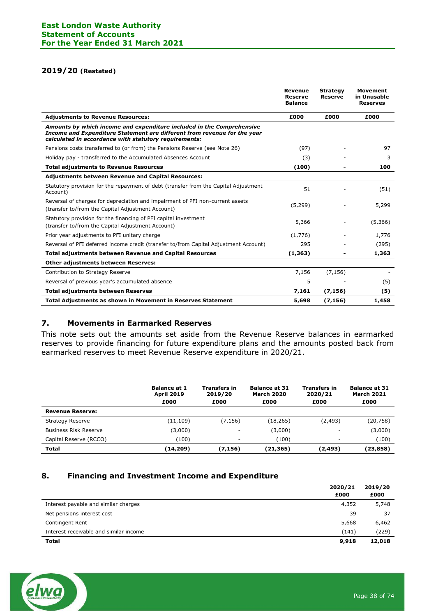# **2019/20 (Restated)**

|                                                                                                                                                                                                            | <b>Revenue</b><br><b>Reserve</b><br><b>Balance</b> | <b>Strategy</b><br><b>Reserve</b> | <b>Movement</b><br>in Unusable<br><b>Reserves</b> |
|------------------------------------------------------------------------------------------------------------------------------------------------------------------------------------------------------------|----------------------------------------------------|-----------------------------------|---------------------------------------------------|
| <b>Adiustments to Revenue Resources:</b>                                                                                                                                                                   | £000                                               | £000                              | £000                                              |
| Amounts by which income and expenditure included in the Comprehensive<br>Income and Expenditure Statement are different from revenue for the year<br>calculated in accordance with statutory requirements: |                                                    |                                   |                                                   |
| Pensions costs transferred to (or from) the Pensions Reserve (see Note 26)                                                                                                                                 | (97)                                               |                                   | 97                                                |
| Holiday pay - transferred to the Accumulated Absences Account                                                                                                                                              | (3)                                                |                                   | 3                                                 |
| <b>Total adjustments to Revenue Resources</b>                                                                                                                                                              | (100)                                              |                                   | 100                                               |
| <b>Adjustments between Revenue and Capital Resources:</b>                                                                                                                                                  |                                                    |                                   |                                                   |
| Statutory provision for the repayment of debt (transfer from the Capital Adjustment<br>Account)                                                                                                            | 51                                                 |                                   | (51)                                              |
| Reversal of charges for depreciation and impairment of PFI non-current assets<br>(transfer to/from the Capital Adjustment Account)                                                                         | (5,299)                                            |                                   | 5,299                                             |
| Statutory provision for the financing of PFI capital investment<br>(transfer to/from the Capital Adjustment Account)                                                                                       | 5,366                                              |                                   | (5,366)                                           |
| Prior year adjustments to PFI unitary charge                                                                                                                                                               | (1,776)                                            |                                   | 1,776                                             |
| Reversal of PFI deferred income credit (transfer to/from Capital Adjustment Account)                                                                                                                       | 295                                                |                                   | (295)                                             |
| <b>Total adjustments between Revenue and Capital Resources</b>                                                                                                                                             | (1, 363)                                           |                                   | 1,363                                             |
| Other adjustments between Reserves:                                                                                                                                                                        |                                                    |                                   |                                                   |
| Contribution to Strategy Reserve                                                                                                                                                                           | 7,156                                              | (7, 156)                          |                                                   |
| Reversal of previous year's accumulated absence                                                                                                                                                            | 5                                                  |                                   | (5)                                               |
| <b>Total adjustments between Reserves</b>                                                                                                                                                                  | 7,161                                              | (7, 156)                          | (5)                                               |
| <b>Total Adjustments as shown in Movement in Reserves Statement</b>                                                                                                                                        | 5,698                                              | (7, 156)                          | 1,458                                             |

# **7. Movements in Earmarked Reserves**

This note sets out the amounts set aside from the Revenue Reserve balances in earmarked reserves to provide financing for future expenditure plans and the amounts posted back from earmarked reserves to meet Revenue Reserve expenditure in 2020/21.

|                              | <b>Balance at 1</b><br><b>April 2019</b><br>£000 | <b>Transfers in</b><br>2019/20<br>£000 | <b>Balance at 31</b><br><b>March 2020</b><br>£000 | <b>Transfers in</b><br>2020/21<br>£000 | <b>Balance at 31</b><br><b>March 2021</b><br>£000 |
|------------------------------|--------------------------------------------------|----------------------------------------|---------------------------------------------------|----------------------------------------|---------------------------------------------------|
| <b>Revenue Reserve:</b>      |                                                  |                                        |                                                   |                                        |                                                   |
| <b>Strategy Reserve</b>      | (11, 109)                                        | (7,156)                                | (18, 265)                                         | (2, 493)                               | (20, 758)                                         |
| <b>Business Risk Reserve</b> | (3,000)                                          | ۰                                      | (3,000)                                           | -                                      | (3,000)                                           |
| Capital Reserve (RCCO)       | (100)                                            |                                        | (100)                                             | -                                      | (100)                                             |
| <b>Total</b>                 | (14, 209)                                        | (7,156)                                | (21,365)                                          | (2, 493)                               | (23, 858)                                         |

# **8. Financing and Investment Income and Expenditure**

|                                        | 2020/21<br>£000 | 2019/20<br>£000 |
|----------------------------------------|-----------------|-----------------|
| Interest payable and similar charges   | 4,352           | 5,748           |
| Net pensions interest cost             | 39              | 37              |
| Contingent Rent                        | 5,668           | 6,462           |
| Interest receivable and similar income | (141)           | (229)           |
| <b>Total</b>                           | 9,918           | 12,018          |

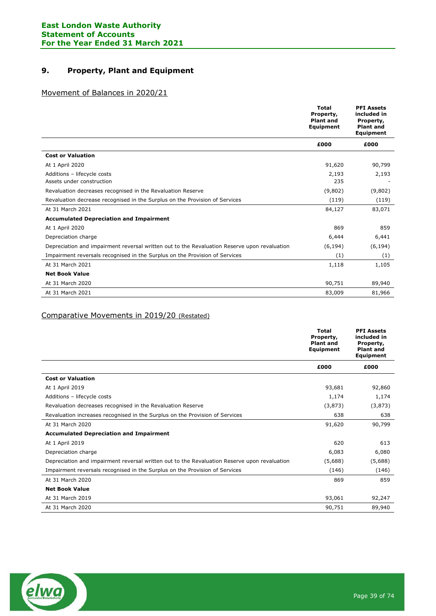# **9. Property, Plant and Equipment**

# Movement of Balances in 2020/21

|                                                                                              | <b>Total</b><br>Property,<br><b>Plant and</b><br>Equipment | <b>PFI Assets</b><br>included in<br>Property,<br><b>Plant and</b><br><b>Equipment</b> |
|----------------------------------------------------------------------------------------------|------------------------------------------------------------|---------------------------------------------------------------------------------------|
|                                                                                              | £000                                                       | £000                                                                                  |
| <b>Cost or Valuation</b>                                                                     |                                                            |                                                                                       |
| At 1 April 2020                                                                              | 91,620                                                     | 90,799                                                                                |
| Additions - lifecycle costs                                                                  | 2,193                                                      | 2,193                                                                                 |
| Assets under construction                                                                    | 235                                                        |                                                                                       |
| Revaluation decreases recognised in the Revaluation Reserve                                  | (9,802)                                                    | (9,802)                                                                               |
| Revaluation decrease recognised in the Surplus on the Provision of Services                  | (119)                                                      | (119)                                                                                 |
| At 31 March 2021                                                                             | 84,127                                                     | 83,071                                                                                |
| <b>Accumulated Depreciation and Impairment</b>                                               |                                                            |                                                                                       |
| At 1 April 2020                                                                              | 869                                                        | 859                                                                                   |
| Depreciation charge                                                                          | 6,444                                                      | 6,441                                                                                 |
| Depreciation and impairment reversal written out to the Revaluation Reserve upon revaluation | (6, 194)                                                   | (6, 194)                                                                              |
| Impairment reversals recognised in the Surplus on the Provision of Services                  | (1)                                                        | $\left(1\right)$                                                                      |
| At 31 March 2021                                                                             | 1,118                                                      | 1,105                                                                                 |
| <b>Net Book Value</b>                                                                        |                                                            |                                                                                       |
| At 31 March 2020                                                                             | 90,751                                                     | 89,940                                                                                |
| At 31 March 2021                                                                             | 83,009                                                     | 81,966                                                                                |

# Comparative Movements in 2019/20 (Restated)

|                                                                                              | <b>Total</b><br>Property,<br><b>Plant and</b><br>Equipment | <b>PFI Assets</b><br>included in<br>Property,<br><b>Plant and</b><br>Equipment |
|----------------------------------------------------------------------------------------------|------------------------------------------------------------|--------------------------------------------------------------------------------|
|                                                                                              | £000                                                       | £000                                                                           |
| <b>Cost or Valuation</b>                                                                     |                                                            |                                                                                |
| At 1 April 2019                                                                              | 93,681                                                     | 92,860                                                                         |
| Additions - lifecycle costs                                                                  | 1,174                                                      | 1,174                                                                          |
| Revaluation decreases recognised in the Revaluation Reserve                                  | (3,873)                                                    | (3,873)                                                                        |
| Revaluation increases recognised in the Surplus on the Provision of Services                 | 638                                                        | 638                                                                            |
| At 31 March 2020                                                                             | 91,620                                                     | 90,799                                                                         |
| <b>Accumulated Depreciation and Impairment</b>                                               |                                                            |                                                                                |
| At 1 April 2019                                                                              | 620                                                        | 613                                                                            |
| Depreciation charge                                                                          | 6,083                                                      | 6,080                                                                          |
| Depreciation and impairment reversal written out to the Revaluation Reserve upon revaluation | (5,688)                                                    | (5,688)                                                                        |
| Impairment reversals recognised in the Surplus on the Provision of Services                  | (146)                                                      | (146)                                                                          |
| At 31 March 2020                                                                             | 869                                                        | 859                                                                            |
| <b>Net Book Value</b>                                                                        |                                                            |                                                                                |
| At 31 March 2019                                                                             | 93,061                                                     | 92,247                                                                         |
| At 31 March 2020                                                                             | 90,751                                                     | 89,940                                                                         |

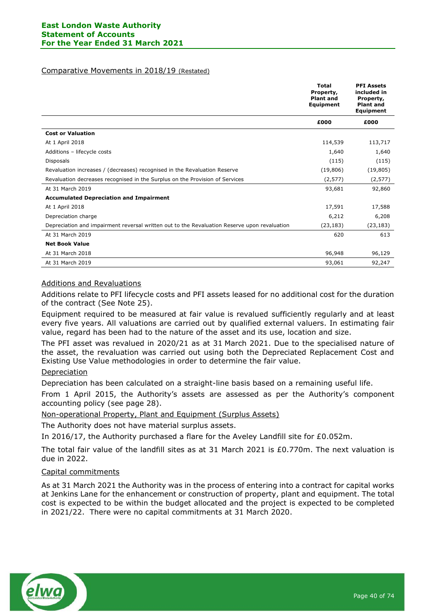#### Comparative Movements in 2018/19 (Restated)

|                                                                                              | <b>Total</b><br>Property,<br><b>Plant and</b><br>Equipment | <b>PFI Assets</b><br>included in<br>Property,<br><b>Plant and</b><br>Equipment |
|----------------------------------------------------------------------------------------------|------------------------------------------------------------|--------------------------------------------------------------------------------|
|                                                                                              | £000                                                       | £000                                                                           |
| <b>Cost or Valuation</b>                                                                     |                                                            |                                                                                |
| At 1 April 2018                                                                              | 114,539                                                    | 113,717                                                                        |
| Additions - lifecycle costs                                                                  | 1,640                                                      | 1,640                                                                          |
| Disposals                                                                                    | (115)                                                      | (115)                                                                          |
| Revaluation increases / (decreases) recognised in the Revaluation Reserve                    | (19, 806)                                                  | (19, 805)                                                                      |
| Revaluation decreases recognised in the Surplus on the Provision of Services                 | (2, 577)                                                   | (2, 577)                                                                       |
| At 31 March 2019                                                                             | 93,681                                                     | 92,860                                                                         |
| <b>Accumulated Depreciation and Impairment</b>                                               |                                                            |                                                                                |
| At 1 April 2018                                                                              | 17,591                                                     | 17,588                                                                         |
| Depreciation charge                                                                          | 6,212                                                      | 6,208                                                                          |
| Depreciation and impairment reversal written out to the Revaluation Reserve upon revaluation | (23, 183)                                                  | (23, 183)                                                                      |
| At 31 March 2019                                                                             | 620                                                        | 613                                                                            |
| <b>Net Book Value</b>                                                                        |                                                            |                                                                                |
| At 31 March 2018                                                                             | 96,948                                                     | 96,129                                                                         |
| At 31 March 2019                                                                             | 93,061                                                     | 92,247                                                                         |

# Additions and Revaluations

Additions relate to PFI lifecycle costs and PFI assets leased for no additional cost for the duration of the contract (See Note 25).

Equipment required to be measured at fair value is revalued sufficiently regularly and at least every five years. All valuations are carried out by qualified external valuers. In estimating fair value, regard has been had to the nature of the asset and its use, location and size.

The PFI asset was revalued in 2020/21 as at 31 March 2021. Due to the specialised nature of the asset, the revaluation was carried out using both the Depreciated Replacement Cost and Existing Use Value methodologies in order to determine the fair value.

# Depreciation

Depreciation has been calculated on a straight-line basis based on a remaining useful life.

From 1 April 2015, the Authority's assets are assessed as per the Authority's component accounting policy (see page 28).

Non-operational Property, Plant and Equipment (Surplus Assets)

The Authority does not have material surplus assets.

In 2016/17, the Authority purchased a flare for the Aveley Landfill site for £0.052m.

The total fair value of the landfill sites as at 31 March 2021 is £0.770m. The next valuation is due in 2022.

# Capital commitments

As at 31 March 2021 the Authority was in the process of entering into a contract for capital works at Jenkins Lane for the enhancement or construction of property, plant and equipment. The total cost is expected to be within the budget allocated and the project is expected to be completed in 2021/22. There were no capital commitments at 31 March 2020.

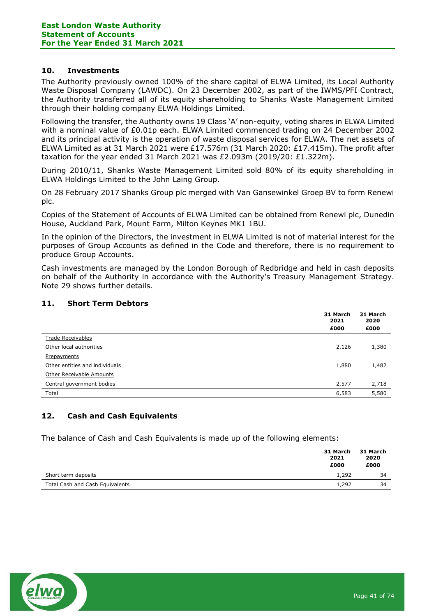# **10. Investments**

The Authority previously owned 100% of the share capital of ELWA Limited, its Local Authority Waste Disposal Company (LAWDC). On 23 December 2002, as part of the IWMS/PFI Contract, the Authority transferred all of its equity shareholding to Shanks Waste Management Limited through their holding company ELWA Holdings Limited.

Following the transfer, the Authority owns 19 Class 'A' non-equity, voting shares in ELWA Limited with a nominal value of £0.01p each. ELWA Limited commenced trading on 24 December 2002 and its principal activity is the operation of waste disposal services for ELWA. The net assets of ELWA Limited as at 31 March 2021 were £17.576m (31 March 2020: £17.415m). The profit after taxation for the year ended 31 March 2021 was  $£2.093m$  (2019/20:  $£1.322m$ ).

During 2010/11, Shanks Waste Management Limited sold 80% of its equity shareholding in ELWA Holdings Limited to the John Laing Group.

On 28 February 2017 Shanks Group plc merged with Van Gansewinkel Groep BV to form Renewi plc.

Copies of the Statement of Accounts of ELWA Limited can be obtained from Renewi plc, Dunedin House, Auckland Park, Mount Farm, Milton Keynes MK1 1BU.

In the opinion of the Directors, the investment in ELWA Limited is not of material interest for the purposes of Group Accounts as defined in the Code and therefore, there is no requirement to produce Group Accounts.

Cash investments are managed by the London Borough of Redbridge and held in cash deposits on behalf of the Authority in accordance with the Authority's Treasury Management Strategy. Note 29 shows further details.

# **11. Short Term Debtors**

|                                | 31 March<br>2021<br>£000 | 31 March<br>2020<br>£000 |
|--------------------------------|--------------------------|--------------------------|
| <b>Trade Receivables</b>       |                          |                          |
| Other local authorities        | 2,126                    | 1,380                    |
| Prepayments                    |                          |                          |
| Other entities and individuals | 1,880                    | 1,482                    |
| Other Receivable Amounts       |                          |                          |
| Central government bodies      | 2,577                    | 2,718                    |
| Total                          | 6,583                    | 5,580                    |

# **12. Cash and Cash Equivalents**

The balance of Cash and Cash Equivalents is made up of the following elements:

|                                 | 31 March<br>2021 | 31 March<br>2020 |
|---------------------------------|------------------|------------------|
|                                 | £000             | £000             |
| Short term deposits             | 1,292            | 34               |
| Total Cash and Cash Equivalents | 1,292            | 34               |

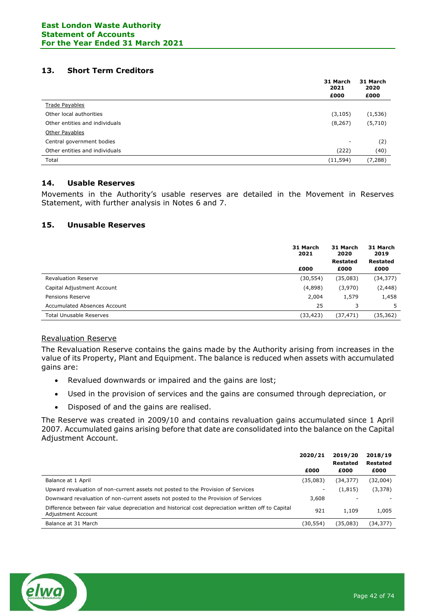# **13. Short Term Creditors**

|                                | 31 March<br>2021 | 31 March<br>2020 |
|--------------------------------|------------------|------------------|
|                                | £000             | £000             |
| <b>Trade Payables</b>          |                  |                  |
| Other local authorities        | (3, 105)         | (1, 536)         |
| Other entities and individuals | (8, 267)         | (5,710)          |
| Other Payables                 |                  |                  |
| Central government bodies      | -                | (2)              |
| Other entities and individuals | (222)            | (40)             |
| Total                          | (11, 594)        | (7, 288)         |

# **14. Usable Reserves**

Movements in the Authority's usable reserves are detailed in the Movement in Reserves Statement, with further analysis in Notes 6 and 7.

## **15. Unusable Reserves**

|                                | 31 March<br>2021 | 31 March<br>2020        | 31 March<br>2019        |
|--------------------------------|------------------|-------------------------|-------------------------|
|                                | £000             | <b>Restated</b><br>£000 | <b>Restated</b><br>£000 |
| <b>Revaluation Reserve</b>     | (30, 554)        | (35,083)                | (34, 377)               |
| Capital Adjustment Account     | (4,898)          | (3,970)                 | (2, 448)                |
| Pensions Reserve               | 2,004            | 1,579                   | 1,458                   |
| Accumulated Absences Account   | 25               | 3                       | 5                       |
| <b>Total Unusable Reserves</b> | (33, 423)        | (37, 471)               | (35, 362)               |

## Revaluation Reserve

The Revaluation Reserve contains the gains made by the Authority arising from increases in the value of its Property, Plant and Equipment. The balance is reduced when assets with accumulated gains are:

- Revalued downwards or impaired and the gains are lost;
- Used in the provision of services and the gains are consumed through depreciation, or
- Disposed of and the gains are realised.

The Reserve was created in 2009/10 and contains revaluation gains accumulated since 1 April 2007. Accumulated gains arising before that date are consolidated into the balance on the Capital Adjustment Account.

|                                                                                                                          | 2020/21                  | 2019/20<br><b>Restated</b> | 2018/19<br>Restated |
|--------------------------------------------------------------------------------------------------------------------------|--------------------------|----------------------------|---------------------|
|                                                                                                                          | £000                     | £000                       | £000                |
| Balance at 1 April                                                                                                       | (35,083)                 | (34,377)                   | (32,004)            |
| Upward revaluation of non-current assets not posted to the Provision of Services                                         | $\overline{\phantom{a}}$ | (1, 815)                   | (3,378)             |
| Downward revaluation of non-current assets not posted to the Provision of Services                                       | 3,608                    |                            |                     |
| Difference between fair value depreciation and historical cost depreciation written off to Capital<br>Adjustment Account | 921                      | 1,109                      | 1,005               |
| Balance at 31 March                                                                                                      | (30,554)                 | (35,083)                   | (34,377)            |

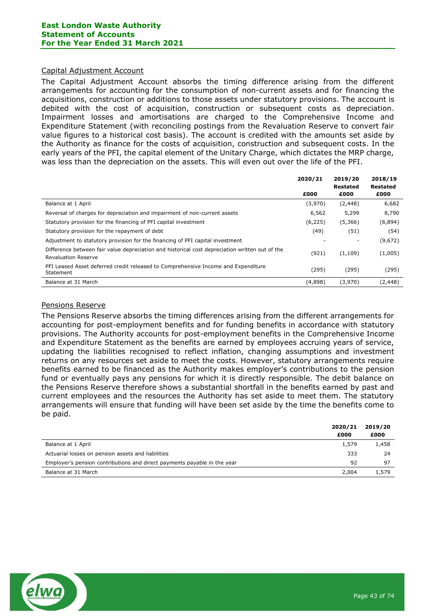#### Capital Adjustment Account

The Capital Adjustment Account absorbs the timing difference arising from the different arrangements for accounting for the consumption of non-current assets and for financing the acquisitions, construction or additions to those assets under statutory provisions. The account is debited with the cost of acquisition, construction or subsequent costs as depreciation. Impairment losses and amortisations are charged to the Comprehensive Income and Expenditure Statement (with reconciling postings from the Revaluation Reserve to convert fair value figures to a historical cost basis). The account is credited with the amounts set aside by the Authority as finance for the costs of acquisition, construction and subsequent costs. In the early years of the PFI, the capital element of the Unitary Charge, which dictates the MRP charge, was less than the depreciation on the assets. This will even out over the life of the PFI.

|                                                                                                                              | 2020/21 | 2019/20<br>Restated | 2018/19<br><b>Restated</b> |
|------------------------------------------------------------------------------------------------------------------------------|---------|---------------------|----------------------------|
|                                                                                                                              | £000    | £000                | £000                       |
| Balance at 1 April                                                                                                           | (3,970) | (2, 448)            | 6,682                      |
| Reversal of charges for depreciation and impairment of non-current assets                                                    | 6,562   | 5,299               | 8,790                      |
| Statutory provision for the financing of PFI capital investment                                                              | (6,225) | (5,366)             | (6,894)                    |
| Statutory provision for the repayment of debt                                                                                | (49)    | (51)                | (54)                       |
| Adjustment to statutory provision for the financing of PFI capital investment                                                |         |                     | (9,672)                    |
| Difference between fair value depreciation and historical cost depreciation written out of the<br><b>Revaluation Reserve</b> | (921)   | (1, 109)            | (1,005)                    |
| PFI Leased Asset deferred credit released to Comprehensive Income and Expenditure<br>Statement                               | (295)   | (295)               | (295)                      |
| Balance at 31 March                                                                                                          | (4,898) | (3,970)             | (2, 448)                   |

#### Pensions Reserve

The Pensions Reserve absorbs the timing differences arising from the different arrangements for accounting for post-employment benefits and for funding benefits in accordance with statutory provisions. The Authority accounts for post-employment benefits in the Comprehensive Income and Expenditure Statement as the benefits are earned by employees accruing years of service, updating the liabilities recognised to reflect inflation, changing assumptions and investment returns on any resources set aside to meet the costs. However, statutory arrangements require benefits earned to be financed as the Authority makes employer's contributions to the pension fund or eventually pays any pensions for which it is directly responsible. The debit balance on the Pensions Reserve therefore shows a substantial shortfall in the benefits earned by past and current employees and the resources the Authority has set aside to meet them. The statutory arrangements will ensure that funding will have been set aside by the time the benefits come to be paid.

|                                                                          | 2020/21<br>£000 | 2019/20<br>£000 |
|--------------------------------------------------------------------------|-----------------|-----------------|
| Balance at 1 April                                                       | 1,579           | 1,458           |
| Actuarial losses on pension assets and liabilities                       | 333             | 24              |
| Employer's pension contributions and direct payments payable in the year | 92              | 97              |
| Balance at 31 March                                                      | 2,004           | 1,579           |

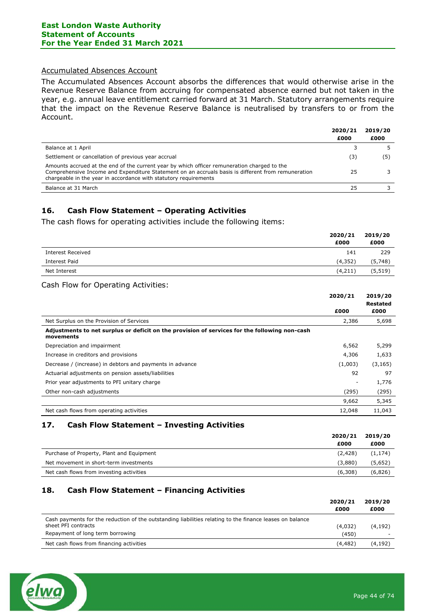# Accumulated Absences Account

The Accumulated Absences Account absorbs the differences that would otherwise arise in the Revenue Reserve Balance from accruing for compensated absence earned but not taken in the year, e.g. annual leave entitlement carried forward at 31 March. Statutory arrangements require that the impact on the Revenue Reserve Balance is neutralised by transfers to or from the Account.

|                                                                                                                                                                                                                                                                       | 2020/21 | 2019/20 |
|-----------------------------------------------------------------------------------------------------------------------------------------------------------------------------------------------------------------------------------------------------------------------|---------|---------|
|                                                                                                                                                                                                                                                                       | £000    | £000    |
| Balance at 1 April                                                                                                                                                                                                                                                    |         |         |
| Settlement or cancellation of previous year accrual                                                                                                                                                                                                                   | (3)     | (5)     |
| Amounts accrued at the end of the current year by which officer remuneration charged to the<br>Comprehensive Income and Expenditure Statement on an accruals basis is different from remuneration<br>chargeable in the year in accordance with statutory requirements | 25      |         |
| Balance at 31 March                                                                                                                                                                                                                                                   | 25      |         |

# **16. Cash Flow Statement – Operating Activities**

The cash flows for operating activities include the following items:

|                          | 2020/21<br>£000 | 2019/20<br>£000 |
|--------------------------|-----------------|-----------------|
| <b>Interest Received</b> | 141             | 229             |
| Interest Paid            | (4, 352)        | (5,748)         |
| Net Interest             | (4, 211)        | (5, 519)        |
|                          |                 |                 |

#### Cash Flow for Operating Activities:

|                                                                                                            | 2020/21 | 2019/20<br><b>Restated</b> |
|------------------------------------------------------------------------------------------------------------|---------|----------------------------|
|                                                                                                            | £000    | £000                       |
| Net Surplus on the Provision of Services                                                                   | 2,386   | 5,698                      |
| Adjustments to net surplus or deficit on the provision of services for the following non-cash<br>movements |         |                            |
| Depreciation and impairment                                                                                | 6,562   | 5,299                      |
| Increase in creditors and provisions                                                                       | 4,306   | 1,633                      |
| Decrease / (increase) in debtors and payments in advance                                                   | (1,003) | (3, 165)                   |
| Actuarial adjustments on pension assets/liabilities                                                        | 92      | 97                         |
| Prior year adjustments to PFI unitary charge                                                               | -       | 1,776                      |
| Other non-cash adjustments                                                                                 | (295)   | (295)                      |
|                                                                                                            | 9,662   | 5,345                      |
| Net cash flows from operating activities                                                                   | 12,048  | 11,043                     |

# **17. Cash Flow Statement – Investing Activities**

|                                           | 2020/21 | 2019/20  |
|-------------------------------------------|---------|----------|
|                                           | £000    | £000     |
| Purchase of Property, Plant and Equipment | (2.428) | (1, 174) |
| Net movement in short-term investments    | (3.880) | (5,652)  |
| Net cash flows from investing activities  | (6,308) | (6,826)  |

## **18. Cash Flow Statement – Financing Activities**

|                                                                                                          | 2020/21  | 2019/20  |
|----------------------------------------------------------------------------------------------------------|----------|----------|
|                                                                                                          | £000     | £000     |
| Cash payments for the reduction of the outstanding liabilities relating to the finance leases on balance |          |          |
| sheet PFI contracts                                                                                      | (4,032)  | (4,192)  |
| Repayment of long term borrowing                                                                         | (450)    |          |
| Net cash flows from financing activities                                                                 | (4, 482) | (4, 192) |

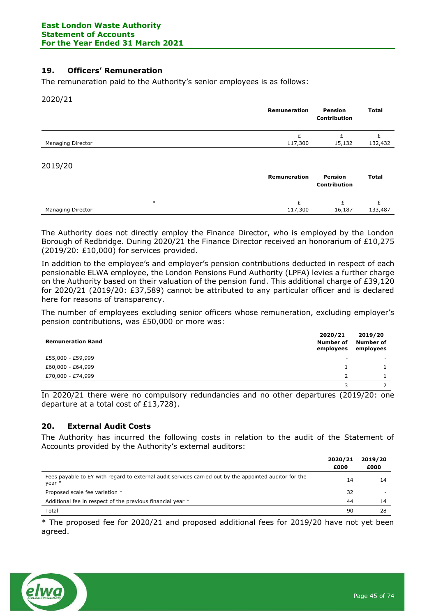# **19. Officers' Remuneration**

The remuneration paid to the Authority's senior employees is as follows:

2020/21

|                   | Remuneration | Pension<br><b>Contribution</b> | <b>Total</b> |
|-------------------|--------------|--------------------------------|--------------|
| Managing Director | £<br>117,300 | 15,132                         | 132,432      |
| 2019/20           |              |                                |              |

|                   |          | Remuneration | Pension<br><b>Contribution</b> | Total   |
|-------------------|----------|--------------|--------------------------------|---------|
|                   | $\alpha$ |              |                                |         |
| Managing Director |          | 117,300      | 16,187                         | 133,487 |

The Authority does not directly employ the Finance Director, who is employed by the London Borough of Redbridge. During 2020/21 the Finance Director received an honorarium of £10,275 (2019/20: £10,000) for services provided.

In addition to the employee's and employer's pension contributions deducted in respect of each pensionable ELWA employee, the London Pensions Fund Authority (LPFA) levies a further charge on the Authority based on their valuation of the pension fund. This additional charge of £39,120 for 2020/21 (2019/20: £37,589) cannot be attributed to any particular officer and is declared here for reasons of transparency.

The number of employees excluding senior officers whose remuneration, excluding employer's pension contributions, was £50,000 or more was:

| <b>Remuneration Band</b> | 2020/21<br>Number of<br>employees | 2019/20<br>Number of<br>employees |
|--------------------------|-----------------------------------|-----------------------------------|
| £55,000 - £59,999        | -                                 |                                   |
| £60,000 - £64,999        |                                   |                                   |
| £70,000 - £74,999        |                                   |                                   |
|                          |                                   |                                   |

In 2020/21 there were no compulsory redundancies and no other departures (2019/20: one departure at a total cost of £13,728).

## **20. External Audit Costs**

The Authority has incurred the following costs in relation to the audit of the Statement of Accounts provided by the Authority's external auditors:

|                                                                                                                  | 2020/21<br>£000 | 2019/20<br>£000 |
|------------------------------------------------------------------------------------------------------------------|-----------------|-----------------|
| Fees payable to EY with regard to external audit services carried out by the appointed auditor for the<br>year * | 14              | 14              |
| Proposed scale fee variation *                                                                                   | 32              |                 |
| Additional fee in respect of the previous financial year *                                                       | 44              | 14              |
| Total                                                                                                            | 90              | 28              |

\* The proposed fee for 2020/21 and proposed additional fees for 2019/20 have not yet been agreed.

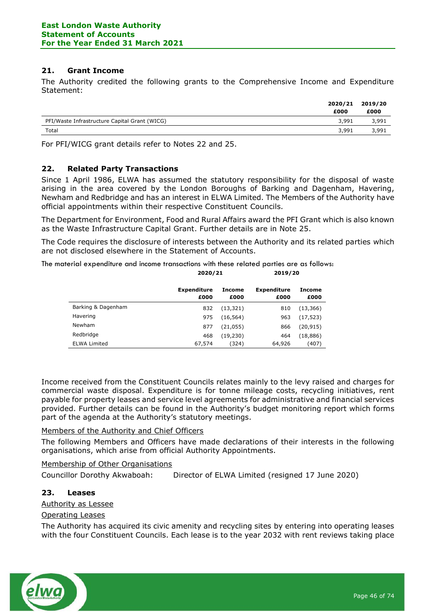# **21. Grant Income**

The Authority credited the following grants to the Comprehensive Income and Expenditure Statement:

|                                               | 2020/21<br>£000 | 2019/20<br>£000 |
|-----------------------------------------------|-----------------|-----------------|
| PFI/Waste Infrastructure Capital Grant (WICG) | 3,991           | 3,991           |
| Total                                         | 3,991           | 3,991           |

For PFI/WICG grant details refer to Notes 22 and 25.

# **22. Related Party Transactions**

Since 1 April 1986, ELWA has assumed the statutory responsibility for the disposal of waste arising in the area covered by the London Boroughs of Barking and Dagenham, Havering, Newham and Redbridge and has an interest in ELWA Limited. The Members of the Authority have official appointments within their respective Constituent Councils.

The Department for Environment, Food and Rural Affairs award the PFI Grant which is also known as the Waste Infrastructure Capital Grant. Further details are in Note 25.

The Code requires the disclosure of interests between the Authority and its related parties which are not disclosed elsewhere in the Statement of Accounts.

The material expenditure and income transactions with these related parties are as follows: **2020/21 2019/20**

|                     | <b>Expenditure</b><br>£000 | Income<br>£000 | <b>Expenditure</b><br>£000 | Income<br>£000 |
|---------------------|----------------------------|----------------|----------------------------|----------------|
| Barking & Dagenham  | 832                        | (13, 321)      | 810                        | (13, 366)      |
| Havering            | 975                        | (16, 564)      | 963                        | (17, 523)      |
| Newham              | 877                        | (21, 055)      | 866                        | (20, 915)      |
| Redbridge           | 468                        | (19, 230)      | 464                        | (18, 886)      |
| <b>ELWA Limited</b> | 67,574                     | (324)          | 64,926                     | (407)          |

Income received from the Constituent Councils relates mainly to the levy raised and charges for commercial waste disposal. Expenditure is for tonne mileage costs, recycling initiatives, rent payable for property leases and service level agreements for administrative and financial services provided. Further details can be found in the Authority's budget monitoring report which forms part of the agenda at the Authority's statutory meetings.

## Members of the Authority and Chief Officers

The following Members and Officers have made declarations of their interests in the following organisations, which arise from official Authority Appointments.

#### Membership of Other Organisations

Councillor Dorothy Akwaboah: Director of ELWA Limited (resigned 17 June 2020)

## **23. Leases**

#### Authority as Lessee

#### Operating Leases

The Authority has acquired its civic amenity and recycling sites by entering into operating leases with the four Constituent Councils. Each lease is to the year 2032 with rent reviews taking place

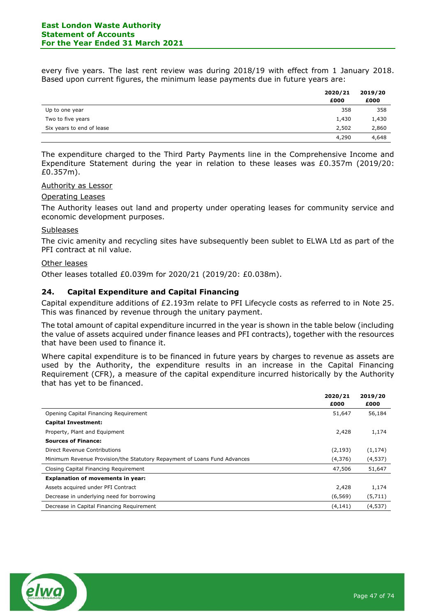every five years. The last rent review was during 2018/19 with effect from 1 January 2018. Based upon current figures, the minimum lease payments due in future years are:

|                           | 2020/21<br>£000 | 2019/20<br>£000 |
|---------------------------|-----------------|-----------------|
| Up to one year            | 358             | 358             |
| Two to five years         | 1,430           | 1,430           |
| Six years to end of lease | 2,502           | 2,860           |
|                           | 4,290           | 4,648           |

The expenditure charged to the Third Party Payments line in the Comprehensive Income and Expenditure Statement during the year in relation to these leases was £0.357m (2019/20: £0.357m).

#### Authority as Lessor

#### Operating Leases

The Authority leases out land and property under operating leases for community service and economic development purposes.

#### Subleases

The civic amenity and recycling sites have subsequently been sublet to ELWA Ltd as part of the PFI contract at nil value.

#### Other leases

Other leases totalled £0.039m for 2020/21 (2019/20: £0.038m).

# **24. Capital Expenditure and Capital Financing**

Capital expenditure additions of £2.193m relate to PFI Lifecycle costs as referred to in Note 25. This was financed by revenue through the unitary payment.

The total amount of capital expenditure incurred in the year is shown in the table below (including the value of assets acquired under finance leases and PFI contracts), together with the resources that have been used to finance it.

Where capital expenditure is to be financed in future years by charges to revenue as assets are used by the Authority, the expenditure results in an increase in the Capital Financing Requirement (CFR), a measure of the capital expenditure incurred historically by the Authority that has yet to be financed.

|                                                                          | 2020/21  | 2019/20  |
|--------------------------------------------------------------------------|----------|----------|
|                                                                          | £000     | £000     |
| Opening Capital Financing Requirement                                    | 51,647   | 56,184   |
| <b>Capital Investment:</b>                                               |          |          |
| Property, Plant and Equipment                                            | 2,428    | 1,174    |
| <b>Sources of Finance:</b>                                               |          |          |
| Direct Revenue Contributions                                             | (2, 193) | (1, 174) |
| Minimum Revenue Provision/the Statutory Repayment of Loans Fund Advances | (4,376)  | (4, 537) |
| Closing Capital Financing Requirement                                    | 47,506   | 51,647   |
| <b>Explanation of movements in year:</b>                                 |          |          |
| Assets acquired under PFI Contract                                       | 2,428    | 1,174    |
| Decrease in underlying need for borrowing                                | (6, 569) | (5,711)  |
| Decrease in Capital Financing Requirement                                | (4, 141) | (4, 537) |

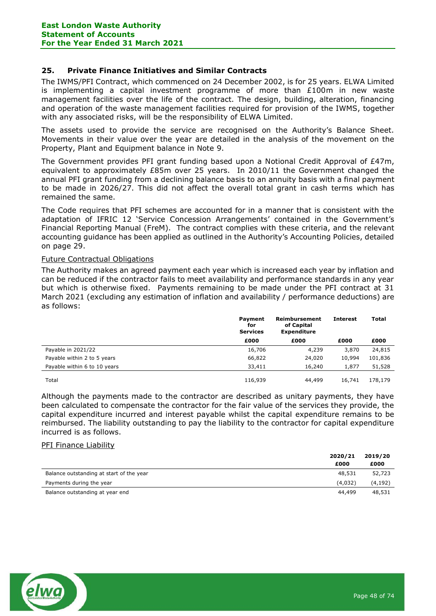# **25. Private Finance Initiatives and Similar Contracts**

The IWMS/PFI Contract, which commenced on 24 December 2002, is for 25 years. ELWA Limited is implementing a capital investment programme of more than £100m in new waste management facilities over the life of the contract. The design, building, alteration, financing and operation of the waste management facilities required for provision of the IWMS, together with any associated risks, will be the responsibility of ELWA Limited.

The assets used to provide the service are recognised on the Authority's Balance Sheet. Movements in their value over the year are detailed in the analysis of the movement on the Property, Plant and Equipment balance in Note 9.

The Government provides PFI grant funding based upon a Notional Credit Approval of £47m, equivalent to approximately £85m over 25 years. In 2010/11 the Government changed the annual PFI grant funding from a declining balance basis to an annuity basis with a final payment to be made in 2026/27. This did not affect the overall total grant in cash terms which has remained the same.

The Code requires that PFI schemes are accounted for in a manner that is consistent with the adaptation of IFRIC 12 'Service Concession Arrangements' contained in the Government's Financial Reporting Manual (FreM). The contract complies with these criteria, and the relevant accounting guidance has been applied as outlined in the Authority's Accounting Policies, detailed on page 29.

## Future Contractual Obligations

The Authority makes an agreed payment each year which is increased each year by inflation and can be reduced if the contractor fails to meet availability and performance standards in any year but which is otherwise fixed. Payments remaining to be made under the PFI contract at 31 March 2021 (excluding any estimation of inflation and availability / performance deductions) are as follows:

|                              | Payment<br>for<br><b>Services</b> | Reimbursement<br>of Capital<br><b>Expenditure</b> | <b>Interest</b> | <b>Total</b> |
|------------------------------|-----------------------------------|---------------------------------------------------|-----------------|--------------|
|                              | £000                              | £000                                              | £000            | £000         |
| Payable in 2021/22           | 16,706                            | 4,239                                             | 3,870           | 24,815       |
| Payable within 2 to 5 years  | 66,822                            | 24,020                                            | 10,994          | 101,836      |
| Payable within 6 to 10 years | 33,411                            | 16,240                                            | 1,877           | 51,528       |
| Total                        | 116,939                           | 44,499                                            | 16,741          | 178,179      |

Although the payments made to the contractor are described as unitary payments, they have been calculated to compensate the contractor for the fair value of the services they provide, the capital expenditure incurred and interest payable whilst the capital expenditure remains to be reimbursed. The liability outstanding to pay the liability to the contractor for capital expenditure incurred is as follows.

#### PFI Finance Liability

|                                          | 2020/21 | 2019/20 |
|------------------------------------------|---------|---------|
|                                          | £000    | £000    |
| Balance outstanding at start of the year | 48,531  | 52,723  |
| Payments during the year                 | (4.032) | (4,192) |
| Balance outstanding at year end          | 44,499  | 48,531  |

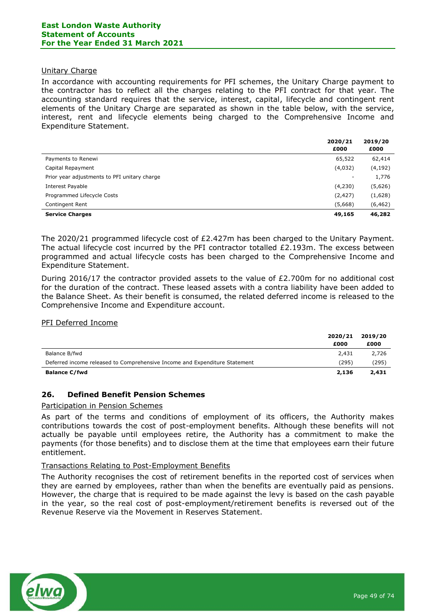## Unitary Charge

In accordance with accounting requirements for PFI schemes, the Unitary Charge payment to the contractor has to reflect all the charges relating to the PFI contract for that year. The accounting standard requires that the service, interest, capital, lifecycle and contingent rent elements of the Unitary Charge are separated as shown in the table below, with the service, interest, rent and lifecycle elements being charged to the Comprehensive Income and Expenditure Statement.

|                                              | 2020/21<br>£000 | 2019/20<br>£000 |
|----------------------------------------------|-----------------|-----------------|
| Payments to Renewi                           | 65,522          | 62,414          |
| Capital Repayment                            | (4,032)         | (4, 192)        |
| Prior year adjustments to PFI unitary charge |                 | 1,776           |
| Interest Payable                             | (4,230)         | (5,626)         |
| Programmed Lifecycle Costs                   | (2, 427)        | (1,628)         |
| Contingent Rent                              | (5,668)         | (6, 462)        |
| <b>Service Charges</b>                       | 49,165          | 46,282          |

The 2020/21 programmed lifecycle cost of £2.427m has been charged to the Unitary Payment. The actual lifecycle cost incurred by the PFI contractor totalled £2.193m. The excess between programmed and actual lifecycle costs has been charged to the Comprehensive Income and Expenditure Statement.

During 2016/17 the contractor provided assets to the value of £2.700m for no additional cost for the duration of the contract. These leased assets with a contra liability have been added to the Balance Sheet. As their benefit is consumed, the related deferred income is released to the Comprehensive Income and Expenditure account.

## PFI Deferred Income

|                                                                            | 2020/21 | 2019/20 |
|----------------------------------------------------------------------------|---------|---------|
|                                                                            | £000    | £000    |
| Balance B/fwd                                                              | 2,431   | 2,726   |
| Deferred income released to Comprehensive Income and Expenditure Statement | (295)   | (295)   |
| <b>Balance C/fwd</b>                                                       | 2,136   | 2,431   |

## **26. Defined Benefit Pension Schemes**

#### Participation in Pension Schemes

As part of the terms and conditions of employment of its officers, the Authority makes contributions towards the cost of post-employment benefits. Although these benefits will not actually be payable until employees retire, the Authority has a commitment to make the payments (for those benefits) and to disclose them at the time that employees earn their future entitlement.

## Transactions Relating to Post-Employment Benefits

The Authority recognises the cost of retirement benefits in the reported cost of services when they are earned by employees, rather than when the benefits are eventually paid as pensions. However, the charge that is required to be made against the levy is based on the cash payable in the year, so the real cost of post-employment/retirement benefits is reversed out of the Revenue Reserve via the Movement in Reserves Statement.

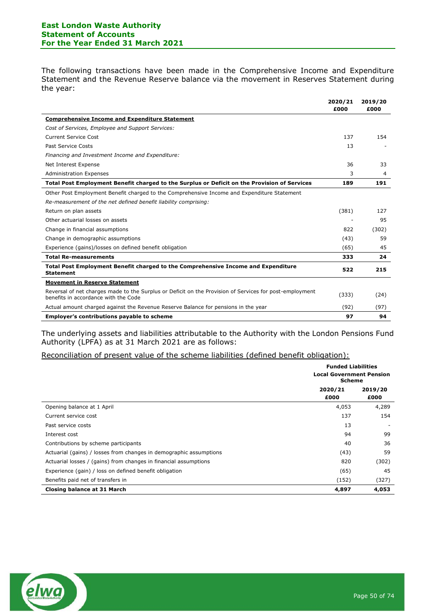## **East London Waste Authority Statement of Accounts For the Year Ended 31 March 2021**

The following transactions have been made in the Comprehensive Income and Expenditure Statement and the Revenue Reserve balance via the movement in Reserves Statement during the year:

|                                                                                                                                                 | 2020/21<br>£000 | 2019/20<br>£000 |
|-------------------------------------------------------------------------------------------------------------------------------------------------|-----------------|-----------------|
| <b>Comprehensive Income and Expenditure Statement</b>                                                                                           |                 |                 |
| Cost of Services, Employee and Support Services:                                                                                                |                 |                 |
| <b>Current Service Cost</b>                                                                                                                     | 137             | 154             |
| Past Service Costs                                                                                                                              | 13              |                 |
| Financing and Investment Income and Expenditure:                                                                                                |                 |                 |
| Net Interest Expense                                                                                                                            | 36              | 33              |
| <b>Administration Expenses</b>                                                                                                                  | 3               | 4               |
| Total Post Employment Benefit charged to the Surplus or Deficit on the Provision of Services                                                    | 189             | 191             |
| Other Post Employment Benefit charged to the Comprehensive Income and Expenditure Statement                                                     |                 |                 |
| Re-measurement of the net defined benefit liability comprising:                                                                                 |                 |                 |
| Return on plan assets                                                                                                                           | (381)           | 127             |
| Other actuarial losses on assets                                                                                                                |                 | 95              |
| Change in financial assumptions                                                                                                                 | 822             | (302)           |
| Change in demographic assumptions                                                                                                               | (43)            | 59              |
| Experience (gains)/losses on defined benefit obligation                                                                                         | (65)            | 45              |
| <b>Total Re-measurements</b>                                                                                                                    | 333             | 24              |
| Total Post Employment Benefit charged to the Comprehensive Income and Expenditure<br><b>Statement</b>                                           | 522             | 215             |
| <b>Movement in Reserve Statement</b>                                                                                                            |                 |                 |
| Reversal of net charges made to the Surplus or Deficit on the Provision of Services for post-employment<br>benefits in accordance with the Code | (333)           | (24)            |
| Actual amount charged against the Revenue Reserve Balance for pensions in the year                                                              | (92)            | (97)            |
| <b>Employer's contributions payable to scheme</b>                                                                                               | 97              | 94              |

The underlying assets and liabilities attributable to the Authority with the London Pensions Fund Authority (LPFA) as at 31 March 2021 are as follows:

#### Reconciliation of present value of the scheme liabilities (defined benefit obligation):

|                                                                    | <b>Funded Liabilities</b><br><b>Local Government Pension</b><br><b>Scheme</b> |                 |
|--------------------------------------------------------------------|-------------------------------------------------------------------------------|-----------------|
|                                                                    | 2020/21<br>£000                                                               | 2019/20<br>£000 |
| Opening balance at 1 April                                         | 4,053                                                                         | 4,289           |
| Current service cost                                               | 137                                                                           | 154             |
| Past service costs                                                 | 13                                                                            |                 |
| Interest cost                                                      | 94                                                                            | 99              |
| Contributions by scheme participants                               | 40                                                                            | 36              |
| Actuarial (gains) / losses from changes in demographic assumptions | (43)                                                                          | 59              |
| Actuarial losses / (gains) from changes in financial assumptions   | 820                                                                           | (302)           |
| Experience (gain) / loss on defined benefit obligation             | (65)                                                                          | 45              |
| Benefits paid net of transfers in                                  | (152)                                                                         | (327)           |
| <b>Closing balance at 31 March</b>                                 | 4,897                                                                         | 4,053           |

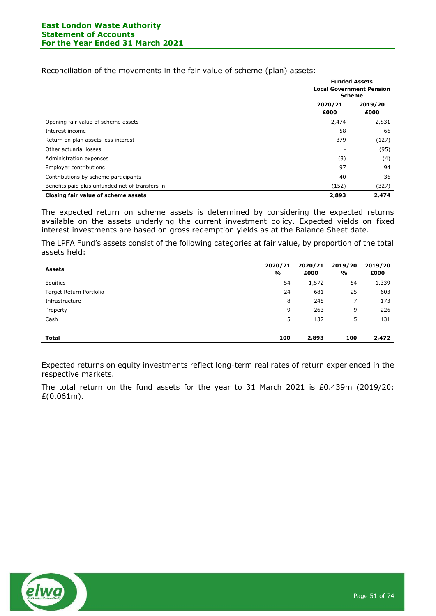|  | Reconciliation of the movements in the fair value of scheme (plan) assets: |  |  |  |
|--|----------------------------------------------------------------------------|--|--|--|
|  |                                                                            |  |  |  |

|                                                 |                 | <b>Funded Assets</b><br><b>Local Government Pension</b><br><b>Scheme</b> |  |
|-------------------------------------------------|-----------------|--------------------------------------------------------------------------|--|
|                                                 | 2020/21<br>£000 | 2019/20<br>£000                                                          |  |
| Opening fair value of scheme assets             | 2,474           | 2,831                                                                    |  |
| Interest income                                 | 58              | 66                                                                       |  |
| Return on plan assets less interest             | 379             | (127)                                                                    |  |
| Other actuarial losses                          | -               | (95)                                                                     |  |
| Administration expenses                         | (3)             | (4)                                                                      |  |
| Employer contributions                          | 97              | 94                                                                       |  |
| Contributions by scheme participants            | 40              | 36                                                                       |  |
| Benefits paid plus unfunded net of transfers in | (152)           | (327)                                                                    |  |
| Closing fair value of scheme assets             | 2,893           | 2,474                                                                    |  |

The expected return on scheme assets is determined by considering the expected returns available on the assets underlying the current investment policy. Expected yields on fixed interest investments are based on gross redemption yields as at the Balance Sheet date.

The LPFA Fund's assets consist of the following categories at fair value, by proportion of the total assets held:

| <b>Assets</b>           | 2020/21<br>% | 2020/21<br>£000 | 2019/20<br>% | 2019/20<br>£000 |
|-------------------------|--------------|-----------------|--------------|-----------------|
| Equities                | 54           | 1,572           | 54           | 1,339           |
| Target Return Portfolio | 24           | 681             | 25           | 603             |
| Infrastructure          | 8            | 245             | 7            | 173             |
| Property                | 9            | 263             | 9            | 226             |
| Cash                    | 5            | 132             | 5            | 131             |
|                         |              |                 |              |                 |
| <b>Total</b>            | 100          | 2,893           | 100          | 2,472           |

Expected returns on equity investments reflect long-term real rates of return experienced in the respective markets.

The total return on the fund assets for the year to 31 March 2021 is £0.439m (2019/20: £(0.061m).

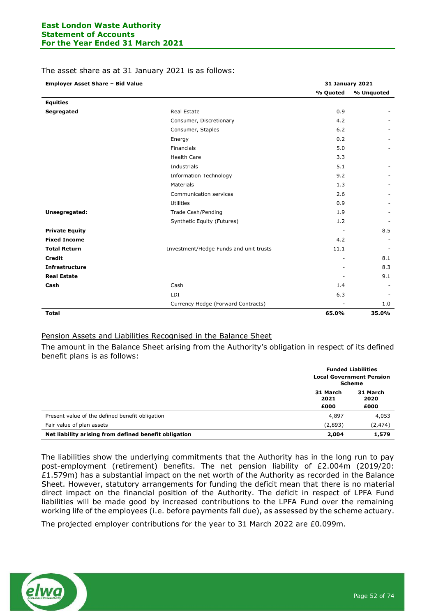#### The asset share as at 31 January 2021 is as follows:

| <b>Employer Asset Share - Bid Value</b> |                                        | <b>31 January 2021</b> |            |
|-----------------------------------------|----------------------------------------|------------------------|------------|
|                                         |                                        | % Quoted               | % Unquoted |
| <b>Equities</b>                         |                                        |                        |            |
| Segregated                              | <b>Real Estate</b>                     | 0.9                    |            |
|                                         | Consumer, Discretionary                | 4.2                    |            |
|                                         | Consumer, Staples                      | 6.2                    |            |
|                                         | Energy                                 | 0.2                    |            |
|                                         | Financials                             | 5.0                    |            |
|                                         | <b>Health Care</b>                     | 3.3                    |            |
|                                         | Industrials                            | 5.1                    |            |
|                                         | <b>Information Technology</b>          | 9.2                    |            |
|                                         | Materials                              | 1.3                    |            |
|                                         | Communication services                 | 2.6                    |            |
|                                         | Utilities                              | 0.9                    |            |
| Unsegregated:                           | Trade Cash/Pending                     | 1.9                    |            |
|                                         | Synthetic Equity (Futures)             | 1.2                    |            |
| <b>Private Equity</b>                   |                                        |                        | 8.5        |
| <b>Fixed Income</b>                     |                                        | 4.2                    |            |
| <b>Total Return</b>                     | Investment/Hedge Funds and unit trusts | 11.1                   |            |
| <b>Credit</b>                           |                                        |                        | 8.1        |
| <b>Infrastructure</b>                   |                                        |                        | 8.3        |
| <b>Real Estate</b>                      |                                        |                        | 9.1        |
| Cash                                    | Cash                                   | 1.4                    |            |
|                                         | LDI                                    | 6.3                    |            |
|                                         | Currency Hedge (Forward Contracts)     |                        | 1.0        |
| <b>Total</b>                            |                                        | 65.0%                  | 35.0%      |

## Pension Assets and Liabilities Recognised in the Balance Sheet

The amount in the Balance Sheet arising from the Authority's obligation in respect of its defined benefit plans is as follows:

|                                                       |                          | <b>Funded Liabilities</b><br><b>Local Government Pension</b><br><b>Scheme</b> |
|-------------------------------------------------------|--------------------------|-------------------------------------------------------------------------------|
|                                                       | 31 March<br>2021<br>£000 | 31 March<br>2020<br>£000                                                      |
| Present value of the defined benefit obligation       | 4,897                    | 4,053                                                                         |
| Fair value of plan assets                             | (2,893)                  | (2, 474)                                                                      |
| Net liability arising from defined benefit obligation | 2,004                    | 1,579                                                                         |

The liabilities show the underlying commitments that the Authority has in the long run to pay post-employment (retirement) benefits. The net pension liability of £2.004m (2019/20: £1.579m) has a substantial impact on the net worth of the Authority as recorded in the Balance Sheet. However, statutory arrangements for funding the deficit mean that there is no material direct impact on the financial position of the Authority. The deficit in respect of LPFA Fund liabilities will be made good by increased contributions to the LPFA Fund over the remaining working life of the employees (i.e. before payments fall due), as assessed by the scheme actuary.

The projected employer contributions for the year to 31 March 2022 are £0.099m.

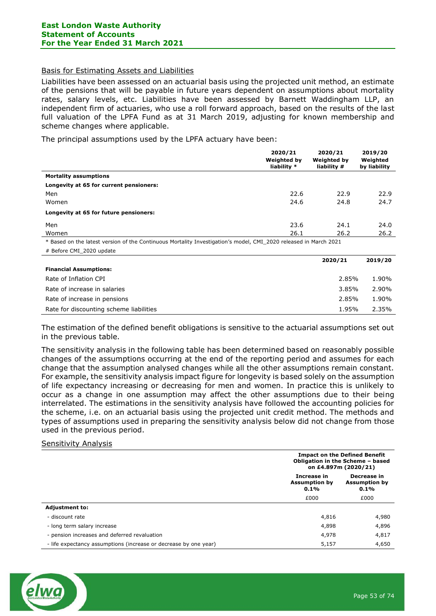#### Basis for Estimating Assets and Liabilities

Liabilities have been assessed on an actuarial basis using the projected unit method, an estimate of the pensions that will be payable in future years dependent on assumptions about mortality rates, salary levels, etc. Liabilities have been assessed by Barnett Waddingham LLP, an independent firm of actuaries, who use a roll forward approach, based on the results of the last full valuation of the LPFA Fund as at 31 March 2019, adjusting for known membership and scheme changes where applicable.

The principal assumptions used by the LPFA actuary have been:

|                                                                                                                  | 2020/21                           | 2020/21                           | 2019/20                  |
|------------------------------------------------------------------------------------------------------------------|-----------------------------------|-----------------------------------|--------------------------|
|                                                                                                                  | <b>Weighted by</b><br>liability * | <b>Weighted by</b><br>liability # | Weighted<br>by liability |
| <b>Mortality assumptions</b>                                                                                     |                                   |                                   |                          |
| Longevity at 65 for current pensioners:                                                                          |                                   |                                   |                          |
| Men                                                                                                              | 22.6                              | 22.9                              | 22.9                     |
| Women                                                                                                            | 24.6                              | 24.8                              | 24.7                     |
| Longevity at 65 for future pensioners:                                                                           |                                   |                                   |                          |
| Men                                                                                                              | 23.6                              | 24.1                              | 24.0                     |
| Women                                                                                                            | 26.1                              | 26.2                              | 26.2                     |
| * Based on the latest version of the Continuous Mortality Investigation's model, CMI_2020 released in March 2021 |                                   |                                   |                          |
| # Before CMI 2020 update                                                                                         |                                   |                                   |                          |
|                                                                                                                  |                                   | 2020/21                           | 2019/20                  |

| <b>Financial Assumptions:</b>           |       |       |
|-----------------------------------------|-------|-------|
| Rate of Inflation CPI                   | 2.85% | 1.90% |
| Rate of increase in salaries            | 3.85% | 2.90% |
| Rate of increase in pensions            | 2.85% | 1.90% |
| Rate for discounting scheme liabilities | 1.95% | 2.35% |

The estimation of the defined benefit obligations is sensitive to the actuarial assumptions set out in the previous table.

The sensitivity analysis in the following table has been determined based on reasonably possible changes of the assumptions occurring at the end of the reporting period and assumes for each change that the assumption analysed changes while all the other assumptions remain constant. For example, the sensitivity analysis impact figure for longevity is based solely on the assumption of life expectancy increasing or decreasing for men and women. In practice this is unlikely to occur as a change in one assumption may affect the other assumptions due to their being interrelated. The estimations in the sensitivity analysis have followed the accounting policies for the scheme, i.e. on an actuarial basis using the projected unit credit method. The methods and types of assumptions used in preparing the sensitivity analysis below did not change from those used in the previous period.

## Sensitivity Analysis

|                                                                  |                                                    | <b>Impact on the Defined Benefit</b><br>Obligation in the Scheme - based<br>on £4.897m (2020/21) |  |  |
|------------------------------------------------------------------|----------------------------------------------------|--------------------------------------------------------------------------------------------------|--|--|
|                                                                  | <b>Increase in</b><br><b>Assumption by</b><br>0.1% | Decrease in<br><b>Assumption by</b><br>0.1%                                                      |  |  |
|                                                                  | £000                                               | £000                                                                                             |  |  |
| <b>Adjustment to:</b>                                            |                                                    |                                                                                                  |  |  |
| - discount rate                                                  | 4,816                                              | 4,980                                                                                            |  |  |
| - long term salary increase                                      | 4,898                                              | 4,896                                                                                            |  |  |
| - pension increases and deferred revaluation                     | 4,978                                              | 4,817                                                                                            |  |  |
| - life expectancy assumptions (increase or decrease by one year) | 5,157                                              | 4,650                                                                                            |  |  |

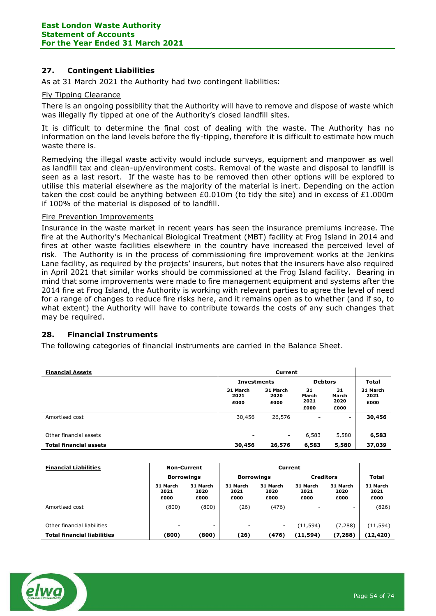# **27. Contingent Liabilities**

As at 31 March 2021 the Authority had two contingent liabilities:

#### Fly Tipping Clearance

There is an ongoing possibility that the Authority will have to remove and dispose of waste which was illegally fly tipped at one of the Authority's closed landfill sites.

It is difficult to determine the final cost of dealing with the waste. The Authority has no information on the land levels before the fly-tipping, therefore it is difficult to estimate how much waste there is.

Remedying the illegal waste activity would include surveys, equipment and manpower as well as landfill tax and clean-up/environment costs. Removal of the waste and disposal to landfill is seen as a last resort. If the waste has to be removed then other options will be explored to utilise this material elsewhere as the majority of the material is inert. Depending on the action taken the cost could be anything between  $E0.010m$  (to tidy the site) and in excess of £1.000m if 100% of the material is disposed of to landfill.

#### Fire Prevention Improvements

Insurance in the waste market in recent years has seen the insurance premiums increase. The fire at the Authority's Mechanical Biological Treatment (MBT) facility at Frog Island in 2014 and fires at other waste facilities elsewhere in the country have increased the perceived level of risk. The Authority is in the process of commissioning fire improvement works at the Jenkins Lane facility, as required by the projects' insurers, but notes that the insurers have also required in April 2021 that similar works should be commissioned at the Frog Island facility. Bearing in mind that some improvements were made to fire management equipment and systems after the 2014 fire at Frog Island, the Authority is working with relevant parties to agree the level of need for a range of changes to reduce fire risks here, and it remains open as to whether (and if so, to what extent) the Authority will have to contribute towards the costs of any such changes that may be required.

## **28. Financial Instruments**

The following categories of financial instruments are carried in the Balance Sheet.

| <b>Financial Assets</b>       | Current                  |                          |                             |                             |                          |
|-------------------------------|--------------------------|--------------------------|-----------------------------|-----------------------------|--------------------------|
|                               | <b>Investments</b>       |                          |                             | <b>Debtors</b>              |                          |
|                               | 31 March<br>2021<br>£000 | 31 March<br>2020<br>£000 | 31<br>March<br>2021<br>£000 | 31<br>March<br>2020<br>£000 | 31 March<br>2021<br>£000 |
| Amortised cost                | 30,456                   | 26,576                   | $\overline{\phantom{0}}$    | $\overline{\phantom{0}}$    | 30,456                   |
| Other financial assets        | $\blacksquare$           | $\blacksquare$           | 6,583                       | 5,580                       | 6,583                    |
| <b>Total financial assets</b> | 30,456                   | 26,576                   | 6,583                       | 5,580                       | 37,039                   |

| <b>Financial Liabilities</b>       | <b>Non-Current</b>       |                          | Current                  |                                       |                          |                          |                          |
|------------------------------------|--------------------------|--------------------------|--------------------------|---------------------------------------|--------------------------|--------------------------|--------------------------|
|                                    | <b>Borrowings</b>        |                          |                          | <b>Creditors</b><br><b>Borrowings</b> |                          |                          | Total                    |
|                                    | 31 March<br>2021<br>£000 | 31 March<br>2020<br>£000 | 31 March<br>2021<br>£000 | 31 March<br>2020<br>£000              | 31 March<br>2021<br>£000 | 31 March<br>2020<br>£000 | 31 March<br>2021<br>£000 |
| Amortised cost                     | (800)                    | (800)                    | (26)                     | (476)                                 | -                        | ٠                        | (826)                    |
| Other financial liabilities        | $\overline{\phantom{a}}$ | ۰                        | ۰                        | ٠.                                    | (11,594)                 | (7, 288)                 | (11, 594)                |
| <b>Total financial liabilities</b> | (800)                    | (800)                    | (26)                     | (476)                                 | (11,594)                 | (7, 288)                 | (12, 420)                |

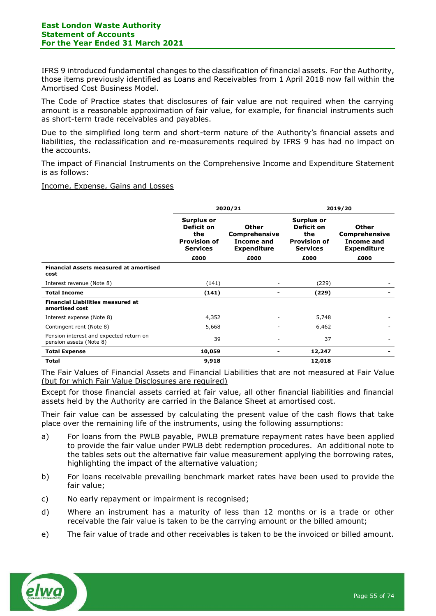IFRS 9 introduced fundamental changes to the classification of financial assets. For the Authority, those items previously identified as Loans and Receivables from 1 April 2018 now fall within the Amortised Cost Business Model.

The Code of Practice states that disclosures of fair value are not required when the carrying amount is a reasonable approximation of fair value, for example, for financial instruments such as short-term trade receivables and payables.

Due to the simplified long term and short-term nature of the Authority's financial assets and liabilities, the reclassification and re-measurements required by IFRS 9 has had no impact on the accounts.

The impact of Financial Instruments on the Comprehensive Income and Expenditure Statement is as follows:

Income, Expense, Gains and Losses

|                                                                    | 2020/21                                                                   |                                                                   | 2019/20                                                                   |                                                                          |
|--------------------------------------------------------------------|---------------------------------------------------------------------------|-------------------------------------------------------------------|---------------------------------------------------------------------------|--------------------------------------------------------------------------|
|                                                                    | Surplus or<br>Deficit on<br>the<br><b>Provision of</b><br><b>Services</b> | Other<br><b>Comprehensive</b><br>Income and<br><b>Expenditure</b> | Surplus or<br>Deficit on<br>the<br><b>Provision of</b><br><b>Services</b> | <b>Other</b><br><b>Comprehensive</b><br>Income and<br><b>Expenditure</b> |
|                                                                    | £000                                                                      | £000                                                              | £000                                                                      | £000                                                                     |
| <b>Financial Assets measured at amortised</b><br>cost              |                                                                           |                                                                   |                                                                           |                                                                          |
| Interest revenue (Note 8)                                          | (141)                                                                     |                                                                   | (229)                                                                     |                                                                          |
| <b>Total Income</b>                                                | (141)                                                                     |                                                                   | (229)                                                                     |                                                                          |
| <b>Financial Liabilities measured at</b><br>amortised cost         |                                                                           |                                                                   |                                                                           |                                                                          |
| Interest expense (Note 8)                                          | 4,352                                                                     |                                                                   | 5,748                                                                     |                                                                          |
| Contingent rent (Note 8)                                           | 5,668                                                                     |                                                                   | 6,462                                                                     |                                                                          |
| Pension interest and expected return on<br>pension assets (Note 8) | 39                                                                        |                                                                   | 37                                                                        |                                                                          |
| <b>Total Expense</b>                                               | 10,059                                                                    |                                                                   | 12,247                                                                    |                                                                          |
| <b>Total</b>                                                       | 9,918                                                                     |                                                                   | 12,018                                                                    |                                                                          |

The Fair Values of Financial Assets and Financial Liabilities that are not measured at Fair Value (but for which Fair Value Disclosures are required)

Except for those financial assets carried at fair value, all other financial liabilities and financial assets held by the Authority are carried in the Balance Sheet at amortised cost.

Their fair value can be assessed by calculating the present value of the cash flows that take place over the remaining life of the instruments, using the following assumptions:

- a) For loans from the PWLB payable, PWLB premature repayment rates have been applied to provide the fair value under PWLB debt redemption procedures. An additional note to the tables sets out the alternative fair value measurement applying the borrowing rates, highlighting the impact of the alternative valuation;
- b) For loans receivable prevailing benchmark market rates have been used to provide the fair value;
- c) No early repayment or impairment is recognised;
- d) Where an instrument has a maturity of less than 12 months or is a trade or other receivable the fair value is taken to be the carrying amount or the billed amount;
- e) The fair value of trade and other receivables is taken to be the invoiced or billed amount.

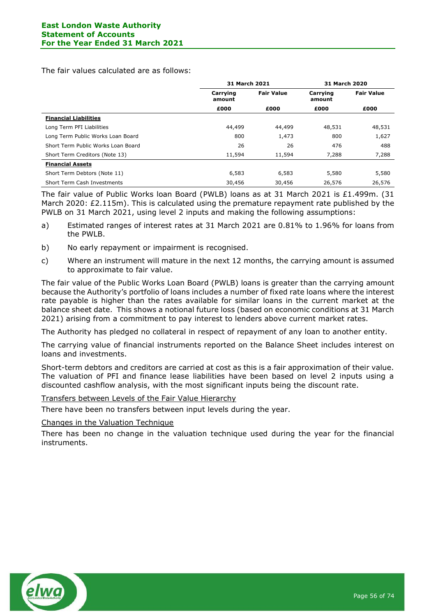The fair values calculated are as follows:

|                                    | <b>31 March 2021</b> |                   | 31 March 2020      |                   |
|------------------------------------|----------------------|-------------------|--------------------|-------------------|
|                                    | Carrying<br>amount   | <b>Fair Value</b> | Carrying<br>amount | <b>Fair Value</b> |
|                                    | £000                 | £000              | £000               | £000              |
| <b>Financial Liabilities</b>       |                      |                   |                    |                   |
| Long Term PFI Liabilities          | 44,499               | 44,499            | 48,531             | 48,531            |
| Long Term Public Works Loan Board  | 800                  | 1,473             | 800                | 1,627             |
| Short Term Public Works Loan Board | 26                   | 26                | 476                | 488               |
| Short Term Creditors (Note 13)     | 11,594               | 11,594            | 7,288              | 7,288             |
| <b>Financial Assets</b>            |                      |                   |                    |                   |
| Short Term Debtors (Note 11)       | 6,583                | 6,583             | 5,580              | 5,580             |
| Short Term Cash Investments        | 30,456               | 30,456            | 26,576             | 26,576            |

The fair value of Public Works loan Board (PWLB) loans as at 31 March 2021 is £1.499m. (31 March 2020: £2.115m). This is calculated using the premature repayment rate published by the PWLB on 31 March 2021, using level 2 inputs and making the following assumptions:

- a) Estimated ranges of interest rates at 31 March 2021 are 0.81% to 1.96% for loans from the PWLB.
- b) No early repayment or impairment is recognised.
- c) Where an instrument will mature in the next 12 months, the carrying amount is assumed to approximate to fair value.

The fair value of the Public Works Loan Board (PWLB) loans is greater than the carrying amount because the Authority's portfolio of loans includes a number of fixed rate loans where the interest rate payable is higher than the rates available for similar loans in the current market at the balance sheet date. This shows a notional future loss (based on economic conditions at 31 March 2021) arising from a commitment to pay interest to lenders above current market rates.

The Authority has pledged no collateral in respect of repayment of any loan to another entity.

The carrying value of financial instruments reported on the Balance Sheet includes interest on loans and investments.

Short-term debtors and creditors are carried at cost as this is a fair approximation of their value. The valuation of PFI and finance lease liabilities have been based on level 2 inputs using a discounted cashflow analysis, with the most significant inputs being the discount rate.

Transfers between Levels of the Fair Value Hierarchy

There have been no transfers between input levels during the year.

Changes in the Valuation Technique

There has been no change in the valuation technique used during the year for the financial instruments.

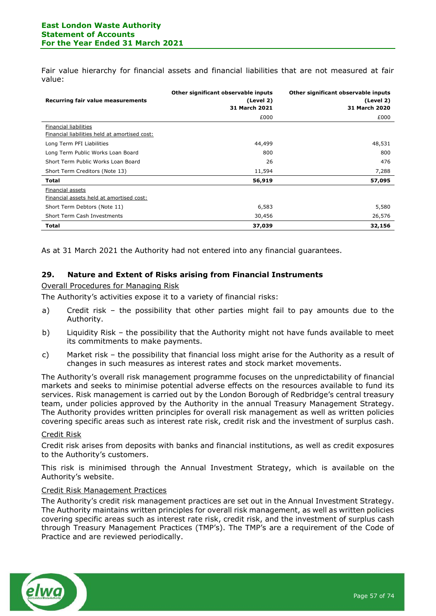Fair value hierarchy for financial assets and financial liabilities that are not measured at fair value:

| Recurring fair value measurements                                      | Other significant observable inputs<br>(Level 2)<br><b>31 March 2021</b> | Other significant observable inputs<br>(Level 2)<br>31 March 2020 |
|------------------------------------------------------------------------|--------------------------------------------------------------------------|-------------------------------------------------------------------|
|                                                                        | £000                                                                     | £000                                                              |
| Financial liabilities<br>Financial liabilities held at amortised cost: |                                                                          |                                                                   |
| Long Term PFI Liabilities                                              | 44,499                                                                   | 48,531                                                            |
| Long Term Public Works Loan Board                                      | 800                                                                      | 800                                                               |
| Short Term Public Works Loan Board                                     | 26                                                                       | 476                                                               |
| Short Term Creditors (Note 13)                                         | 11,594                                                                   | 7,288                                                             |
| Total                                                                  | 56,919                                                                   | 57,095                                                            |
| Financial assets<br>Financial assets held at amortised cost:           |                                                                          |                                                                   |
| Short Term Debtors (Note 11)                                           | 6,583                                                                    | 5,580                                                             |
| Short Term Cash Investments                                            | 30,456                                                                   | 26,576                                                            |
| Total                                                                  | 37,039                                                                   | 32,156                                                            |

As at 31 March 2021 the Authority had not entered into any financial guarantees.

## **29. Nature and Extent of Risks arising from Financial Instruments**

Overall Procedures for Managing Risk

The Authority's activities expose it to a variety of financial risks:

- a) Credit risk the possibility that other parties might fail to pay amounts due to the Authority.
- b) Liquidity Risk the possibility that the Authority might not have funds available to meet its commitments to make payments.
- c) Market risk the possibility that financial loss might arise for the Authority as a result of changes in such measures as interest rates and stock market movements.

The Authority's overall risk management programme focuses on the unpredictability of financial markets and seeks to minimise potential adverse effects on the resources available to fund its services. Risk management is carried out by the London Borough of Redbridge's central treasury team, under policies approved by the Authority in the annual Treasury Management Strategy. The Authority provides written principles for overall risk management as well as written policies covering specific areas such as interest rate risk, credit risk and the investment of surplus cash.

#### Credit Risk

Credit risk arises from deposits with banks and financial institutions, as well as credit exposures to the Authority's customers.

This risk is minimised through the Annual Investment Strategy, which is available on the Authority's website.

#### Credit Risk Management Practices

The Authority's credit risk management practices are set out in the Annual Investment Strategy. The Authority maintains written principles for overall risk management, as well as written policies covering specific areas such as interest rate risk, credit risk, and the investment of surplus cash through Treasury Management Practices (TMP's). The TMP's are a requirement of the Code of Practice and are reviewed periodically.

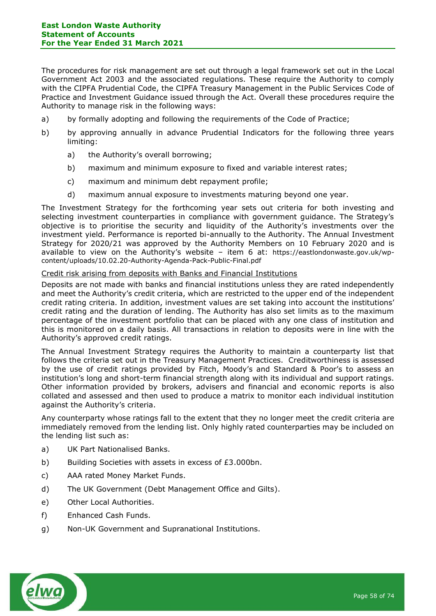The procedures for risk management are set out through a legal framework set out in the Local Government Act 2003 and the associated regulations. These require the Authority to comply with the CIPFA Prudential Code, the CIPFA Treasury Management in the Public Services Code of Practice and Investment Guidance issued through the Act. Overall these procedures require the Authority to manage risk in the following ways:

- a) by formally adopting and following the requirements of the Code of Practice;
- b) by approving annually in advance Prudential Indicators for the following three years limiting:
	- a) the Authority's overall borrowing;
	- b) maximum and minimum exposure to fixed and variable interest rates;
	- c) maximum and minimum debt repayment profile;
	- d) maximum annual exposure to investments maturing beyond one year.

The Investment Strategy for the forthcoming year sets out criteria for both investing and selecting investment counterparties in compliance with government guidance. The Strategy's objective is to prioritise the security and liquidity of the Authority's investments over the investment yield. Performance is reported bi-annually to the Authority. The Annual Investment Strategy for 2020/21 was approved by the Authority Members on 10 February 2020 and is available to view on the Authority's website – item 6 at: https://eastlondonwaste.gov.uk/wpcontent/uploads/10.02.20-Authority-Agenda-Pack-Public-Final.pdf

## Credit risk arising from deposits with Banks and Financial Institutions

Deposits are not made with banks and financial institutions unless they are rated independently and meet the Authority's credit criteria, which are restricted to the upper end of the independent credit rating criteria. In addition, investment values are set taking into account the institutions' credit rating and the duration of lending. The Authority has also set limits as to the maximum percentage of the investment portfolio that can be placed with any one class of institution and this is monitored on a daily basis. All transactions in relation to deposits were in line with the Authority's approved credit ratings.

The Annual Investment Strategy requires the Authority to maintain a counterparty list that follows the criteria set out in the Treasury Management Practices. Creditworthiness is assessed by the use of credit ratings provided by Fitch, Moody's and Standard & Poor's to assess an institution's long and short-term financial strength along with its individual and support ratings. Other information provided by brokers, advisers and financial and economic reports is also collated and assessed and then used to produce a matrix to monitor each individual institution against the Authority's criteria.

Any counterparty whose ratings fall to the extent that they no longer meet the credit criteria are immediately removed from the lending list. Only highly rated counterparties may be included on the lending list such as:

- a) UK Part Nationalised Banks.
- b) Building Societies with assets in excess of £3.000bn.
- c) AAA rated Money Market Funds.
- d) The UK Government (Debt Management Office and Gilts).
- e) Other Local Authorities.
- f) Enhanced Cash Funds.
- g) Non-UK Government and Supranational Institutions.

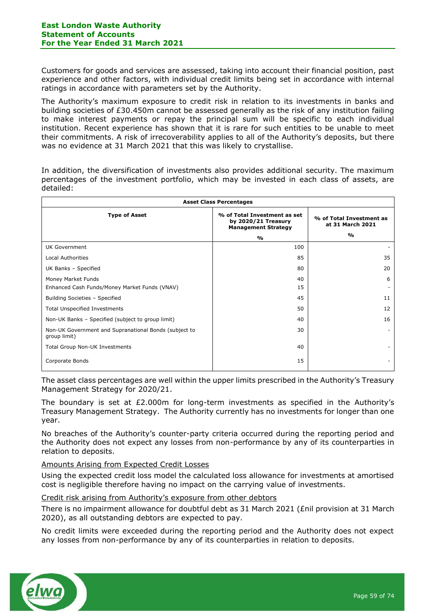Customers for goods and services are assessed, taking into account their financial position, past experience and other factors, with individual credit limits being set in accordance with internal ratings in accordance with parameters set by the Authority.

The Authority's maximum exposure to credit risk in relation to its investments in banks and building societies of £30.450m cannot be assessed generally as the risk of any institution failing to make interest payments or repay the principal sum will be specific to each individual institution. Recent experience has shown that it is rare for such entities to be unable to meet their commitments. A risk of irrecoverability applies to all of the Authority's deposits, but there was no evidence at 31 March 2021 that this was likely to crystallise.

In addition, the diversification of investments also provides additional security. The maximum percentages of the investment portfolio, which may be invested in each class of assets, are detailed:

| <b>Asset Class Percentages</b>                                        |                                                                                   |                                              |  |  |  |
|-----------------------------------------------------------------------|-----------------------------------------------------------------------------------|----------------------------------------------|--|--|--|
| <b>Type of Asset</b>                                                  | % of Total Investment as set<br>by 2020/21 Treasury<br><b>Management Strategy</b> | % of Total Investment as<br>at 31 March 2021 |  |  |  |
|                                                                       | %                                                                                 | %                                            |  |  |  |
| UK Government                                                         | 100                                                                               |                                              |  |  |  |
| <b>Local Authorities</b>                                              | 85                                                                                | 35                                           |  |  |  |
| UK Banks - Specified                                                  | 80                                                                                | 20                                           |  |  |  |
| Money Market Funds                                                    | 40                                                                                | 6                                            |  |  |  |
| Enhanced Cash Funds/Money Market Funds (VNAV)                         | 15                                                                                |                                              |  |  |  |
| Building Societies - Specified                                        | 45                                                                                | 11                                           |  |  |  |
| <b>Total Unspecified Investments</b>                                  | 50                                                                                | 12                                           |  |  |  |
| Non-UK Banks - Specified (subject to group limit)                     | 40                                                                                | 16                                           |  |  |  |
| Non-UK Government and Supranational Bonds (subject to<br>group limit) | 30                                                                                |                                              |  |  |  |
| Total Group Non-UK Investments                                        | 40                                                                                |                                              |  |  |  |
| Corporate Bonds                                                       | 15                                                                                |                                              |  |  |  |

The asset class percentages are well within the upper limits prescribed in the Authority's Treasury Management Strategy for 2020/21.

The boundary is set at  $E2.000m$  for long-term investments as specified in the Authority's Treasury Management Strategy. The Authority currently has no investments for longer than one year.

No breaches of the Authority's counter-party criteria occurred during the reporting period and the Authority does not expect any losses from non-performance by any of its counterparties in relation to deposits.

# Amounts Arising from Expected Credit Losses

Using the expected credit loss model the calculated loss allowance for investments at amortised cost is negligible therefore having no impact on the carrying value of investments.

## Credit risk arising from Authority's exposure from other debtors

There is no impairment allowance for doubtful debt as 31 March 2021 (£nil provision at 31 March 2020), as all outstanding debtors are expected to pay.

No credit limits were exceeded during the reporting period and the Authority does not expect any losses from non-performance by any of its counterparties in relation to deposits.

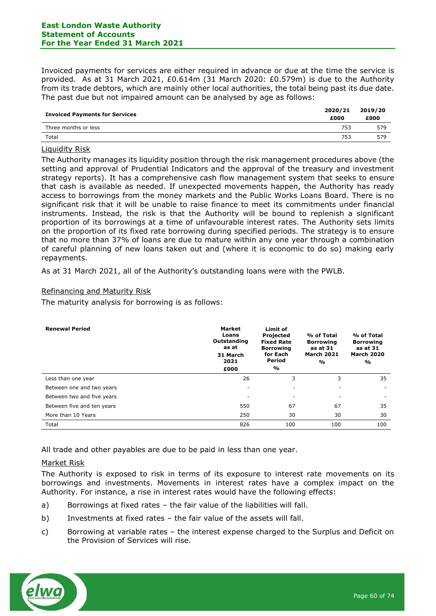#### **East London Waste Authority Statement of Accounts For the Year Ended 31 March 2021**

Invoiced payments for services are either required in advance or due at the time the service is provided. As at 31 March 2021, £0.614m (31 March 2020: £0.579m) is due to the Authority from its trade debtors, which are mainly other local authorities, the total being past its due date. The past due but not impaired amount can be analysed by age as follows:

| <b>Invoiced Payments for Services</b> | 2020/21<br>£000 | 2019/20<br>£000 |
|---------------------------------------|-----------------|-----------------|
| Three months or less                  | 753             | 579             |
| Total                                 | 753             | 579             |

# Liquidity Risk

The Authority manages its liquidity position through the risk management procedures above (the setting and approval of Prudential Indicators and the approval of the treasury and investment strategy reports). It has a comprehensive cash flow management system that seeks to ensure that cash is available as needed. If unexpected movements happen, the Authority has ready access to borrowings from the money markets and the Public Works Loans Board. There is no significant risk that it will be unable to raise finance to meet its commitments under financial instruments. Instead, the risk is that the Authority will be bound to replenish a significant proportion of its borrowings at a time of unfavourable interest rates. The Authority sets limits on the proportion of its fixed rate borrowing during specified periods. The strategy is to ensure that no more than 37% of loans are due to mature within any one year through a combination of careful planning of new loans taken out and (where it is economic to do so) making early repayments.

As at 31 March 2021, all of the Authority's outstanding loans were with the PWLB.

# Refinancing and Maturity Risk

The maturity analysis for borrowing is as follows:

| <b>Renewal Period</b>      | <b>Market</b><br>Loans<br>Outstanding<br>as at<br>31 March<br>2021<br>£000 | Limit of<br><b>Projected</b><br><b>Fixed Rate</b><br><b>Borrowing</b><br>for Each<br>Period<br>% | % of Total<br><b>Borrowing</b><br>as at 31<br><b>March 2021</b><br>% | % of Total<br><b>Borrowing</b><br>as at 31<br><b>March 2020</b><br>$\frac{0}{0}$ |
|----------------------------|----------------------------------------------------------------------------|--------------------------------------------------------------------------------------------------|----------------------------------------------------------------------|----------------------------------------------------------------------------------|
| Less than one year         | 26                                                                         | 3                                                                                                | 3                                                                    | 35                                                                               |
| Between one and two years  | ۰                                                                          |                                                                                                  |                                                                      |                                                                                  |
| Between two and five years | ۰                                                                          | ۰                                                                                                |                                                                      | ٠                                                                                |
| Between five and ten years | 550                                                                        | 67                                                                                               | 67                                                                   | 35                                                                               |
| More than 10 Years         | 250                                                                        | 30                                                                                               | 30                                                                   | 30                                                                               |
| Total                      | 826                                                                        | 100                                                                                              | 100                                                                  | 100                                                                              |

All trade and other payables are due to be paid in less than one year.

## Market Risk

The Authority is exposed to risk in terms of its exposure to interest rate movements on its borrowings and investments. Movements in interest rates have a complex impact on the Authority. For instance, a rise in interest rates would have the following effects:

- a) Borrowings at fixed rates the fair value of the liabilities will fall.
- b) Investments at fixed rates the fair value of the assets will fall.
- c) Borrowing at variable rates the interest expense charged to the Surplus and Deficit on the Provision of Services will rise.

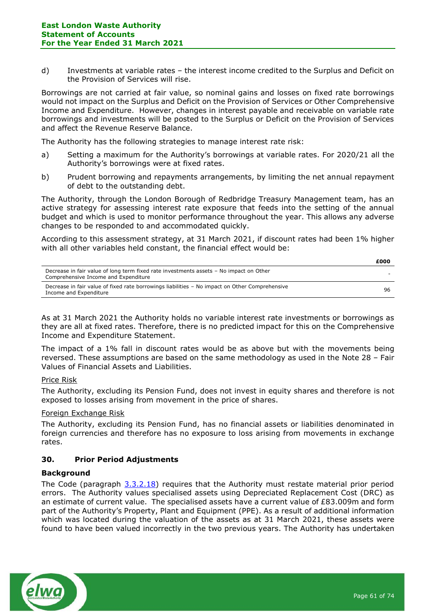d) Investments at variable rates – the interest income credited to the Surplus and Deficit on the Provision of Services will rise.

Borrowings are not carried at fair value, so nominal gains and losses on fixed rate borrowings would not impact on the Surplus and Deficit on the Provision of Services or Other Comprehensive Income and Expenditure. However, changes in interest payable and receivable on variable rate borrowings and investments will be posted to the Surplus or Deficit on the Provision of Services and affect the Revenue Reserve Balance.

The Authority has the following strategies to manage interest rate risk:

- a) Setting a maximum for the Authority's borrowings at variable rates. For 2020/21 all the Authority's borrowings were at fixed rates.
- b) Prudent borrowing and repayments arrangements, by limiting the net annual repayment of debt to the outstanding debt.

The Authority, through the London Borough of Redbridge Treasury Management team, has an active strategy for assessing interest rate exposure that feeds into the setting of the annual budget and which is used to monitor performance throughout the year. This allows any adverse changes to be responded to and accommodated quickly.

According to this assessment strategy, at 31 March 2021, if discount rates had been 1% higher with all other variables held constant, the financial effect would be:

|                                                                                                                                | £000   |
|--------------------------------------------------------------------------------------------------------------------------------|--------|
| Decrease in fair value of long term fixed rate investments assets - No impact on Other<br>Comprehensive Income and Expenditure | $\sim$ |
| Decrease in fair value of fixed rate borrowings liabilities - No impact on Other Comprehensive<br>Income and Expenditure       | 96     |

As at 31 March 2021 the Authority holds no variable interest rate investments or borrowings as they are all at fixed rates. Therefore, there is no predicted impact for this on the Comprehensive Income and Expenditure Statement.

The impact of a 1% fall in discount rates would be as above but with the movements being reversed. These assumptions are based on the same methodology as used in the Note 28 – Fair Values of Financial Assets and Liabilities.

## Price Risk

The Authority, excluding its Pension Fund, does not invest in equity shares and therefore is not exposed to losses arising from movement in the price of shares.

## Foreign Exchange Risk

The Authority, excluding its Pension Fund, has no financial assets or liabilities denominated in foreign currencies and therefore has no exposure to loss arising from movements in exchange rates.

## **30. Prior Period Adjustments**

## **Background**

The Code (paragraph [3.3.2.18\)](https://protect-eu.mimecast.com/s/QbmqC6BrZuGoJp6hplhSS?domain=3.3.2.18) requires that the Authority must restate material prior period errors. The Authority values specialised assets using Depreciated Replacement Cost (DRC) as an estimate of current value. The specialised assets have a current value of £83.009m and form part of the Authority's Property, Plant and Equipment (PPE). As a result of additional information which was located during the valuation of the assets as at 31 March 2021, these assets were found to have been valued incorrectly in the two previous years. The Authority has undertaken

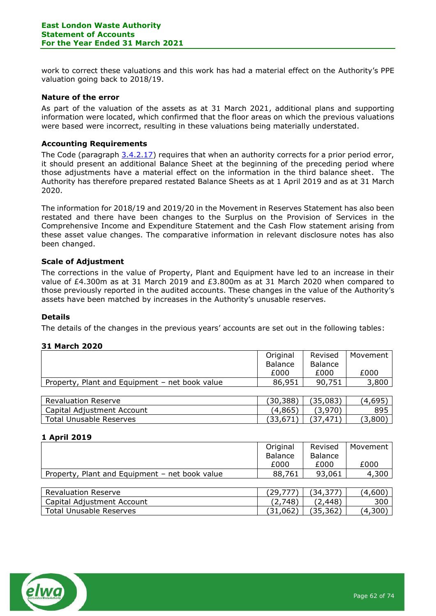work to correct these valuations and this work has had a material effect on the Authority's PPE valuation going back to 2018/19.

## **Nature of the error**

As part of the valuation of the assets as at 31 March 2021, additional plans and supporting information were located, which confirmed that the floor areas on which the previous valuations were based were incorrect, resulting in these valuations being materially understated.

#### **Accounting Requirements**

The Code (paragraph [3.4.2.17\)](https://protect-eu.mimecast.com/s/9vpYC7pv4hWmY8XTWp1E0?domain=3.4.2.17) requires that when an authority corrects for a prior period error, it should present an additional Balance Sheet at the beginning of the preceding period where those adjustments have a material effect on the information in the third balance sheet. The Authority has therefore prepared restated Balance Sheets as at 1 April 2019 and as at 31 March 2020.

The information for 2018/19 and 2019/20 in the Movement in Reserves Statement has also been restated and there have been changes to the Surplus on the Provision of Services in the Comprehensive Income and Expenditure Statement and the Cash Flow statement arising from these asset value changes. The comparative information in relevant disclosure notes has also been changed.

## **Scale of Adjustment**

The corrections in the value of Property, Plant and Equipment have led to an increase in their value of £4.300m as at 31 March 2019 and £3.800m as at 31 March 2020 when compared to those previously reported in the audited accounts. These changes in the value of the Authority's assets have been matched by increases in the Authority's unusable reserves.

#### **Details**

The details of the changes in the previous years' accounts are set out in the following tables:

## **31 March 2020**

|                                                | Original       | Revised        | Movement |
|------------------------------------------------|----------------|----------------|----------|
|                                                | <b>Balance</b> | <b>Balance</b> |          |
|                                                | £000           | £000           | £000     |
| Property, Plant and Equipment - net book value | 86,951         | 90,751         | 3,800    |
|                                                |                |                |          |
| <b>Revaluation Reserve</b>                     | (30, 388)      | (35,083)       | (4,695)  |
| Capital Adjustment Account                     | (4,865)        | (3,970)        | 895      |
| <b>Total Unusable Reserves</b>                 | (33, 671)      | (37, 471)      | (3,800)  |

## **1 April 2019**

|                                                | Original       | Revised        | Movement |
|------------------------------------------------|----------------|----------------|----------|
|                                                | <b>Balance</b> | <b>Balance</b> |          |
|                                                | £000           | £000           | £000     |
| Property, Plant and Equipment - net book value | 88,761         | 93,061         | 4,300    |
|                                                |                |                |          |
| <b>Revaluation Reserve</b>                     | (29, 777)      | (34, 377)      | (4,600)  |

| Revaluation Reserve        |        | - 14   | 4.000            |
|----------------------------|--------|--------|------------------|
| Capital Adjustment Account | 748`   | 448.   | 300              |
| Total Unusable Reserves    | 31,062 | 35,362 | 300،<br>$\Delta$ |

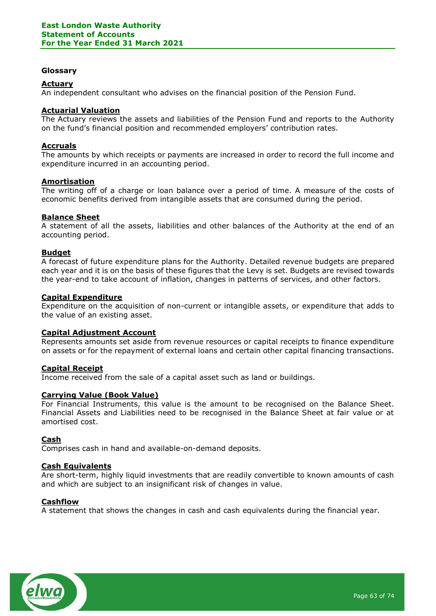#### **Glossary**

#### **Actuary**

An independent consultant who advises on the financial position of the Pension Fund.

# **Actuarial Valuation**

The Actuary reviews the assets and liabilities of the Pension Fund and reports to the Authority on the fund's financial position and recommended employers' contribution rates.

#### **Accruals**

The amounts by which receipts or payments are increased in order to record the full income and expenditure incurred in an accounting period.

#### **Amortisation**

The writing off of a charge or loan balance over a period of time. A measure of the costs of economic benefits derived from intangible assets that are consumed during the period.

#### **Balance Sheet**

A statement of all the assets, liabilities and other balances of the Authority at the end of an accounting period.

#### **Budget**

A forecast of future expenditure plans for the Authority. Detailed revenue budgets are prepared each year and it is on the basis of these figures that the Levy is set. Budgets are revised towards the year-end to take account of inflation, changes in patterns of services, and other factors.

#### **Capital Expenditure**

Expenditure on the acquisition of non-current or intangible assets, or expenditure that adds to the value of an existing asset.

#### **Capital Adjustment Account**

Represents amounts set aside from revenue resources or capital receipts to finance expenditure on assets or for the repayment of external loans and certain other capital financing transactions.

#### **Capital Receipt**

Income received from the sale of a capital asset such as land or buildings.

#### **Carrying Value (Book Value)**

For Financial Instruments, this value is the amount to be recognised on the Balance Sheet. Financial Assets and Liabilities need to be recognised in the Balance Sheet at fair value or at amortised cost.

#### **Cash**

Comprises cash in hand and available-on-demand deposits.

# **Cash Equivalents**

Are short-term, highly liquid investments that are readily convertible to known amounts of cash and which are subject to an insignificant risk of changes in value.

#### **Cashflow**

A statement that shows the changes in cash and cash equivalents during the financial year.

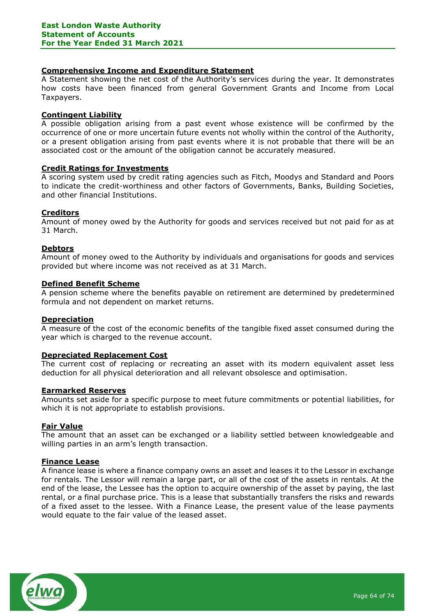# **Comprehensive Income and Expenditure Statement**

A Statement showing the net cost of the Authority's services during the year. It demonstrates how costs have been financed from general Government Grants and Income from Local Taxpayers.

## **Contingent Liability**

A possible obligation arising from a past event whose existence will be confirmed by the occurrence of one or more uncertain future events not wholly within the control of the Authority, or a present obligation arising from past events where it is not probable that there will be an associated cost or the amount of the obligation cannot be accurately measured.

## **Credit Ratings for Investments**

A scoring system used by credit rating agencies such as Fitch, Moodys and Standard and Poors to indicate the credit-worthiness and other factors of Governments, Banks, Building Societies, and other financial Institutions.

## **Creditors**

Amount of money owed by the Authority for goods and services received but not paid for as at 31 March.

# **Debtors**

Amount of money owed to the Authority by individuals and organisations for goods and services provided but where income was not received as at 31 March.

## **Defined Benefit Scheme**

A pension scheme where the benefits payable on retirement are determined by predetermined formula and not dependent on market returns.

## **Depreciation**

A measure of the cost of the economic benefits of the tangible fixed asset consumed during the year which is charged to the revenue account.

## **Depreciated Replacement Cost**

The current cost of replacing or recreating an asset with its modern equivalent asset less deduction for all physical deterioration and all relevant obsolesce and optimisation.

## **Earmarked Reserves**

Amounts set aside for a specific purpose to meet future commitments or potential liabilities, for which it is not appropriate to establish provisions.

## **Fair Value**

The amount that an asset can be exchanged or a liability settled between knowledgeable and willing parties in an arm's length transaction.

## **Finance Lease**

A finance lease is where a finance company owns an asset and leases it to the Lessor in exchange for rentals. The Lessor will remain a large part, or all of the cost of the assets in rentals. At the end of the lease, the Lessee has the option to acquire ownership of the asset by paying, the last rental, or a final purchase price. This is a lease that substantially transfers the risks and rewards of a fixed asset to the lessee. With a Finance Lease, the present value of the lease payments would equate to the fair value of the leased asset.

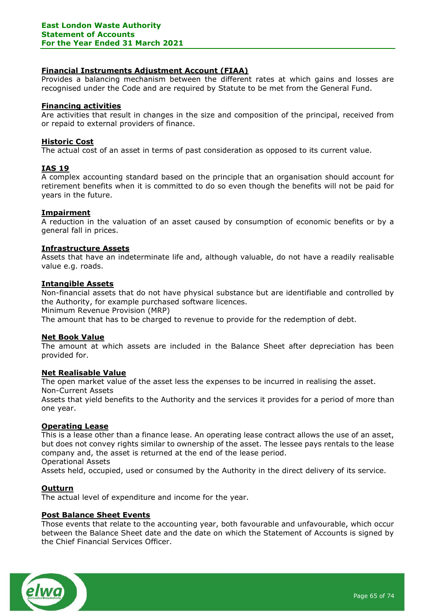# **Financial Instruments Adjustment Account (FIAA)**

Provides a balancing mechanism between the different rates at which gains and losses are recognised under the Code and are required by Statute to be met from the General Fund.

## **Financing activities**

Are activities that result in changes in the size and composition of the principal, received from or repaid to external providers of finance.

## **Historic Cost**

The actual cost of an asset in terms of past consideration as opposed to its current value.

# **IAS 19**

A complex accounting standard based on the principle that an organisation should account for retirement benefits when it is committed to do so even though the benefits will not be paid for years in the future.

## **Impairment**

A reduction in the valuation of an asset caused by consumption of economic benefits or by a general fall in prices.

#### **Infrastructure Assets**

Assets that have an indeterminate life and, although valuable, do not have a readily realisable value e.g. roads.

#### **Intangible Assets**

Non-financial assets that do not have physical substance but are identifiable and controlled by the Authority, for example purchased software licences.

Minimum Revenue Provision (MRP)

The amount that has to be charged to revenue to provide for the redemption of debt.

## **Net Book Value**

The amount at which assets are included in the Balance Sheet after depreciation has been provided for.

## **Net Realisable Value**

The open market value of the asset less the expenses to be incurred in realising the asset. Non-Current Assets

Assets that yield benefits to the Authority and the services it provides for a period of more than one year.

#### **Operating Lease**

This is a lease other than a finance lease. An operating lease contract allows the use of an asset, but does not convey rights similar to ownership of the asset. The lessee pays rentals to the lease company and, the asset is returned at the end of the lease period. Operational Assets

Assets held, occupied, used or consumed by the Authority in the direct delivery of its service.

## **Outturn**

The actual level of expenditure and income for the year.

## **Post Balance Sheet Events**

Those events that relate to the accounting year, both favourable and unfavourable, which occur between the Balance Sheet date and the date on which the Statement of Accounts is signed by the Chief Financial Services Officer.

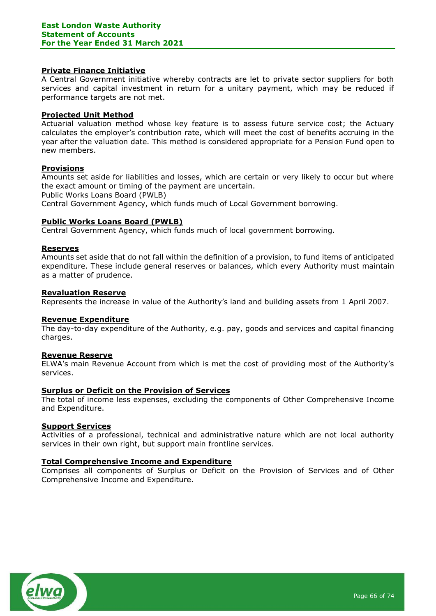#### **Private Finance Initiative**

A Central Government initiative whereby contracts are let to private sector suppliers for both services and capital investment in return for a unitary payment, which may be reduced if performance targets are not met.

#### **Projected Unit Method**

Actuarial valuation method whose key feature is to assess future service cost; the Actuary calculates the employer's contribution rate, which will meet the cost of benefits accruing in the year after the valuation date. This method is considered appropriate for a Pension Fund open to new members.

## **Provisions**

Amounts set aside for liabilities and losses, which are certain or very likely to occur but where the exact amount or timing of the payment are uncertain.

Public Works Loans Board (PWLB)

Central Government Agency, which funds much of Local Government borrowing.

#### **Public Works Loans Board (PWLB)**

Central Government Agency, which funds much of local government borrowing.

#### **Reserves**

Amounts set aside that do not fall within the definition of a provision, to fund items of anticipated expenditure. These include general reserves or balances, which every Authority must maintain as a matter of prudence.

#### **Revaluation Reserve**

Represents the increase in value of the Authority's land and building assets from 1 April 2007.

#### **Revenue Expenditure**

The day-to-day expenditure of the Authority, e.g. pay, goods and services and capital financing charges.

#### **Revenue Reserve**

ELWA's main Revenue Account from which is met the cost of providing most of the Authority's services.

# **Surplus or Deficit on the Provision of Services**

The total of income less expenses, excluding the components of Other Comprehensive Income and Expenditure.

#### **Support Services**

Activities of a professional, technical and administrative nature which are not local authority services in their own right, but support main frontline services.

#### **Total Comprehensive Income and Expenditure**

Comprises all components of Surplus or Deficit on the Provision of Services and of Other Comprehensive Income and Expenditure.

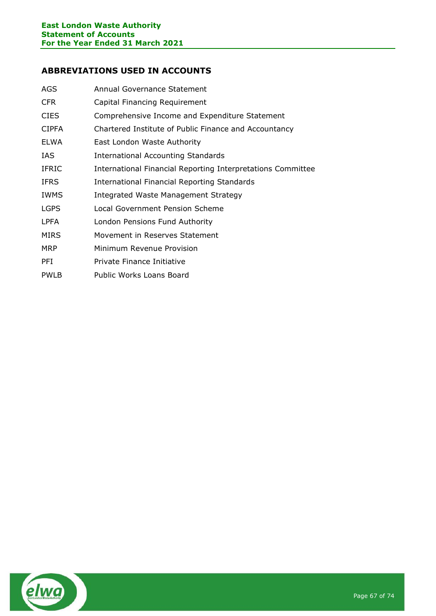# **ABBREVIATIONS USED IN ACCOUNTS**

| <b>AGS</b>   | Annual Governance Statement                                 |
|--------------|-------------------------------------------------------------|
| CFR.         | Capital Financing Requirement                               |
| <b>CIES</b>  | Comprehensive Income and Expenditure Statement              |
| <b>CIPFA</b> | Chartered Institute of Public Finance and Accountancy       |
| ELWA         | East London Waste Authority                                 |
| IAS.         | <b>International Accounting Standards</b>                   |
| <b>IFRIC</b> | International Financial Reporting Interpretations Committee |
| <b>IFRS</b>  | International Financial Reporting Standards                 |
| <b>IWMS</b>  | Integrated Waste Management Strategy                        |
| <b>LGPS</b>  | Local Government Pension Scheme                             |
| <b>LPFA</b>  | London Pensions Fund Authority                              |
| <b>MIRS</b>  | Movement in Reserves Statement                              |
| MRP          | Minimum Revenue Provision                                   |
| <b>PFI</b>   | Private Finance Initiative                                  |
| <b>PWLB</b>  | Public Works Loans Board                                    |

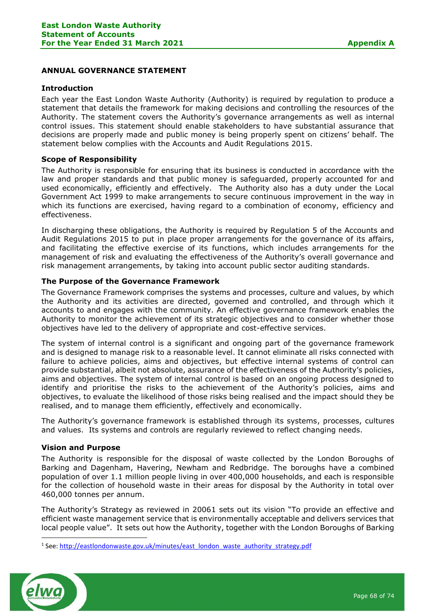# **ANNUAL GOVERNANCE STATEMENT**

#### **Introduction**

Each year the East London Waste Authority (Authority) is required by regulation to produce a statement that details the framework for making decisions and controlling the resources of the Authority. The statement covers the Authority's governance arrangements as well as internal control issues. This statement should enable stakeholders to have substantial assurance that decisions are properly made and public money is being properly spent on citizens' behalf. The statement below complies with the Accounts and Audit Regulations 2015.

## **Scope of Responsibility**

The Authority is responsible for ensuring that its business is conducted in accordance with the law and proper standards and that public money is safeguarded, properly accounted for and used economically, efficiently and effectively. The Authority also has a duty under the Local Government Act 1999 to make arrangements to secure continuous improvement in the way in which its functions are exercised, having regard to a combination of economy, efficiency and effectiveness.

In discharging these obligations, the Authority is required by Regulation 5 of the Accounts and Audit Regulations 2015 to put in place proper arrangements for the governance of its affairs, and facilitating the effective exercise of its functions, which includes arrangements for the management of risk and evaluating the effectiveness of the Authority's overall governance and risk management arrangements, by taking into account public sector auditing standards.

## **The Purpose of the Governance Framework**

The Governance Framework comprises the systems and processes, culture and values, by which the Authority and its activities are directed, governed and controlled, and through which it accounts to and engages with the community. An effective governance framework enables the Authority to monitor the achievement of its strategic objectives and to consider whether those objectives have led to the delivery of appropriate and cost-effective services.

The system of internal control is a significant and ongoing part of the governance framework and is designed to manage risk to a reasonable level. It cannot eliminate all risks connected with failure to achieve policies, aims and objectives, but effective internal systems of control can provide substantial, albeit not absolute, assurance of the effectiveness of the Authority's policies, aims and objectives. The system of internal control is based on an ongoing process designed to identify and prioritise the risks to the achievement of the Authority's policies, aims and objectives, to evaluate the likelihood of those risks being realised and the impact should they be realised, and to manage them efficiently, effectively and economically.

The Authority's governance framework is established through its systems, processes, cultures and values. Its systems and controls are regularly reviewed to reflect changing needs.

#### **Vision and Purpose**

The Authority is responsible for the disposal of waste collected by the London Boroughs of Barking and Dagenham, Havering, Newham and Redbridge. The boroughs have a combined population of over 1.1 million people living in over 400,000 households, and each is responsible for the collection of household waste in their areas for disposal by the Authority in total over 460,000 tonnes per annum.

The Authority's Strategy as reviewed in 20061 sets out its vision "To provide an effective and efficient waste management service that is environmentally acceptable and delivers services that local people value". It sets out how the Authority, together with the London Boroughs of Barking

<sup>&</sup>lt;sup>1</sup> See[: http://eastlondonwaste.gov.uk/minutes/east\\_london\\_waste\\_authority\\_strategy.pdf](http://eastlondonwaste.gov.uk/minutes/east_london_waste_authority_strategy.pdf)

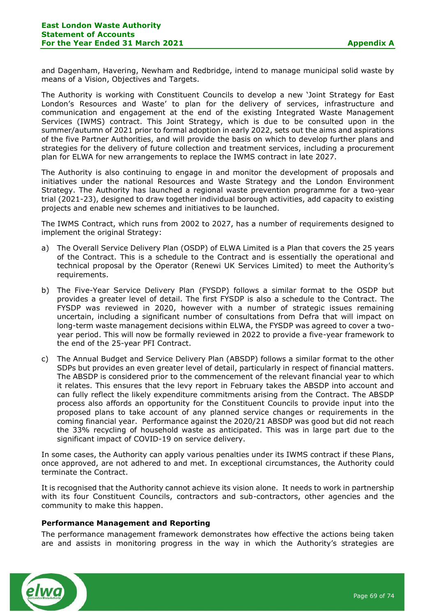and Dagenham, Havering, Newham and Redbridge, intend to manage municipal solid waste by means of a Vision, Objectives and Targets.

The Authority is working with Constituent Councils to develop a new 'Joint Strategy for East London's Resources and Waste' to plan for the delivery of services, infrastructure and communication and engagement at the end of the existing Integrated Waste Management Services (IWMS) contract. This Joint Strategy, which is due to be consulted upon in the summer/autumn of 2021 prior to formal adoption in early 2022, sets out the aims and aspirations of the five Partner Authorities, and will provide the basis on which to develop further plans and strategies for the delivery of future collection and treatment services, including a procurement plan for ELWA for new arrangements to replace the IWMS contract in late 2027.

The Authority is also continuing to engage in and monitor the development of proposals and initiatives under the national Resources and Waste Strategy and the London Environment Strategy. The Authority has launched a regional waste prevention programme for a two-year trial (2021-23), designed to draw together individual borough activities, add capacity to existing projects and enable new schemes and initiatives to be launched.

The IWMS Contract, which runs from 2002 to 2027, has a number of requirements designed to implement the original Strategy:

- a) The Overall Service Delivery Plan (OSDP) of ELWA Limited is a Plan that covers the 25 years of the Contract. This is a schedule to the Contract and is essentially the operational and technical proposal by the Operator (Renewi UK Services Limited) to meet the Authority's requirements.
- b) The Five-Year Service Delivery Plan (FYSDP) follows a similar format to the OSDP but provides a greater level of detail. The first FYSDP is also a schedule to the Contract. The FYSDP was reviewed in 2020, however with a number of strategic issues remaining uncertain, including a significant number of consultations from Defra that will impact on long-term waste management decisions within ELWA, the FYSDP was agreed to cover a twoyear period. This will now be formally reviewed in 2022 to provide a five-year framework to the end of the 25-year PFI Contract.
- c) The Annual Budget and Service Delivery Plan (ABSDP) follows a similar format to the other SDPs but provides an even greater level of detail, particularly in respect of financial matters. The ABSDP is considered prior to the commencement of the relevant financial year to which it relates. This ensures that the levy report in February takes the ABSDP into account and can fully reflect the likely expenditure commitments arising from the Contract. The ABSDP process also affords an opportunity for the Constituent Councils to provide input into the proposed plans to take account of any planned service changes or requirements in the coming financial year. Performance against the 2020/21 ABSDP was good but did not reach the 33% recycling of household waste as anticipated. This was in large part due to the significant impact of COVID-19 on service delivery.

In some cases, the Authority can apply various penalties under its IWMS contract if these Plans, once approved, are not adhered to and met. In exceptional circumstances, the Authority could terminate the Contract.

It is recognised that the Authority cannot achieve its vision alone. It needs to work in partnership with its four Constituent Councils, contractors and sub-contractors, other agencies and the community to make this happen.

#### **Performance Management and Reporting**

The performance management framework demonstrates how effective the actions being taken are and assists in monitoring progress in the way in which the Authority's strategies are

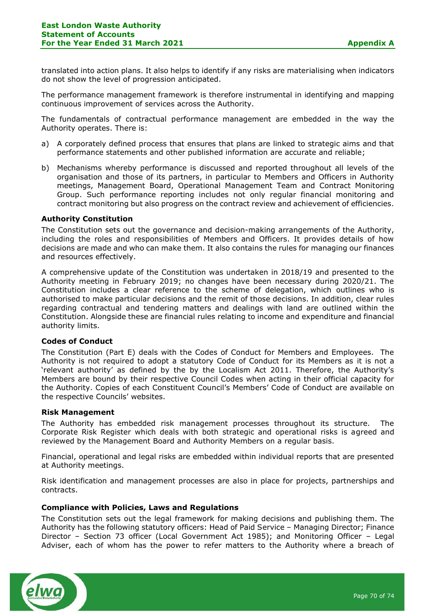translated into action plans. It also helps to identify if any risks are materialising when indicators do not show the level of progression anticipated.

The performance management framework is therefore instrumental in identifying and mapping continuous improvement of services across the Authority.

The fundamentals of contractual performance management are embedded in the way the Authority operates. There is:

- a) A corporately defined process that ensures that plans are linked to strategic aims and that performance statements and other published information are accurate and reliable;
- b) Mechanisms whereby performance is discussed and reported throughout all levels of the organisation and those of its partners, in particular to Members and Officers in Authority meetings, Management Board, Operational Management Team and Contract Monitoring Group. Such performance reporting includes not only regular financial monitoring and contract monitoring but also progress on the contract review and achievement of efficiencies.

#### **Authority Constitution**

The Constitution sets out the governance and decision-making arrangements of the Authority, including the roles and responsibilities of Members and Officers. It provides details of how decisions are made and who can make them. It also contains the rules for managing our finances and resources effectively.

A comprehensive update of the Constitution was undertaken in 2018/19 and presented to the Authority meeting in February 2019; no changes have been necessary during 2020/21. The Constitution includes a clear reference to the scheme of delegation, which outlines who is authorised to make particular decisions and the remit of those decisions. In addition, clear rules regarding contractual and tendering matters and dealings with land are outlined within the Constitution. Alongside these are financial rules relating to income and expenditure and financial authority limits.

## **Codes of Conduct**

The Constitution (Part E) deals with the Codes of Conduct for Members and Employees. The Authority is not required to adopt a statutory Code of Conduct for its Members as it is not a 'relevant authority' as defined by the by the Localism Act 2011. Therefore, the Authority's Members are bound by their respective Council Codes when acting in their official capacity for the Authority. Copies of each Constituent Council's Members' Code of Conduct are available on the respective Councils' websites.

#### **Risk Management**

The Authority has embedded risk management processes throughout its structure. The Corporate Risk Register which deals with both strategic and operational risks is agreed and reviewed by the Management Board and Authority Members on a regular basis.

Financial, operational and legal risks are embedded within individual reports that are presented at Authority meetings.

Risk identification and management processes are also in place for projects, partnerships and contracts.

## **Compliance with Policies, Laws and Regulations**

The Constitution sets out the legal framework for making decisions and publishing them. The Authority has the following statutory officers: Head of Paid Service – Managing Director; Finance Director – Section 73 officer (Local Government Act 1985); and Monitoring Officer – Legal Adviser, each of whom has the power to refer matters to the Authority where a breach of

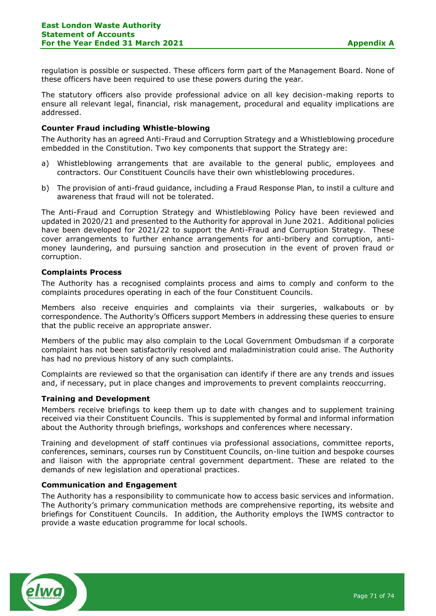regulation is possible or suspected. These officers form part of the Management Board. None of these officers have been required to use these powers during the year.

The statutory officers also provide professional advice on all key decision-making reports to ensure all relevant legal, financial, risk management, procedural and equality implications are addressed.

#### **Counter Fraud including Whistle-blowing**

The Authority has an agreed Anti-Fraud and Corruption Strategy and a Whistleblowing procedure embedded in the Constitution. Two key components that support the Strategy are:

- a) Whistleblowing arrangements that are available to the general public, employees and contractors. Our Constituent Councils have their own whistleblowing procedures.
- b) The provision of anti-fraud guidance, including a Fraud Response Plan, to instil a culture and awareness that fraud will not be tolerated.

The Anti-Fraud and Corruption Strategy and Whistleblowing Policy have been reviewed and updated in 2020/21 and presented to the Authority for approval in June 2021. Additional policies have been developed for 2021/22 to support the Anti-Fraud and Corruption Strategy. These cover arrangements to further enhance arrangements for anti-bribery and corruption, antimoney laundering, and pursuing sanction and prosecution in the event of proven fraud or corruption.

#### **Complaints Process**

The Authority has a recognised complaints process and aims to comply and conform to the complaints procedures operating in each of the four Constituent Councils.

Members also receive enquiries and complaints via their surgeries, walkabouts or by correspondence. The Authority's Officers support Members in addressing these queries to ensure that the public receive an appropriate answer.

Members of the public may also complain to the Local Government Ombudsman if a corporate complaint has not been satisfactorily resolved and maladministration could arise. The Authority has had no previous history of any such complaints.

Complaints are reviewed so that the organisation can identify if there are any trends and issues and, if necessary, put in place changes and improvements to prevent complaints reoccurring.

#### **Training and Development**

Members receive briefings to keep them up to date with changes and to supplement training received via their Constituent Councils. This is supplemented by formal and informal information about the Authority through briefings, workshops and conferences where necessary.

Training and development of staff continues via professional associations, committee reports, conferences, seminars, courses run by Constituent Councils, on-line tuition and bespoke courses and liaison with the appropriate central government department. These are related to the demands of new legislation and operational practices.

#### **Communication and Engagement**

The Authority has a responsibility to communicate how to access basic services and information. The Authority's primary communication methods are comprehensive reporting, its website and briefings for Constituent Councils. In addition, the Authority employs the IWMS contractor to provide a waste education programme for local schools.

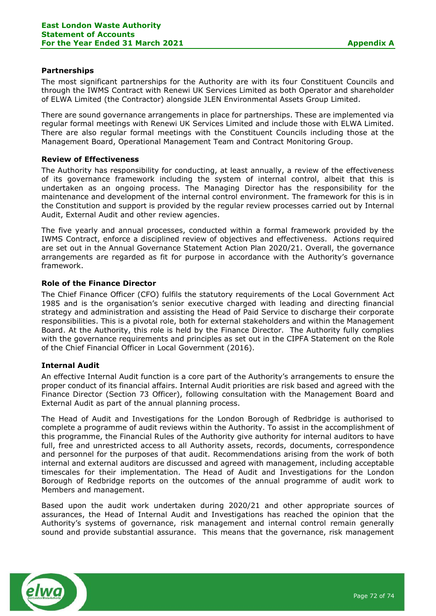# **Partnerships**

The most significant partnerships for the Authority are with its four Constituent Councils and through the IWMS Contract with Renewi UK Services Limited as both Operator and shareholder of ELWA Limited (the Contractor) alongside JLEN Environmental Assets Group Limited.

There are sound governance arrangements in place for partnerships. These are implemented via regular formal meetings with Renewi UK Services Limited and include those with ELWA Limited. There are also regular formal meetings with the Constituent Councils including those at the Management Board, Operational Management Team and Contract Monitoring Group.

# **Review of Effectiveness**

The Authority has responsibility for conducting, at least annually, a review of the effectiveness of its governance framework including the system of internal control, albeit that this is undertaken as an ongoing process. The Managing Director has the responsibility for the maintenance and development of the internal control environment. The framework for this is in the Constitution and support is provided by the regular review processes carried out by Internal Audit, External Audit and other review agencies.

The five yearly and annual processes, conducted within a formal framework provided by the IWMS Contract, enforce a disciplined review of objectives and effectiveness. Actions required are set out in the Annual Governance Statement Action Plan 2020/21. Overall, the governance arrangements are regarded as fit for purpose in accordance with the Authority's governance framework.

# **Role of the Finance Director**

The Chief Finance Officer (CFO) fulfils the statutory requirements of the Local Government Act 1985 and is the organisation's senior executive charged with leading and directing financial strategy and administration and assisting the Head of Paid Service to discharge their corporate responsibilities. This is a pivotal role, both for external stakeholders and within the Management Board. At the Authority, this role is held by the Finance Director. The Authority fully complies with the governance requirements and principles as set out in the CIPFA Statement on the Role of the Chief Financial Officer in Local Government (2016).

## **Internal Audit**

An effective Internal Audit function is a core part of the Authority's arrangements to ensure the proper conduct of its financial affairs. Internal Audit priorities are risk based and agreed with the Finance Director (Section 73 Officer), following consultation with the Management Board and External Audit as part of the annual planning process.

The Head of Audit and Investigations for the London Borough of Redbridge is authorised to complete a programme of audit reviews within the Authority. To assist in the accomplishment of this programme, the Financial Rules of the Authority give authority for internal auditors to have full, free and unrestricted access to all Authority assets, records, documents, correspondence and personnel for the purposes of that audit. Recommendations arising from the work of both internal and external auditors are discussed and agreed with management, including acceptable timescales for their implementation. The Head of Audit and Investigations for the London Borough of Redbridge reports on the outcomes of the annual programme of audit work to Members and management.

Based upon the audit work undertaken during 2020/21 and other appropriate sources of assurances, the Head of Internal Audit and Investigations has reached the opinion that the Authority's systems of governance, risk management and internal control remain generally sound and provide substantial assurance. This means that the governance, risk management

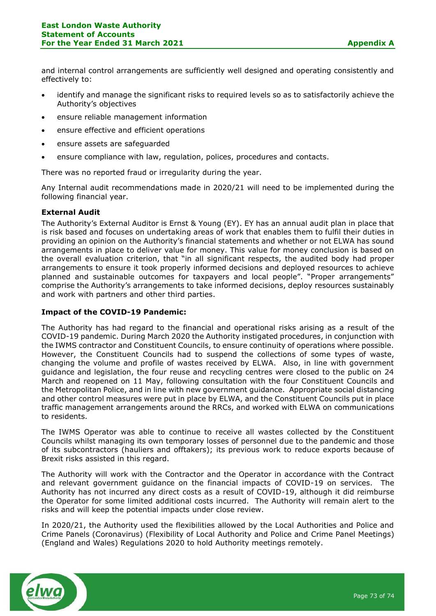and internal control arrangements are sufficiently well designed and operating consistently and effectively to:

- identify and manage the significant risks to required levels so as to satisfactorily achieve the Authority's objectives
- ensure reliable management information
- ensure effective and efficient operations
- ensure assets are safeguarded
- ensure compliance with law, regulation, polices, procedures and contacts.

There was no reported fraud or irregularity during the year.

Any Internal audit recommendations made in 2020/21 will need to be implemented during the following financial year.

# **External Audit**

The Authority's External Auditor is Ernst & Young (EY). EY has an annual audit plan in place that is risk based and focuses on undertaking areas of work that enables them to fulfil their duties in providing an opinion on the Authority's financial statements and whether or not ELWA has sound arrangements in place to deliver value for money. This value for money conclusion is based on the overall evaluation criterion, that "in all significant respects, the audited body had proper arrangements to ensure it took properly informed decisions and deployed resources to achieve planned and sustainable outcomes for taxpayers and local people". "Proper arrangements" comprise the Authority's arrangements to take informed decisions, deploy resources sustainably and work with partners and other third parties.

## **Impact of the COVID-19 Pandemic:**

The Authority has had regard to the financial and operational risks arising as a result of the COVID-19 pandemic. During March 2020 the Authority instigated procedures, in conjunction with the IWMS contractor and Constituent Councils, to ensure continuity of operations where possible. However, the Constituent Councils had to suspend the collections of some types of waste, changing the volume and profile of wastes received by ELWA. Also, in line with government guidance and legislation, the four reuse and recycling centres were closed to the public on 24 March and reopened on 11 May, following consultation with the four Constituent Councils and the Metropolitan Police, and in line with new government guidance. Appropriate social distancing and other control measures were put in place by ELWA, and the Constituent Councils put in place traffic management arrangements around the RRCs, and worked with ELWA on communications to residents.

The IWMS Operator was able to continue to receive all wastes collected by the Constituent Councils whilst managing its own temporary losses of personnel due to the pandemic and those of its subcontractors (hauliers and offtakers); its previous work to reduce exports because of Brexit risks assisted in this regard.

The Authority will work with the Contractor and the Operator in accordance with the Contract and relevant government guidance on the financial impacts of COVID-19 on services. The Authority has not incurred any direct costs as a result of COVID-19, although it did reimburse the Operator for some limited additional costs incurred. The Authority will remain alert to the risks and will keep the potential impacts under close review.

In 2020/21, the Authority used the flexibilities allowed by the Local Authorities and Police and Crime Panels (Coronavirus) (Flexibility of Local Authority and Police and Crime Panel Meetings) (England and Wales) Regulations 2020 to hold Authority meetings remotely.